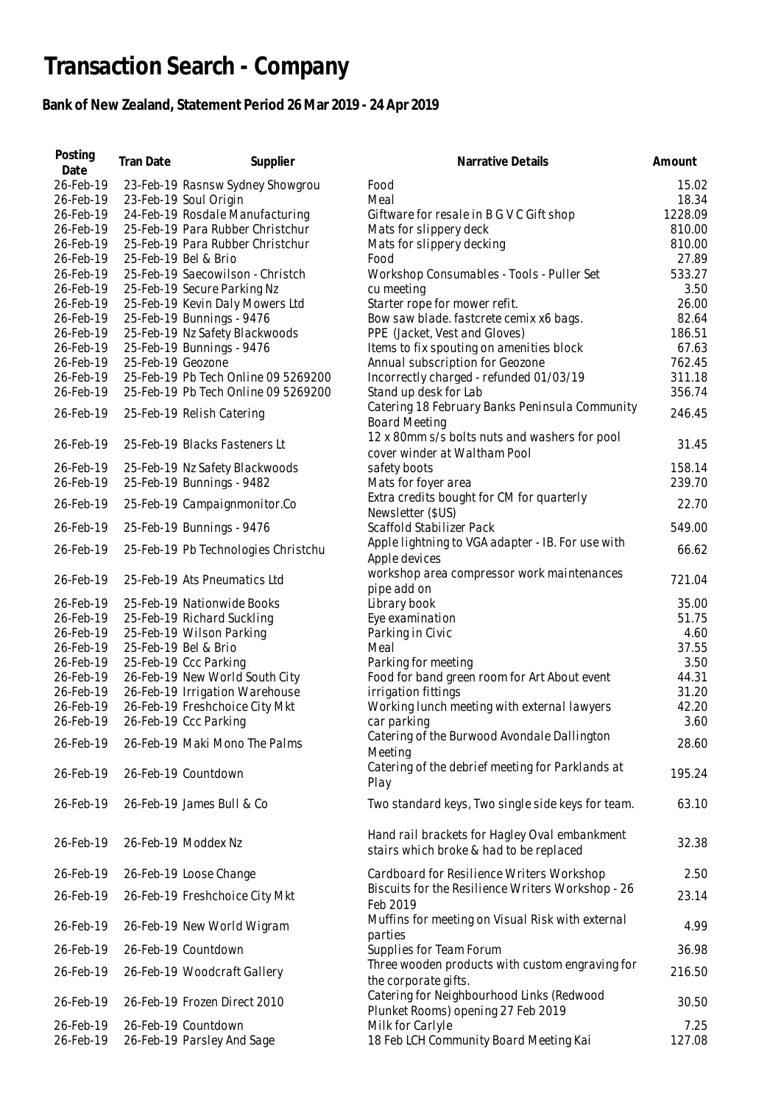## **Transaction Search - Company**

## **Bank of New Zealand, Statement Period 26 Mar 2019 - 24 Apr 2019**

| Posting<br>Date | Tran Date         | Supplier                            | Narrative Details                                 | Amount  |
|-----------------|-------------------|-------------------------------------|---------------------------------------------------|---------|
| 26-Feb-19       |                   | 23-Feb-19 Rasnsw Sydney Showgrou    | Food                                              | 15.02   |
| 26-Feb-19       |                   | 23-Feb-19 Soul Origin               | Meal                                              | 18.34   |
| 26-Feb-19       |                   | 24-Feb-19 Rosdale Manufacturing     | Giftware for resale in B G V C Gift shop          | 1228.09 |
| 26-Feb-19       |                   | 25-Feb-19 Para Rubber Christchur    | Mats for slippery deck                            | 810.00  |
|                 |                   |                                     |                                                   |         |
| 26-Feb-19       |                   | 25-Feb-19 Para Rubber Christchur    | Mats for slippery decking                         | 810.00  |
| 26-Feb-19       |                   | 25-Feb-19 Bel & Brio                | Food                                              | 27.89   |
| 26-Feb-19       |                   | 25-Feb-19 Saecowilson - Christch    | Workshop Consumables - Tools - Puller Set         | 533.27  |
| 26-Feb-19       |                   | 25-Feb-19 Secure Parking Nz         | cu meeting                                        | 3.50    |
| 26-Feb-19       |                   | 25-Feb-19 Kevin Daly Mowers Ltd     | Starter rope for mower refit.                     | 26.00   |
| 26-Feb-19       |                   | 25-Feb-19 Bunnings - 9476           | Bow saw blade. fastcrete cemix x6 bags.           | 82.64   |
| 26-Feb-19       |                   | 25-Feb-19 Nz Safety Blackwoods      | PPE (Jacket, Vest and Gloves)                     | 186.51  |
| 26-Feb-19       |                   | 25-Feb-19 Bunnings - 9476           | Items to fix spouting on amenities block          | 67.63   |
| 26-Feb-19       | 25-Feb-19 Geozone |                                     | Annual subscription for Geozone                   | 762.45  |
| 26-Feb-19       |                   | 25-Feb-19 Pb Tech Online 09 5269200 | Incorrectly charged - refunded 01/03/19           | 311.18  |
| 26-Feb-19       |                   | 25-Feb-19 Pb Tech Online 09 5269200 | Stand up desk for Lab                             | 356.74  |
| 26-Feb-19       |                   | 25-Feb-19 Relish Catering           | Catering 18 February Banks Peninsula Community    | 246.45  |
|                 |                   |                                     | <b>Board Meeting</b>                              |         |
| 26-Feb-19       |                   |                                     | 12 x 80mm s/s bolts nuts and washers for pool     | 31.45   |
|                 |                   | 25-Feb-19 Blacks Fasteners Lt       | cover winder at Waltham Pool                      |         |
| 26-Feb-19       |                   | 25-Feb-19 Nz Safety Blackwoods      | safety boots                                      | 158.14  |
| 26-Feb-19       |                   | 25-Feb-19 Bunnings - 9482           | Mats for foyer area                               | 239.70  |
|                 |                   |                                     | Extra credits bought for CM for quarterly         |         |
| 26-Feb-19       |                   | 25-Feb-19 Campaignmonitor.Co        | Newsletter (\$US)                                 | 22.70   |
| 26-Feb-19       |                   | 25-Feb-19 Bunnings - 9476           | Scaffold Stabilizer Pack                          | 549.00  |
|                 |                   |                                     | Apple lightning to VGA adapter - IB. For use with |         |
| 26-Feb-19       |                   | 25-Feb-19 Pb Technologies Christchu |                                                   | 66.62   |
|                 |                   |                                     | Apple devices                                     |         |
| 26-Feb-19       |                   | 25-Feb-19 Ats Pneumatics Ltd        | workshop area compressor work maintenances        | 721.04  |
|                 |                   |                                     | pipe add on                                       |         |
| 26-Feb-19       |                   | 25-Feb-19 Nationwide Books          | Library book                                      | 35.00   |
| 26-Feb-19       |                   | 25-Feb-19 Richard Suckling          | Eye examination                                   | 51.75   |
| 26-Feb-19       |                   | 25-Feb-19 Wilson Parking            | Parking in Civic                                  | 4.60    |
| 26-Feb-19       |                   | 25-Feb-19 Bel & Brio                | Meal                                              | 37.55   |
| 26-Feb-19       |                   | 25-Feb-19 Ccc Parking               | Parking for meeting                               | 3.50    |
| 26-Feb-19       |                   | 26-Feb-19 New World South City      | Food for band green room for Art About event      | 44.31   |
| 26-Feb-19       |                   | 26-Feb-19 Irrigation Warehouse      | irrigation fittings                               | 31.20   |
| 26-Feb-19       |                   | 26-Feb-19 Freshchoice City Mkt      | Working lunch meeting with external lawyers       | 42.20   |
| 26-Feb-19       |                   | 26-Feb-19 Ccc Parking               | car parking                                       | 3.60    |
| 26-Feb-19       |                   |                                     | Catering of the Burwood Avondale Dallington       | 28.60   |
|                 |                   | 26-Feb-19 Maki Mono The Palms       | Meeting                                           |         |
|                 |                   |                                     | Catering of the debrief meeting for Parklands at  |         |
| 26-Feb-19       |                   | 26-Feb-19 Countdown                 | Play                                              | 195.24  |
|                 |                   |                                     |                                                   |         |
| 26-Feb-19       |                   | 26-Feb-19 James Bull & Co           | Two standard keys, Two single side keys for team. | 63.10   |
|                 |                   |                                     |                                                   |         |
| 26-Feb-19       |                   | 26-Feb-19 Moddex Nz                 | Hand rail brackets for Hagley Oval embankment     | 32.38   |
|                 |                   |                                     | stairs which broke & had to be replaced           |         |
|                 |                   |                                     |                                                   |         |
| 26-Feb-19       |                   | 26-Feb-19 Loose Change              | Cardboard for Resilience Writers Workshop         | 2.50    |
| 26-Feb-19       |                   | 26-Feb-19 Freshchoice City Mkt      | Biscuits for the Resilience Writers Workshop - 26 | 23.14   |
|                 |                   |                                     | Feb 2019                                          |         |
| 26-Feb-19       |                   | 26-Feb-19 New World Wigram          | Muffins for meeting on Visual Risk with external  | 4.99    |
|                 |                   |                                     | parties                                           |         |
| 26-Feb-19       |                   | 26-Feb-19 Countdown                 | Supplies for Team Forum                           | 36.98   |
|                 |                   |                                     | Three wooden products with custom engraving for   |         |
| 26-Feb-19       |                   | 26-Feb-19 Woodcraft Gallery         | the corporate gifts.                              | 216.50  |
|                 |                   |                                     | Catering for Neighbourhood Links (Redwood         |         |
| 26-Feb-19       |                   | 26-Feb-19 Frozen Direct 2010        | Plunket Rooms) opening 27 Feb 2019                | 30.50   |
| 26-Feb-19       |                   | 26-Feb-19 Countdown                 | Milk for Carlyle                                  | 7.25    |
| 26-Feb-19       |                   | 26-Feb-19 Parsley And Sage          | 18 Feb LCH Community Board Meeting Kai            | 127.08  |
|                 |                   |                                     |                                                   |         |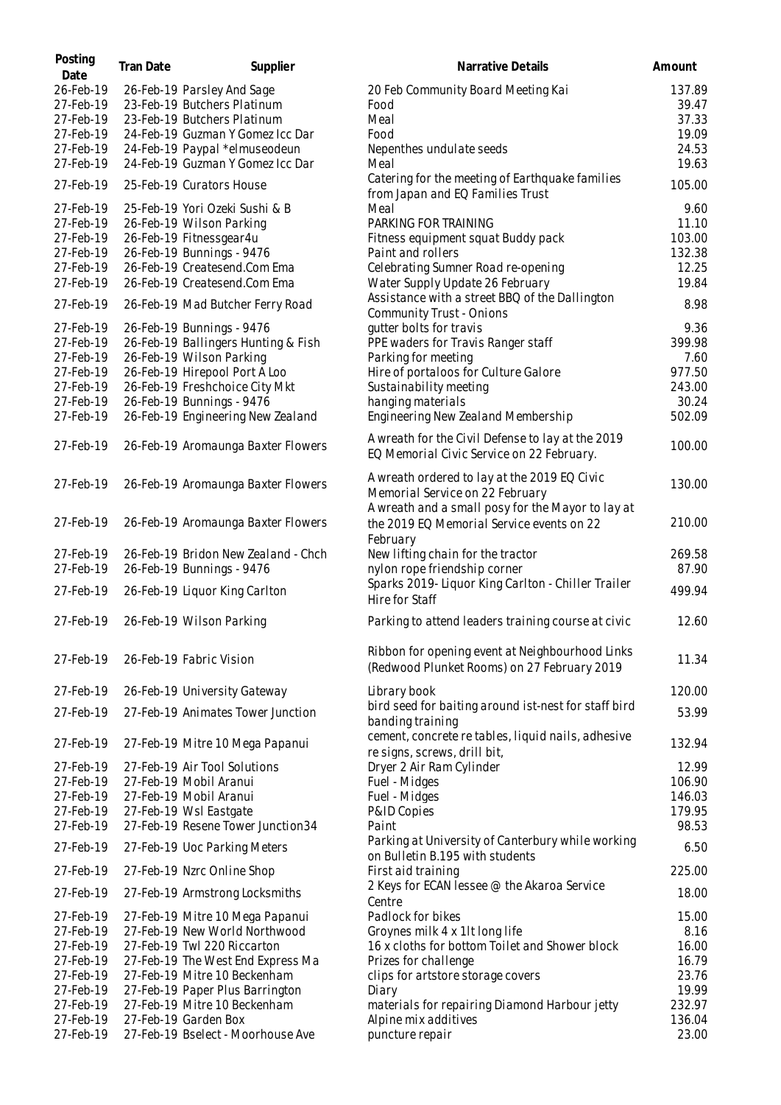| Posting<br>Date        | Tran Date | Supplier                                                        | Narrative Details                                                                                          | Amount         |
|------------------------|-----------|-----------------------------------------------------------------|------------------------------------------------------------------------------------------------------------|----------------|
| 26-Feb-19              |           | 26-Feb-19 Parsley And Sage                                      | 20 Feb Community Board Meeting Kai                                                                         | 137.89         |
| 27-Feb-19              |           | 23-Feb-19 Butchers Platinum                                     | Food                                                                                                       | 39.47          |
| 27-Feb-19              |           | 23-Feb-19 Butchers Platinum                                     | Meal                                                                                                       | 37.33          |
| 27-Feb-19              |           | 24-Feb-19 Guzman Y Gomez Icc Dar                                | Food                                                                                                       | 19.09          |
| 27-Feb-19              |           | 24-Feb-19 Paypal *elmuseodeun                                   | Nepenthes undulate seeds                                                                                   | 24.53          |
| 27-Feb-19              |           | 24-Feb-19 Guzman Y Gomez Icc Dar                                | Meal                                                                                                       | 19.63          |
| 27-Feb-19              |           | 25-Feb-19 Curators House                                        | Catering for the meeting of Earthquake families<br>from Japan and EQ Families Trust                        | 105.00         |
| 27-Feb-19              |           | 25-Feb-19 Yori Ozeki Sushi & B                                  | Meal                                                                                                       | 9.60           |
| 27-Feb-19              |           | 26-Feb-19 Wilson Parking                                        | PARKING FOR TRAINING                                                                                       | 11.10          |
| 27-Feb-19              |           | 26-Feb-19 Fitnessgear4u                                         | Fitness equipment squat Buddy pack                                                                         | 103.00         |
| 27-Feb-19              |           | 26-Feb-19 Bunnings - 9476                                       | Paint and rollers                                                                                          | 132.38         |
| 27-Feb-19              |           | 26-Feb-19 Createsend.Com Ema                                    | Celebrating Sumner Road re-opening                                                                         | 12.25          |
| 27-Feb-19              |           | 26-Feb-19 Createsend.Com Ema                                    | Water Supply Update 26 February                                                                            | 19.84          |
| 27-Feb-19              |           | 26-Feb-19 Mad Butcher Ferry Road                                | Assistance with a street BBQ of the Dallington                                                             | 8.98           |
|                        |           |                                                                 | <b>Community Trust - Onions</b>                                                                            |                |
| 27-Feb-19              |           | 26-Feb-19 Bunnings - 9476                                       | gutter bolts for travis                                                                                    | 9.36<br>399.98 |
| 27-Feb-19              |           | 26-Feb-19 Ballingers Hunting & Fish<br>26-Feb-19 Wilson Parking | PPE waders for Travis Ranger staff                                                                         |                |
| 27-Feb-19<br>27-Feb-19 |           | 26-Feb-19 Hirepool Port A Loo                                   | Parking for meeting<br>Hire of portaloos for Culture Galore                                                | 7.60<br>977.50 |
| 27-Feb-19              |           | 26-Feb-19 Freshchoice City Mkt                                  | Sustainability meeting                                                                                     | 243.00         |
| 27-Feb-19              |           | 26-Feb-19 Bunnings - 9476                                       | hanging materials                                                                                          | 30.24          |
| 27-Feb-19              |           | 26-Feb-19 Engineering New Zealand                               | Engineering New Zealand Membership                                                                         | 502.09         |
|                        |           |                                                                 |                                                                                                            |                |
| 27-Feb-19              |           | 26-Feb-19 Aromaunga Baxter Flowers                              | A wreath for the Civil Defense to lay at the 2019<br>EQ Memorial Civic Service on 22 February.             | 100.00         |
| 27-Feb-19              |           | 26-Feb-19 Aromaunga Baxter Flowers                              | A wreath ordered to lay at the 2019 EQ Civic<br>Memorial Service on 22 February                            | 130.00         |
| 27-Feb-19              |           | 26-Feb-19 Aromaunga Baxter Flowers                              | A wreath and a small posy for the Mayor to lay at<br>the 2019 EQ Memorial Service events on 22<br>February | 210.00         |
| 27-Feb-19              |           | 26-Feb-19 Bridon New Zealand - Chch                             | New lifting chain for the tractor                                                                          | 269.58         |
| 27-Feb-19              |           | 26-Feb-19 Bunnings - 9476                                       | nylon rope friendship corner                                                                               | 87.90          |
| 27-Feb-19              |           | 26-Feb-19 Liquor King Carlton                                   | Sparks 2019-Liquor King Carlton - Chiller Trailer<br><b>Hire for Staff</b>                                 | 499.94         |
| 27-Feb-19              |           | 26-Feb-19 Wilson Parking                                        | Parking to attend leaders training course at civic                                                         | 12.60          |
| 27-Feb-19              |           | 26-Feb-19 Fabric Vision                                         | Ribbon for opening event at Neighbourhood Links<br>(Redwood Plunket Rooms) on 27 February 2019             | 11.34          |
| 27-Feb-19              |           | 26-Feb-19 University Gateway                                    | Library book                                                                                               | 120.00         |
| 27-Feb-19              |           | 27-Feb-19 Animates Tower Junction                               | bird seed for baiting around ist-nest for staff bird                                                       | 53.99          |
|                        |           |                                                                 | banding training                                                                                           |                |
| 27-Feb-19              |           | 27-Feb-19 Mitre 10 Mega Papanui                                 | cement, concrete re tables, liquid nails, adhesive<br>re signs, screws, drill bit,                         | 132.94         |
| 27-Feb-19              |           | 27-Feb-19 Air Tool Solutions                                    | Dryer 2 Air Ram Cylinder                                                                                   | 12.99          |
| 27-Feb-19              |           | 27-Feb-19 Mobil Aranui                                          | Fuel - Midges                                                                                              | 106.90         |
| 27-Feb-19              |           | 27-Feb-19 Mobil Aranui                                          | Fuel - Midges                                                                                              | 146.03         |
| 27-Feb-19              |           | 27-Feb-19 Wsl Eastgate                                          | P&ID Copies                                                                                                | 179.95         |
| 27-Feb-19              |           | 27-Feb-19 Resene Tower Junction34                               | Paint                                                                                                      | 98.53          |
| 27-Feb-19              |           | 27-Feb-19 Uoc Parking Meters                                    | Parking at University of Canterbury while working<br>on Bulletin B.195 with students                       | 6.50           |
| 27-Feb-19              |           | 27-Feb-19 Nzrc Online Shop                                      | First aid training                                                                                         | 225.00         |
| 27-Feb-19              |           | 27-Feb-19 Armstrong Locksmiths                                  | 2 Keys for ECAN lessee @ the Akaroa Service<br>Centre                                                      | 18.00          |
| 27-Feb-19              |           | 27-Feb-19 Mitre 10 Mega Papanui                                 | Padlock for bikes                                                                                          | 15.00          |
| 27-Feb-19              |           | 27-Feb-19 New World Northwood                                   | Groynes milk 4 x 1lt long life                                                                             | 8.16           |
| 27-Feb-19              |           | 27-Feb-19 Twl 220 Riccarton                                     | 16 x cloths for bottom Toilet and Shower block                                                             | 16.00          |
| 27-Feb-19              |           | 27-Feb-19 The West End Express Ma                               | Prizes for challenge                                                                                       | 16.79          |
| 27-Feb-19              |           | 27-Feb-19 Mitre 10 Beckenham                                    | clips for artstore storage covers                                                                          | 23.76          |
| 27-Feb-19              |           | 27-Feb-19 Paper Plus Barrington                                 | Diary                                                                                                      | 19.99          |
| 27-Feb-19              |           | 27-Feb-19 Mitre 10 Beckenham                                    | materials for repairing Diamond Harbour jetty                                                              | 232.97         |
| 27-Feb-19              |           | 27-Feb-19 Garden Box                                            | Alpine mix additives                                                                                       | 136.04         |
| 27-Feb-19              |           | 27-Feb-19 Bselect - Moorhouse Ave                               | puncture repair                                                                                            | 23.00          |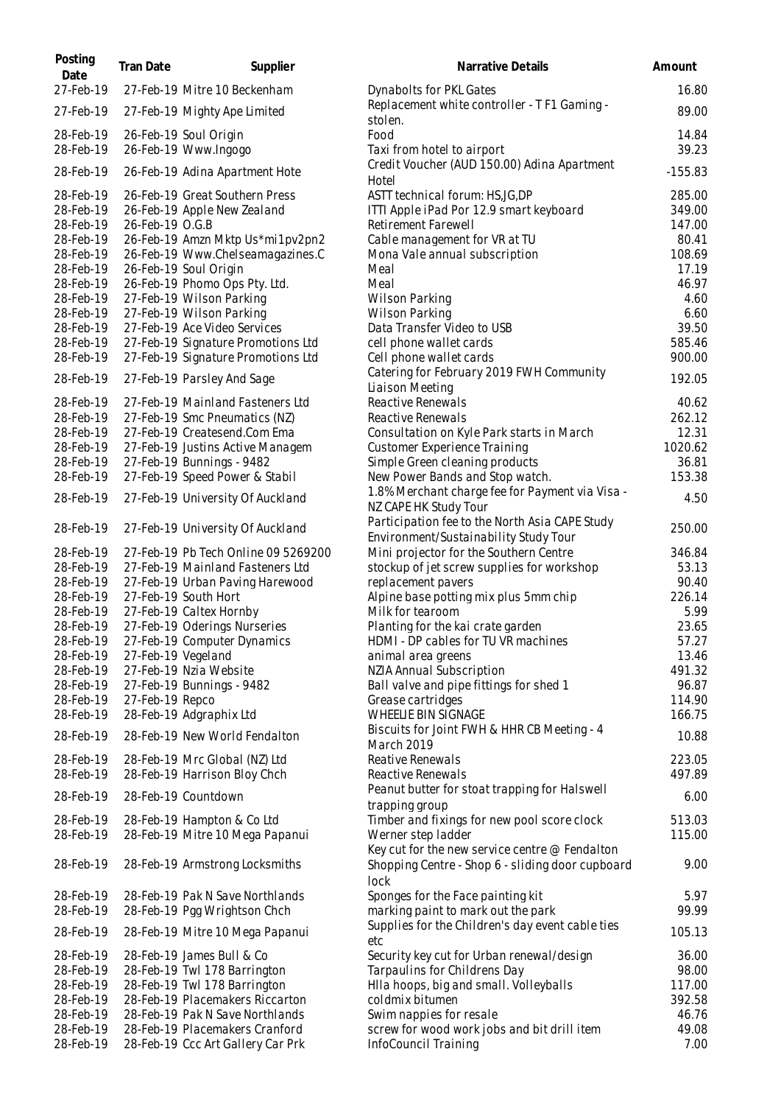| Posting<br>Date        | Tran Date          | Supplier                                                           | Narrative Details                                                                                  | Amount           |
|------------------------|--------------------|--------------------------------------------------------------------|----------------------------------------------------------------------------------------------------|------------------|
| 27-Feb-19              |                    | 27-Feb-19 Mitre 10 Beckenham                                       | Dynabolts for PKL Gates                                                                            | 16.80            |
| 27-Feb-19              |                    | 27-Feb-19 Mighty Ape Limited                                       | Replacement white controller - TF1 Gaming -<br>stolen.                                             | 89.00            |
| 28-Feb-19              |                    | 26-Feb-19 Soul Origin                                              | Food                                                                                               | 14.84            |
| 28-Feb-19              |                    | 26-Feb-19 Www.Ingogo                                               | Taxi from hotel to airport                                                                         | 39.23            |
| 28-Feb-19              |                    | 26-Feb-19 Adina Apartment Hote                                     | Credit Voucher (AUD 150.00) Adina Apartment<br>Hotel                                               | $-155.83$        |
| 28-Feb-19              |                    | 26-Feb-19 Great Southern Press                                     | ASTT technical forum: HS,JG,DP                                                                     | 285.00           |
| 28-Feb-19              |                    | 26-Feb-19 Apple New Zealand                                        | ITTI Apple iPad Por 12.9 smart keyboard                                                            | 349.00           |
| 28-Feb-19              | 26-Feb-19 O.G.B    |                                                                    | Retirement Farewell                                                                                | 147.00           |
| 28-Feb-19              |                    | 26-Feb-19 Amzn Mktp Us*mi1pv2pn2                                   | Cable management for VR at TU                                                                      | 80.41            |
| 28-Feb-19              |                    | 26-Feb-19 Www.Chelseamagazines.C                                   | Mona Vale annual subscription                                                                      | 108.69           |
| 28-Feb-19              |                    | 26-Feb-19 Soul Origin                                              | Meal                                                                                               | 17.19            |
| 28-Feb-19              |                    | 26-Feb-19 Phomo Ops Pty. Ltd.                                      | Meal                                                                                               | 46.97            |
| 28-Feb-19              |                    | 27-Feb-19 Wilson Parking<br>27-Feb-19 Wilson Parking               | Wilson Parking                                                                                     | 4.60             |
| 28-Feb-19<br>28-Feb-19 |                    | 27-Feb-19 Ace Video Services                                       | <b>Wilson Parking</b><br>Data Transfer Video to USB                                                | 6.60<br>39.50    |
| 28-Feb-19              |                    | 27-Feb-19 Signature Promotions Ltd                                 | cell phone wallet cards                                                                            | 585.46           |
| 28-Feb-19              |                    | 27-Feb-19 Signature Promotions Ltd                                 | Cell phone wallet cards                                                                            | 900.00           |
|                        |                    |                                                                    | Catering for February 2019 FWH Community                                                           |                  |
| 28-Feb-19              |                    | 27-Feb-19 Parsley And Sage                                         | Liaison Meeting                                                                                    | 192.05           |
| 28-Feb-19              |                    | 27-Feb-19 Mainland Fasteners Ltd                                   | Reactive Renewals                                                                                  | 40.62            |
| 28-Feb-19              |                    | 27-Feb-19 Smc Pneumatics (NZ)                                      | Reactive Renewals                                                                                  | 262.12           |
| 28-Feb-19              |                    | 27-Feb-19 Createsend.Com Ema                                       | Consultation on Kyle Park starts in March                                                          | 12.31            |
| 28-Feb-19              |                    | 27-Feb-19 Justins Active Managem                                   | Customer Experience Training                                                                       | 1020.62          |
| 28-Feb-19              |                    | 27-Feb-19 Bunnings - 9482                                          | Simple Green cleaning products                                                                     | 36.81            |
| 28-Feb-19              |                    | 27-Feb-19 Speed Power & Stabil                                     | New Power Bands and Stop watch.                                                                    | 153.38           |
| 28-Feb-19              |                    | 27-Feb-19 University Of Auckland                                   | 1.8% Merchant charge fee for Payment via Visa -<br>NZ CAPE HK Study Tour                           | 4.50             |
| 28-Feb-19              |                    | 27-Feb-19 University Of Auckland                                   | Participation fee to the North Asia CAPE Study<br>Environment/Sustainability Study Tour            | 250.00           |
| 28-Feb-19              |                    | 27-Feb-19 Pb Tech Online 09 5269200                                | Mini projector for the Southern Centre                                                             | 346.84           |
| 28-Feb-19              |                    | 27-Feb-19 Mainland Fasteners Ltd                                   | stockup of jet screw supplies for workshop                                                         | 53.13            |
| 28-Feb-19              |                    | 27-Feb-19 Urban Paving Harewood                                    | replacement pavers                                                                                 | 90.40            |
| 28-Feb-19              |                    | 27-Feb-19 South Hort                                               | Alpine base potting mix plus 5mm chip                                                              | 226.14           |
| 28-Feb-19              |                    | 27-Feb-19 Caltex Hornby                                            | Milk for tearoom                                                                                   | 5.99             |
| 28-Feb-19              |                    | 27-Feb-19 Oderings Nurseries                                       | Planting for the kai crate garden                                                                  | 23.65            |
| 28-Feb-19              |                    | 27-Feb-19 Computer Dynamics                                        | HDMI - DP cables for TU VR machines                                                                | 57.27            |
| 28-Feb-19              | 27-Feb-19 Vegeland |                                                                    | animal area greens                                                                                 | 13.46            |
| 28-Feb-19<br>28-Feb-19 |                    | 27-Feb-19 Nzia Website<br>27-Feb-19 Bunnings - 9482                | NZIA Annual Subscription<br>Ball valve and pipe fittings for shed 1                                | 491.32<br>96.87  |
| 28-Feb-19              | 27-Feb-19 Repco    |                                                                    | Grease cartridges                                                                                  | 114.90           |
| 28-Feb-19              |                    | 28-Feb-19 Adgraphix Ltd                                            | WHEELIE BIN SIGNAGE                                                                                | 166.75           |
| 28-Feb-19              |                    | 28-Feb-19 New World Fendalton                                      | Biscuits for Joint FWH & HHR CB Meeting - 4                                                        | 10.88            |
|                        |                    |                                                                    | <b>March 2019</b>                                                                                  |                  |
| 28-Feb-19              |                    | 28-Feb-19 Mrc Global (NZ) Ltd                                      | Reative Renewals                                                                                   | 223.05           |
| 28-Feb-19              |                    | 28-Feb-19 Harrison Bloy Chch                                       | Reactive Renewals                                                                                  | 497.89           |
| 28-Feb-19              |                    | 28-Feb-19 Countdown                                                | Peanut butter for stoat trapping for Halswell<br>trapping group                                    | 6.00             |
| 28-Feb-19              |                    | 28-Feb-19 Hampton & Co Ltd                                         | Timber and fixings for new pool score clock                                                        | 513.03           |
| 28-Feb-19              |                    | 28-Feb-19 Mitre 10 Mega Papanui                                    | Werner step ladder                                                                                 | 115.00           |
| 28-Feb-19              |                    | 28-Feb-19 Armstrong Locksmiths                                     | Key cut for the new service centre @ Fendalton<br>Shopping Centre - Shop 6 - sliding door cupboard | 9.00             |
|                        |                    |                                                                    | lock                                                                                               |                  |
| 28-Feb-19<br>28-Feb-19 |                    | 28-Feb-19 Pak N Save Northlands<br>28-Feb-19 Pgg Wrightson Chch    | Sponges for the Face painting kit                                                                  | 5.97<br>99.99    |
|                        |                    |                                                                    | marking paint to mark out the park<br>Supplies for the Children's day event cable ties             |                  |
| 28-Feb-19              |                    | 28-Feb-19 Mitre 10 Mega Papanui                                    | etc                                                                                                | 105.13           |
| 28-Feb-19              |                    | 28-Feb-19 James Bull & Co                                          | Security key cut for Urban renewal/design                                                          | 36.00            |
| 28-Feb-19              |                    | 28-Feb-19 Twl 178 Barrington                                       | Tarpaulins for Childrens Day                                                                       | 98.00            |
| 28-Feb-19              |                    | 28-Feb-19 Twl 178 Barrington                                       | Hila hoops, big and small. Volleyballs                                                             | 117.00<br>392.58 |
| 28-Feb-19<br>28-Feb-19 |                    | 28-Feb-19 Placemakers Riccarton<br>28-Feb-19 Pak N Save Northlands | coldmix bitumen<br>Swim nappies for resale                                                         | 46.76            |
| 28-Feb-19              |                    | 28-Feb-19 Placemakers Cranford                                     | screw for wood work jobs and bit drill item                                                        | 49.08            |
| 28-Feb-19              |                    | 28-Feb-19 Ccc Art Gallery Car Prk                                  | InfoCouncil Training                                                                               | 7.00             |
|                        |                    |                                                                    |                                                                                                    |                  |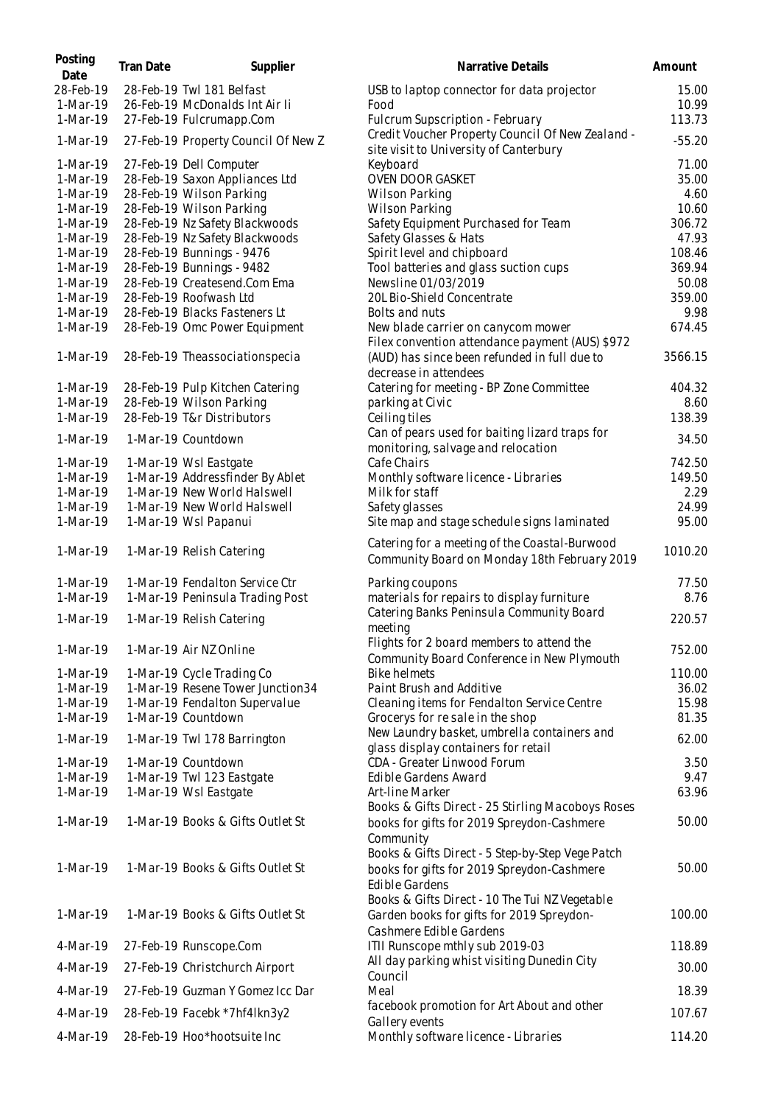| Posting<br>Date      | Tran Date | Supplier                                                  | Narrative Details                                                                             | Amount          |
|----------------------|-----------|-----------------------------------------------------------|-----------------------------------------------------------------------------------------------|-----------------|
| 28-Feb-19            |           | 28-Feb-19 Twl 181 Belfast                                 | USB to laptop connector for data projector                                                    | 15.00           |
| 1-Mar-19             |           | 26-Feb-19 McDonalds Int Air Ii                            | Food                                                                                          | 10.99           |
| 1-Mar-19             |           | 27-Feb-19 Fulcrumapp.Com                                  | Fulcrum Supscription - February                                                               | 113.73          |
| 1-Mar-19             |           | 27-Feb-19 Property Council Of New Z                       | Credit Voucher Property Council Of New Zealand -<br>site visit to University of Canterbury    | $-55.20$        |
| 1-Mar-19             |           | 27-Feb-19 Dell Computer                                   | Keyboard                                                                                      | 71.00           |
| 1-Mar-19             |           | 28-Feb-19 Saxon Appliances Ltd                            | OVEN DOOR GASKET                                                                              | 35.00           |
| 1-Mar-19             |           | 28-Feb-19 Wilson Parking                                  | Wilson Parking                                                                                | 4.60            |
| 1-Mar-19             |           | 28-Feb-19 Wilson Parking                                  | <b>Wilson Parking</b>                                                                         | 10.60           |
| 1-Mar-19             |           | 28-Feb-19 Nz Safety Blackwoods                            | Safety Equipment Purchased for Team                                                           | 306.72          |
| 1-Mar-19             |           | 28-Feb-19 Nz Safety Blackwoods                            | Safety Glasses & Hats                                                                         | 47.93           |
| 1-Mar-19             |           | 28-Feb-19 Bunnings - 9476                                 | Spirit level and chipboard                                                                    | 108.46          |
| 1-Mar-19<br>1-Mar-19 |           | 28-Feb-19 Bunnings - 9482<br>28-Feb-19 Createsend.Com Ema | Tool batteries and glass suction cups<br>Newsline 01/03/2019                                  | 369.94<br>50.08 |
| 1-Mar-19             |           | 28-Feb-19 Roofwash Ltd                                    | 20L Bio-Shield Concentrate                                                                    | 359.00          |
| 1-Mar-19             |           | 28-Feb-19 Blacks Fasteners Lt                             | Bolts and nuts                                                                                | 9.98            |
| 1-Mar-19             |           | 28-Feb-19 Omc Power Equipment                             | New blade carrier on canycom mower                                                            | 674.45          |
|                      |           |                                                           | Filex convention attendance payment (AUS) \$972                                               |                 |
| 1-Mar-19             |           | 28-Feb-19 Theassociationspecia                            | (AUD) has since been refunded in full due to                                                  | 3566.15         |
|                      |           |                                                           | decrease in attendees                                                                         |                 |
| 1-Mar-19             |           | 28-Feb-19 Pulp Kitchen Catering                           | Catering for meeting - BP Zone Committee                                                      | 404.32          |
| 1-Mar-19             |           | 28-Feb-19 Wilson Parking                                  | parking at Civic                                                                              | 8.60            |
| 1-Mar-19             |           | 28-Feb-19 T&r Distributors                                | Ceiling tiles                                                                                 | 138.39          |
| 1-Mar-19             |           | 1-Mar-19 Countdown                                        | Can of pears used for baiting lizard traps for<br>monitoring, salvage and relocation          | 34.50           |
| 1-Mar-19             |           | 1-Mar-19 Wsl Eastgate                                     | Cafe Chairs                                                                                   | 742.50          |
| 1-Mar-19             |           | 1-Mar-19 Addressfinder By Ablet                           | Monthly software licence - Libraries                                                          | 149.50          |
| 1-Mar-19             |           | 1-Mar-19 New World Halswell                               | Milk for staff                                                                                | 2.29            |
| 1-Mar-19             |           | 1-Mar-19 New World Halswell                               | Safety glasses                                                                                | 24.99           |
| 1-Mar-19             |           | 1-Mar-19 Wsl Papanui                                      | Site map and stage schedule signs laminated                                                   | 95.00           |
| 1-Mar-19             |           | 1-Mar-19 Relish Catering                                  | Catering for a meeting of the Coastal-Burwood<br>Community Board on Monday 18th February 2019 | 1010.20         |
| $1-Mar-19$           |           | 1-Mar-19 Fendalton Service Ctr                            | Parking coupons                                                                               | 77.50           |
| 1-Mar-19             |           | 1-Mar-19 Peninsula Trading Post                           | materials for repairs to display furniture                                                    | 8.76            |
| 1-Mar-19             |           | 1-Mar-19 Relish Catering                                  | Catering Banks Peninsula Community Board                                                      | 220.57          |
|                      |           |                                                           | meeting                                                                                       |                 |
| 1-Mar-19             |           | 1-Mar-19 Air NZ Online                                    | Flights for 2 board members to attend the<br>Community Board Conference in New Plymouth       | 752.00          |
| 1-Mar-19             |           | 1-Mar-19 Cycle Trading Co                                 | <b>Bike helmets</b>                                                                           | 110.00          |
| 1-Mar-19             |           | 1-Mar-19 Resene Tower Junction34                          | Paint Brush and Additive                                                                      | 36.02           |
| 1-Mar-19             |           | 1-Mar-19 Fendalton Supervalue                             | Cleaning items for Fendalton Service Centre                                                   | 15.98           |
| 1-Mar-19             |           | 1-Mar-19 Countdown                                        | Grocerys for re sale in the shop<br>New Laundry basket, umbrella containers and               | 81.35           |
| 1-Mar-19             |           | 1-Mar-19 Twl 178 Barrington                               | glass display containers for retail                                                           | 62.00           |
| 1-Mar-19             |           | 1-Mar-19 Countdown                                        | CDA - Greater Linwood Forum                                                                   | 3.50            |
| 1-Mar-19             |           | 1-Mar-19 Twl 123 Eastgate                                 | Edible Gardens Award                                                                          | 9.47            |
| 1-Mar-19             |           | 1-Mar-19 Wsl Eastgate                                     | Art-line Marker                                                                               | 63.96           |
|                      |           |                                                           | Books & Gifts Direct - 25 Stirling Macoboys Roses                                             |                 |
| 1-Mar-19             |           | 1-Mar-19 Books & Gifts Outlet St                          | books for gifts for 2019 Spreydon-Cashmere                                                    | 50.00           |
|                      |           |                                                           | Community                                                                                     |                 |
|                      |           |                                                           | Books & Gifts Direct - 5 Step-by-Step Vege Patch                                              |                 |
| 1-Mar-19             |           | 1-Mar-19 Books & Gifts Outlet St                          | books for gifts for 2019 Spreydon-Cashmere                                                    | 50.00           |
|                      |           |                                                           | Edible Gardens                                                                                |                 |
|                      |           |                                                           | Books & Gifts Direct - 10 The Tui NZ Vegetable                                                |                 |
| 1-Mar-19             |           | 1-Mar-19 Books & Gifts Outlet St                          | Garden books for gifts for 2019 Spreydon-                                                     | 100.00          |
|                      |           |                                                           | Cashmere Edible Gardens                                                                       |                 |
| 4-Mar-19             |           | 27-Feb-19 Runscope.Com                                    | ITII Runscope mthly sub 2019-03                                                               | 118.89          |
| 4-Mar-19             |           | 27-Feb-19 Christchurch Airport                            | All day parking whist visiting Dunedin City<br>Council                                        | 30.00           |
| 4-Mar-19             |           | 27-Feb-19 Guzman Y Gomez Icc Dar                          | Meal                                                                                          | 18.39           |
|                      |           |                                                           | facebook promotion for Art About and other                                                    |                 |
| 4-Mar-19             |           | 28-Feb-19 Facebk *7hf4lkn3y2                              | Gallery events                                                                                | 107.67          |
| 4-Mar-19             |           | 28-Feb-19 Hoo*hootsuite Inc                               | Monthly software licence - Libraries                                                          | 114.20          |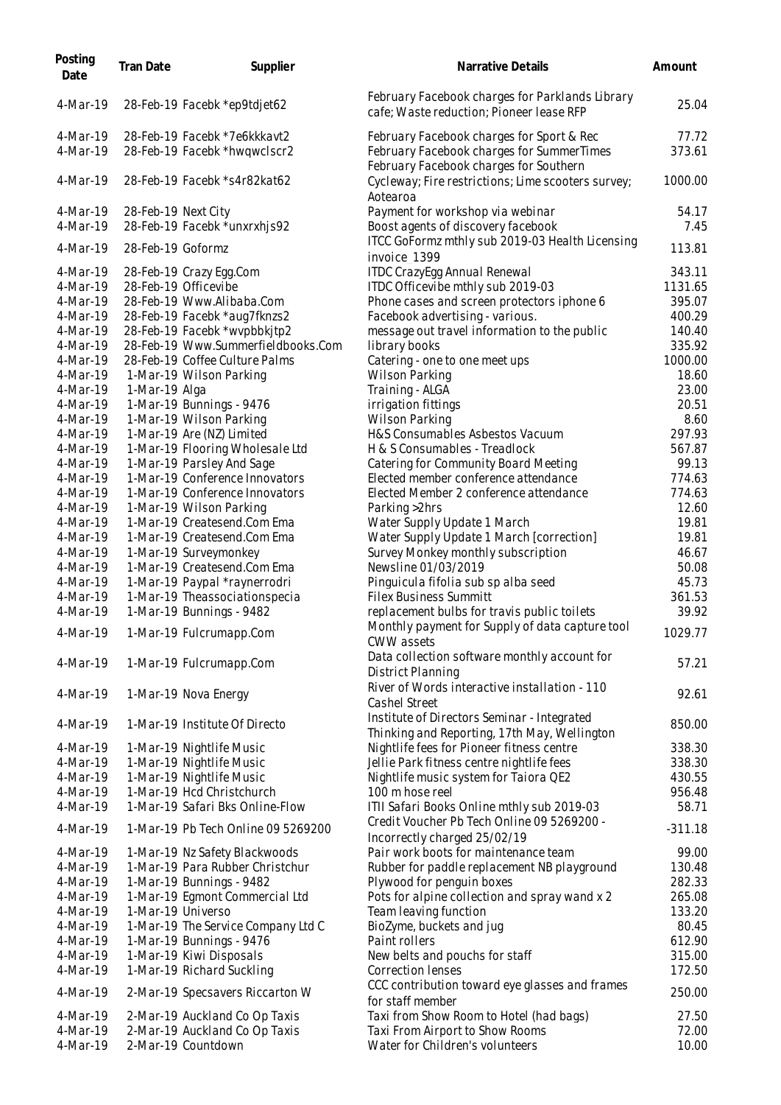| Posting<br>Date      | Tran Date           | Supplier                                             | Narrative Details                                                                           | Amount           |
|----------------------|---------------------|------------------------------------------------------|---------------------------------------------------------------------------------------------|------------------|
| 4-Mar-19             |                     | 28-Feb-19 Facebk *ep9tdjet62                         | February Facebook charges for Parklands Library<br>cafe; Waste reduction; Pioneer lease RFP | 25.04            |
| 4-Mar-19             |                     | 28-Feb-19 Facebk *7e6kkkavt2                         | February Facebook charges for Sport & Rec                                                   | 77.72            |
| 4-Mar-19             |                     | 28-Feb-19 Facebk *hwqwclscr2                         | February Facebook charges for SummerTimes<br>February Facebook charges for Southern         | 373.61           |
| 4-Mar-19             |                     | 28-Feb-19 Facebk *s4r82kat62                         | Cycleway; Fire restrictions; Lime scooters survey;<br>Aotearoa                              | 1000.00          |
| 4-Mar-19             | 28-Feb-19 Next City |                                                      | Payment for workshop via webinar                                                            | 54.17            |
| 4-Mar-19             |                     | 28-Feb-19 Facebk *unxrxhjs92                         | Boost agents of discovery facebook                                                          | 7.45             |
| 4-Mar-19             | 28-Feb-19 Goformz   |                                                      | ITCC GoFormz mthly sub 2019-03 Health Licensing<br>invoice_1399                             | 113.81           |
| 4-Mar-19             |                     | 28-Feb-19 Crazy Egg.Com                              | <b>ITDC CrazyEgg Annual Renewal</b>                                                         | 343.11           |
| 4-Mar-19             |                     | 28-Feb-19 Officevibe                                 | ITDC Officevibe mthly sub 2019-03                                                           | 1131.65          |
| 4-Mar-19             |                     | 28-Feb-19 Www.Alibaba.Com                            | Phone cases and screen protectors iphone 6                                                  | 395.07           |
| 4-Mar-19             |                     | 28-Feb-19 Facebk *aug7fknzs2                         | Facebook advertising - various.                                                             | 400.29           |
| 4-Mar-19             |                     | 28-Feb-19 Facebk *wvpbbkjtp2                         | message out travel information to the public                                                | 140.40           |
| 4-Mar-19             |                     | 28-Feb-19 Www.Summerfieldbooks.Com                   | library books                                                                               | 335.92           |
| 4-Mar-19             |                     | 28-Feb-19 Coffee Culture Palms                       | Catering - one to one meet ups                                                              | 1000.00          |
| 4-Mar-19             |                     | 1-Mar-19 Wilson Parking                              | Wilson Parking                                                                              | 18.60            |
| 4-Mar-19             | 1-Mar-19 Alga       |                                                      | Training - ALGA                                                                             | 23.00            |
| 4-Mar-19             |                     | 1-Mar-19 Bunnings - 9476                             | irrigation fittings                                                                         | 20.51            |
| 4-Mar-19             |                     | 1-Mar-19 Wilson Parking                              | <b>Wilson Parking</b>                                                                       | 8.60             |
| 4-Mar-19             |                     | 1-Mar-19 Are (NZ) Limited                            | H&S Consumables Asbestos Vacuum                                                             | 297.93           |
| 4-Mar-19             |                     | 1-Mar-19 Flooring Wholesale Ltd                      | H & S Consumables - Treadlock                                                               | 567.87           |
| 4-Mar-19             |                     | 1-Mar-19 Parsley And Sage                            | Catering for Community Board Meeting                                                        | 99.13            |
| 4-Mar-19             |                     | 1-Mar-19 Conference Innovators                       | Elected member conference attendance                                                        | 774.63           |
| 4-Mar-19             |                     | 1-Mar-19 Conference Innovators                       | Elected Member 2 conference attendance                                                      | 774.63           |
| 4-Mar-19             |                     | 1-Mar-19 Wilson Parking                              | Parking > 2hrs                                                                              | 12.60            |
| 4-Mar-19             |                     | 1-Mar-19 Createsend.Com Ema                          | Water Supply Update 1 March                                                                 | 19.81            |
| 4-Mar-19             |                     | 1-Mar-19 Createsend.Com Ema                          | Water Supply Update 1 March [correction]                                                    | 19.81            |
| 4-Mar-19             |                     | 1-Mar-19 Surveymonkey                                | Survey Monkey monthly subscription                                                          | 46.67            |
| 4-Mar-19             |                     | 1-Mar-19 Createsend.Com Ema                          | Newsline 01/03/2019                                                                         | 50.08            |
| 4-Mar-19             |                     | 1-Mar-19 Paypal *raynerrodri                         | Pinguicula fifolia sub sp alba seed                                                         | 45.73            |
| 4-Mar-19             |                     | 1-Mar-19 Theassociationspecia                        | <b>Filex Business Summitt</b>                                                               | 361.53           |
| 4-Mar-19             |                     | 1-Mar-19 Bunnings - 9482                             | replacement bulbs for travis public toilets                                                 | 39.92            |
| 4-Mar-19             |                     | 1-Mar-19 Fulcrumapp.Com                              | Monthly payment for Supply of data capture tool<br><b>CWW</b> assets                        | 1029.77          |
| 4-Mar-19             |                     | 1-Mar-19 Fulcrumapp.Com                              | Data collection software monthly account for<br>District Planning                           | 57.21            |
| 4-Mar-19             |                     | 1-Mar-19 Nova Energy                                 | River of Words interactive installation - 110<br>Cashel Street                              | 92.61            |
| 4-Mar-19             |                     | 1-Mar-19 Institute Of Directo                        | Institute of Directors Seminar - Integrated<br>Thinking and Reporting, 17th May, Wellington | 850.00           |
| 4-Mar-19             |                     | 1-Mar-19 Nightlife Music                             | Nightlife fees for Pioneer fitness centre                                                   | 338.30           |
| 4-Mar-19             |                     | 1-Mar-19 Nightlife Music                             | Jellie Park fitness centre nightlife fees                                                   | 338.30           |
| 4-Mar-19             |                     | 1-Mar-19 Nightlife Music                             | Nightlife music system for Taiora QE2                                                       | 430.55           |
| 4-Mar-19             |                     | 1-Mar-19 Hcd Christchurch                            | 100 m hose reel                                                                             | 956.48           |
| 4-Mar-19             |                     | 1-Mar-19 Safari Bks Online-Flow                      | ITII Safari Books Online mthly sub 2019-03<br>Credit Voucher Pb Tech Online 09 5269200 -    | 58.71            |
| 4-Mar-19             |                     | 1-Mar-19 Pb Tech Online 09 5269200                   | Incorrectly charged 25/02/19                                                                | $-311.18$        |
| 4-Mar-19             |                     | 1-Mar-19 Nz Safety Blackwoods                        | Pair work boots for maintenance team                                                        | 99.00            |
| 4-Mar-19             |                     | 1-Mar-19 Para Rubber Christchur                      | Rubber for paddle replacement NB playground                                                 | 130.48           |
| 4-Mar-19             |                     | 1-Mar-19 Bunnings - 9482                             | Plywood for penguin boxes                                                                   | 282.33           |
| 4-Mar-19             |                     | 1-Mar-19 Egmont Commercial Ltd                       | Pots for alpine collection and spray wand x 2                                               | 265.08           |
| 4-Mar-19             |                     | 1-Mar-19 Universo                                    | Team leaving function                                                                       | 133.20           |
| 4-Mar-19             |                     | 1-Mar-19 The Service Company Ltd C                   | BioZyme, buckets and jug                                                                    | 80.45            |
| 4-Mar-19             |                     | 1-Mar-19 Bunnings - 9476                             | Paint rollers                                                                               | 612.90           |
| 4-Mar-19<br>4-Mar-19 |                     | 1-Mar-19 Kiwi Disposals<br>1-Mar-19 Richard Suckling | New belts and pouchs for staff<br>Correction lenses                                         | 315.00<br>172.50 |
|                      |                     |                                                      | CCC contribution toward eye glasses and frames                                              |                  |
| 4-Mar-19             |                     | 2-Mar-19 Specsavers Riccarton W                      | for staff member                                                                            | 250.00           |
| 4-Mar-19             |                     | 2-Mar-19 Auckland Co Op Taxis                        | Taxi from Show Room to Hotel (had bags)                                                     | 27.50            |
| 4-Mar-19<br>4-Mar-19 |                     | 2-Mar-19 Auckland Co Op Taxis<br>2-Mar-19 Countdown  | Taxi From Airport to Show Rooms<br>Water for Children's volunteers                          | 72.00<br>10.00   |
|                      |                     |                                                      |                                                                                             |                  |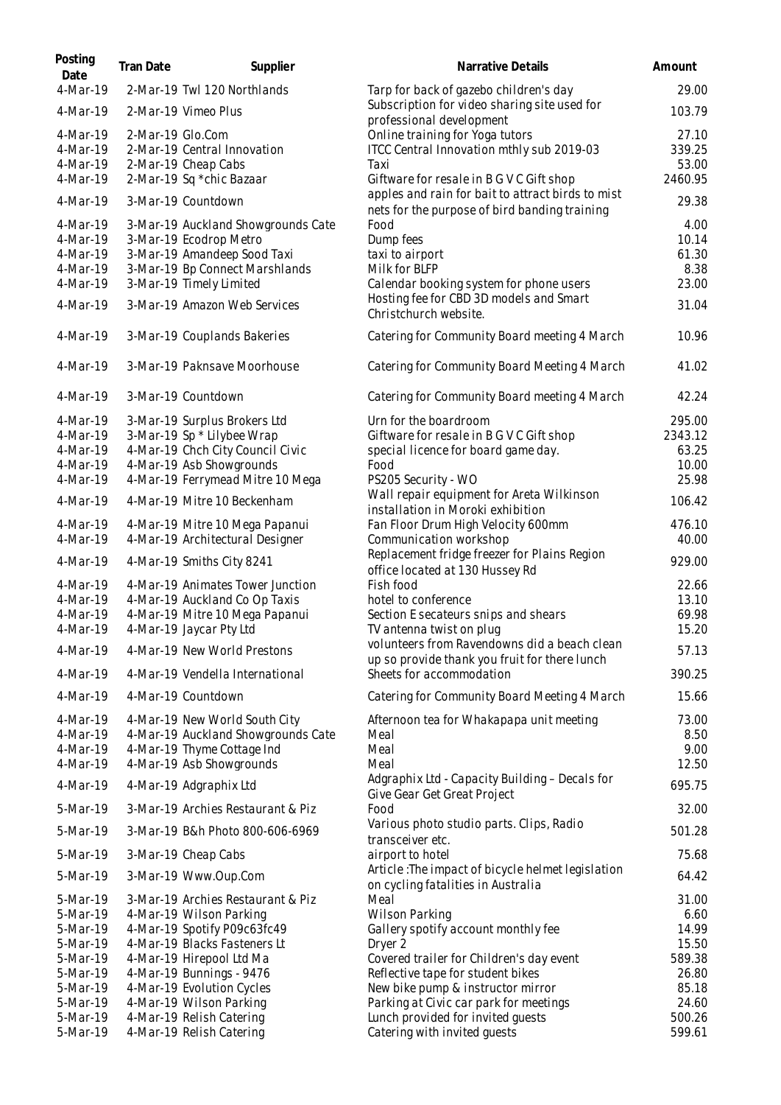| Posting<br>Date                                                                  | Tran Date        | Supplier                                                                                                                                                                                                         | Narrative Details                                                                                                                                                                                                                 | Amount                                                      |
|----------------------------------------------------------------------------------|------------------|------------------------------------------------------------------------------------------------------------------------------------------------------------------------------------------------------------------|-----------------------------------------------------------------------------------------------------------------------------------------------------------------------------------------------------------------------------------|-------------------------------------------------------------|
| 4-Mar-19                                                                         |                  | 2-Mar-19 Twl 120 Northlands                                                                                                                                                                                      | Tarp for back of gazebo children's day                                                                                                                                                                                            | 29.00                                                       |
| 4-Mar-19                                                                         |                  | 2-Mar-19 Vimeo Plus                                                                                                                                                                                              | Subscription for video sharing site used for<br>professional development                                                                                                                                                          | 103.79                                                      |
| 4-Mar-19<br>4-Mar-19<br>4-Mar-19<br>4-Mar-19                                     | 2-Mar-19 Glo.Com | 2-Mar-19 Central Innovation<br>2-Mar-19 Cheap Cabs<br>2-Mar-19 Sq *chic Bazaar                                                                                                                                   | Online training for Yoga tutors<br>ITCC Central Innovation mthly sub 2019-03<br>Taxi<br>Giftware for resale in B G V C Gift shop                                                                                                  | 27.10<br>339.25<br>53.00<br>2460.95                         |
| 4-Mar-19                                                                         |                  | 3-Mar-19 Countdown                                                                                                                                                                                               | apples and rain for bait to attract birds to mist<br>nets for the purpose of bird banding training                                                                                                                                | 29.38                                                       |
| 4-Mar-19<br>4-Mar-19<br>4-Mar-19<br>4-Mar-19<br>4-Mar-19<br>4-Mar-19             |                  | 3-Mar-19 Auckland Showgrounds Cate<br>3-Mar-19 Ecodrop Metro<br>3-Mar-19 Amandeep Sood Taxi<br>3-Mar-19 Bp Connect Marshlands<br>3-Mar-19 Timely Limited<br>3-Mar-19 Amazon Web Services                         | Food<br>Dump fees<br>taxi to airport<br>Milk for BLFP<br>Calendar booking system for phone users<br>Hosting fee for CBD 3D models and Smart                                                                                       | 4.00<br>10.14<br>61.30<br>8.38<br>23.00<br>31.04            |
|                                                                                  |                  |                                                                                                                                                                                                                  | Christchurch website.                                                                                                                                                                                                             |                                                             |
| 4-Mar-19                                                                         |                  | 3-Mar-19 Couplands Bakeries                                                                                                                                                                                      | Catering for Community Board meeting 4 March                                                                                                                                                                                      | 10.96                                                       |
| 4-Mar-19                                                                         |                  | 3-Mar-19 Paknsave Moorhouse                                                                                                                                                                                      | Catering for Community Board Meeting 4 March                                                                                                                                                                                      | 41.02                                                       |
| 4-Mar-19                                                                         |                  | 3-Mar-19 Countdown                                                                                                                                                                                               | Catering for Community Board meeting 4 March                                                                                                                                                                                      | 42.24                                                       |
| $4-Mar-19$<br>4-Mar-19<br>4-Mar-19<br>4-Mar-19<br>4-Mar-19                       |                  | 3-Mar-19 Surplus Brokers Ltd<br>3-Mar-19 Sp * Lilybee Wrap<br>4-Mar-19 Chch City Council Civic<br>4-Mar-19 Asb Showgrounds<br>4-Mar-19 Ferrymead Mitre 10 Mega                                                   | Urn for the boardroom<br>Giftware for resale in B G V C Gift shop<br>special licence for board game day.<br>Food<br>PS205 Security - WO                                                                                           | 295.00<br>2343.12<br>63.25<br>10.00<br>25.98                |
| 4-Mar-19                                                                         |                  | 4-Mar-19 Mitre 10 Beckenham                                                                                                                                                                                      | Wall repair equipment for Areta Wilkinson<br>installation in Moroki exhibition                                                                                                                                                    | 106.42                                                      |
| 4-Mar-19<br>4-Mar-19                                                             |                  | 4-Mar-19 Mitre 10 Mega Papanui<br>4-Mar-19 Architectural Designer                                                                                                                                                | Fan Floor Drum High Velocity 600mm<br>Communication workshop                                                                                                                                                                      | 476.10<br>40.00                                             |
| 4-Mar-19                                                                         |                  | 4-Mar-19 Smiths City 8241                                                                                                                                                                                        | Replacement fridge freezer for Plains Region<br>office located at 130 Hussey Rd                                                                                                                                                   | 929.00                                                      |
| 4-Mar-19<br>4-Mar-19<br>4-Mar-19<br>4-Mar-19<br>4-Mar-19<br>4-Mar-19             |                  | 4-Mar-19 Animates Tower Junction<br>4-Mar-19 Auckland Co Op Taxis<br>4-Mar-19 Mitre 10 Mega Papanui<br>4-Mar-19 Jaycar Pty Ltd<br>4-Mar-19 New World Prestons<br>4-Mar-19 Vendella International                 | Fish food<br>hotel to conference<br>Section E secateurs snips and shears<br>TV antenna twist on plug<br>volunteers from Ravendowns did a beach clean<br>up so provide thank you fruit for there lunch<br>Sheets for accommodation | 22.66<br>13.10<br>69.98<br>15.20<br>57.13<br>390.25         |
| 4-Mar-19                                                                         |                  | 4-Mar-19 Countdown                                                                                                                                                                                               | Catering for Community Board Meeting 4 March                                                                                                                                                                                      | 15.66                                                       |
| 4-Mar-19<br>4-Mar-19<br>4-Mar-19<br>4-Mar-19<br>4-Mar-19                         |                  | 4-Mar-19 New World South City<br>4-Mar-19 Auckland Showgrounds Cate<br>4-Mar-19 Thyme Cottage Ind<br>4-Mar-19 Asb Showgrounds<br>4-Mar-19 Adgraphix Ltd                                                          | Afternoon tea for Whakapapa unit meeting<br>Meal<br>Meal<br>Meal<br>Adgraphix Ltd - Capacity Building - Decals for                                                                                                                | 73.00<br>8.50<br>9.00<br>12.50<br>695.75                    |
| 5-Mar-19                                                                         |                  | 3-Mar-19 Archies Restaurant & Piz                                                                                                                                                                                | Give Gear Get Great Project<br>Food                                                                                                                                                                                               | 32.00                                                       |
| 5-Mar-19                                                                         |                  | 3-Mar-19 B&h Photo 800-606-6969                                                                                                                                                                                  | Various photo studio parts. Clips, Radio<br>transceiver etc.                                                                                                                                                                      | 501.28                                                      |
| 5-Mar-19                                                                         |                  | 3-Mar-19 Cheap Cabs                                                                                                                                                                                              | airport to hotel                                                                                                                                                                                                                  | 75.68                                                       |
| 5-Mar-19                                                                         |                  | 3-Mar-19 Www.Oup.Com                                                                                                                                                                                             | Article: The impact of bicycle helmet legislation<br>on cycling fatalities in Australia                                                                                                                                           | 64.42                                                       |
| 5-Mar-19<br>5-Mar-19<br>5-Mar-19<br>5-Mar-19<br>5-Mar-19<br>5-Mar-19<br>5-Mar-19 |                  | 3-Mar-19 Archies Restaurant & Piz<br>4-Mar-19 Wilson Parking<br>4-Mar-19 Spotify P09c63fc49<br>4-Mar-19 Blacks Fasteners Lt<br>4-Mar-19 Hirepool Ltd Ma<br>4-Mar-19 Bunnings - 9476<br>4-Mar-19 Evolution Cycles | Meal<br>Wilson Parking<br>Gallery spotify account monthly fee<br>Dryer 2<br>Covered trailer for Children's day event<br>Reflective tape for student bikes<br>New bike pump & instructor mirror                                    | 31.00<br>6.60<br>14.99<br>15.50<br>589.38<br>26.80<br>85.18 |
| 5-Mar-19<br>5-Mar-19<br>5-Mar-19                                                 |                  | 4-Mar-19 Wilson Parking<br>4-Mar-19 Relish Catering<br>4-Mar-19 Relish Catering                                                                                                                                  | Parking at Civic car park for meetings<br>Lunch provided for invited guests<br>Catering with invited guests                                                                                                                       | 24.60<br>500.26<br>599.61                                   |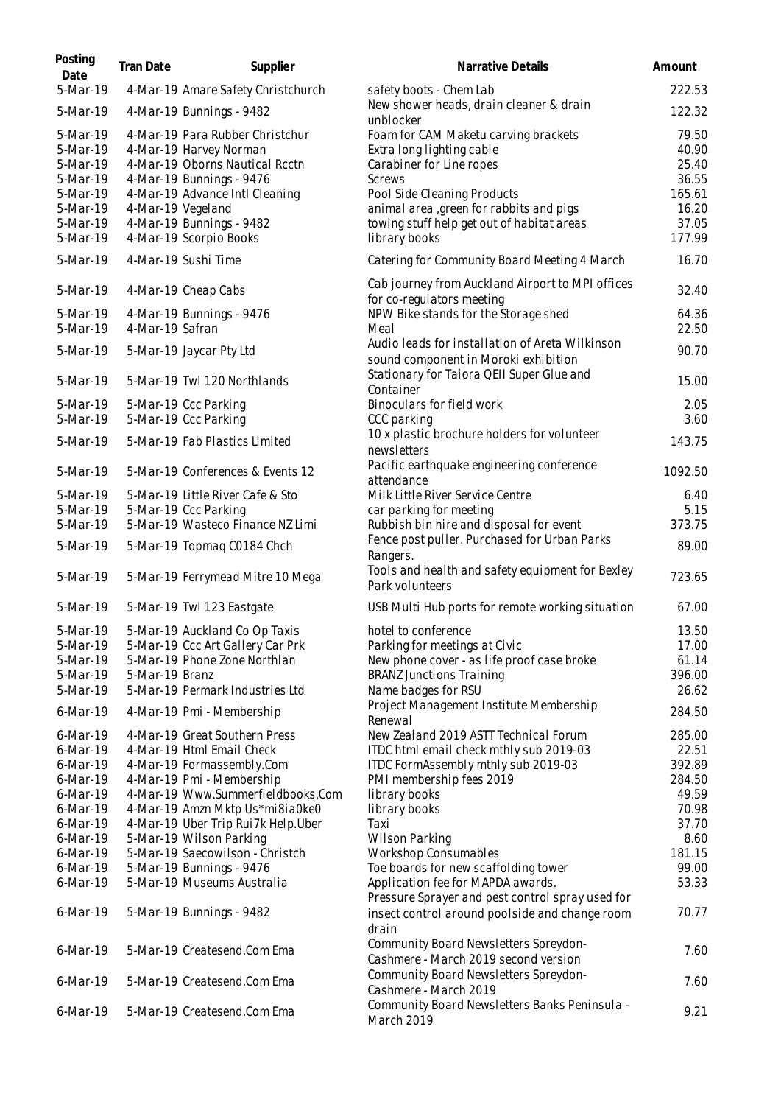| Posting<br>Date | Tran Date       | Supplier                            | Narrative Details                                                                       | Amount          |
|-----------------|-----------------|-------------------------------------|-----------------------------------------------------------------------------------------|-----------------|
| 5-Mar-19        |                 | 4-Mar-19 Amare Safety Christchurch  | safety boots - Chem Lab                                                                 | 222.53          |
| 5-Mar-19        |                 | 4-Mar-19 Bunnings - 9482            | New shower heads, drain cleaner & drain<br>unblocker                                    | 122.32          |
| 5-Mar-19        |                 | 4-Mar-19 Para Rubber Christchur     | Foam for CAM Maketu carving brackets                                                    | 79.50           |
| 5-Mar-19        |                 | 4-Mar-19 Harvey Norman              | Extra long lighting cable                                                               | 40.90           |
| 5-Mar-19        |                 | 4-Mar-19 Oborns Nautical Rcctn      | Carabiner for Line ropes                                                                | 25.40           |
| 5-Mar-19        |                 | 4-Mar-19 Bunnings - 9476            | <b>Screws</b>                                                                           | 36.55           |
| 5-Mar-19        |                 | 4-Mar-19 Advance Intl Cleaning      | Pool Side Cleaning Products                                                             | 165.61          |
| 5-Mar-19        |                 | 4-Mar-19 Vegeland                   | animal area , green for rabbits and pigs                                                | 16.20           |
| 5-Mar-19        |                 | 4-Mar-19 Bunnings - 9482            | towing stuff help get out of habitat areas                                              | 37.05           |
| 5-Mar-19        |                 | 4-Mar-19 Scorpio Books              | library books                                                                           | 177.99          |
| 5-Mar-19        |                 | 4-Mar-19 Sushi Time                 | Catering for Community Board Meeting 4 March                                            | 16.70           |
| 5-Mar-19        |                 | 4-Mar-19 Cheap Cabs                 | Cab journey from Auckland Airport to MPI offices<br>for co-regulators meeting           | 32.40           |
| 5-Mar-19        |                 | 4-Mar-19 Bunnings - 9476            | NPW Bike stands for the Storage shed                                                    | 64.36           |
| 5-Mar-19        | 4-Mar-19 Safran |                                     | Meal                                                                                    | 22.50           |
| 5-Mar-19        |                 | 5-Mar-19 Jaycar Pty Ltd             | Audio leads for installation of Areta Wilkinson<br>sound component in Moroki exhibition | 90.70           |
| 5-Mar-19        |                 | 5-Mar-19 Twl 120 Northlands         | Stationary for Taiora QEII Super Glue and<br>Container                                  | 15.00           |
| 5-Mar-19        |                 | 5-Mar-19 Ccc Parking                | Binoculars for field work                                                               | 2.05            |
| 5-Mar-19        |                 | 5-Mar-19 Ccc Parking                | CCC parking                                                                             | 3.60            |
|                 |                 |                                     | 10 x plastic brochure holders for volunteer                                             |                 |
| 5-Mar-19        |                 | 5-Mar-19 Fab Plastics Limited       | newsletters                                                                             | 143.75          |
| 5-Mar-19        |                 | 5-Mar-19 Conferences & Events 12    | Pacific earthquake engineering conference<br>attendance                                 | 1092.50         |
| 5-Mar-19        |                 | 5-Mar-19 Little River Cafe & Sto    | Milk Little River Service Centre                                                        | 6.40            |
| 5-Mar-19        |                 | 5-Mar-19 Ccc Parking                | car parking for meeting                                                                 | 5.15            |
| 5-Mar-19        |                 | 5-Mar-19 Wasteco Finance NZ Limi    | Rubbish bin hire and disposal for event                                                 | 373.75          |
| 5-Mar-19        |                 | 5-Mar-19 Topmaq C0184 Chch          | Fence post puller. Purchased for Urban Parks<br>Rangers.                                | 89.00           |
| 5-Mar-19        |                 | 5-Mar-19 Ferrymead Mitre 10 Mega    | Tools and health and safety equipment for Bexley<br>Park volunteers                     | 723.65          |
| 5-Mar-19        |                 | 5-Mar-19 Twl 123 Eastgate           | USB Multi Hub ports for remote working situation                                        | 67.00           |
| 5-Mar-19        |                 | 5-Mar-19 Auckland Co Op Taxis       | hotel to conference                                                                     | 13.50           |
| 5-Mar-19        |                 | 5-Mar-19 Ccc Art Gallery Car Prk    | Parking for meetings at Civic                                                           | 17.00           |
| 5-Mar-19        |                 | 5-Mar-19 Phone Zone Northlan        | New phone cover - as life proof case broke                                              | 61.14           |
| 5-Mar-19        | 5-Mar-19 Branz  |                                     | <b>BRANZ Junctions Training</b>                                                         | 396.00          |
| 5-Mar-19        |                 | 5-Mar-19 Permark Industries Ltd     | Name badges for RSU                                                                     | 26.62           |
| 6-Mar-19        |                 | 4-Mar-19 Pmi - Membership           | Project Management Institute Membership                                                 | 284.50          |
|                 |                 |                                     | Renewal<br>New Zealand 2019 ASTT Technical Forum                                        | 285.00          |
| $6$ -Mar-19     |                 | 4-Mar-19 Great Southern Press       |                                                                                         |                 |
| $6$ -Mar-19     |                 | 4-Mar-19 Html Email Check           | ITDC html email check mthly sub 2019-03                                                 | 22.51           |
| $6$ -Mar-19     |                 | 4-Mar-19 Formassembly.Com           | ITDC FormAssembly mthly sub 2019-03                                                     | 392.89          |
| $6$ -Mar-19     |                 | 4-Mar-19 Pmi - Membership           | PMI membership fees 2019                                                                | 284.50          |
| 6-Mar-19        |                 | 4-Mar-19 Www.Summerfieldbooks.Com   | library books                                                                           | 49.59           |
| 6-Mar-19        |                 | 4-Mar-19 Amzn Mktp Us*mi8ia0ke0     | library books                                                                           | 70.98           |
| 6-Mar-19        |                 | 4-Mar-19 Uber Trip Rui7k Help. Uber | Taxi                                                                                    | 37.70           |
| 6-Mar-19        |                 | 5-Mar-19 Wilson Parking             | <b>Wilson Parking</b>                                                                   | 8.60            |
| 6-Mar-19        |                 | 5-Mar-19 Saecowilson - Christch     | Workshop Consumables                                                                    | 181.15<br>99.00 |
| $6$ -Mar-19     |                 | 5-Mar-19 Bunnings - 9476            | Toe boards for new scaffolding tower                                                    |                 |
| 6-Mar-19        |                 | 5-Mar-19 Museums Australia          | Application fee for MAPDA awards.<br>Pressure Sprayer and pest control spray used for   | 53.33           |
| $6$ -Mar-19     |                 | 5-Mar-19 Bunnings - 9482            | insect control around poolside and change room<br>drain                                 | 70.77           |
| 6-Mar-19        |                 | 5-Mar-19 Createsend.Com Ema         | Community Board Newsletters Spreydon-<br>Cashmere - March 2019 second version           | 7.60            |
|                 |                 |                                     | Community Board Newsletters Spreydon-                                                   |                 |
| $6$ -Mar-19     |                 | 5-Mar-19 Createsend.Com Ema         | Cashmere - March 2019                                                                   | 7.60            |
| 6-Mar-19        |                 | 5-Mar-19 Createsend.Com Ema         | Community Board Newsletters Banks Peninsula -<br>March 2019                             | 9.21            |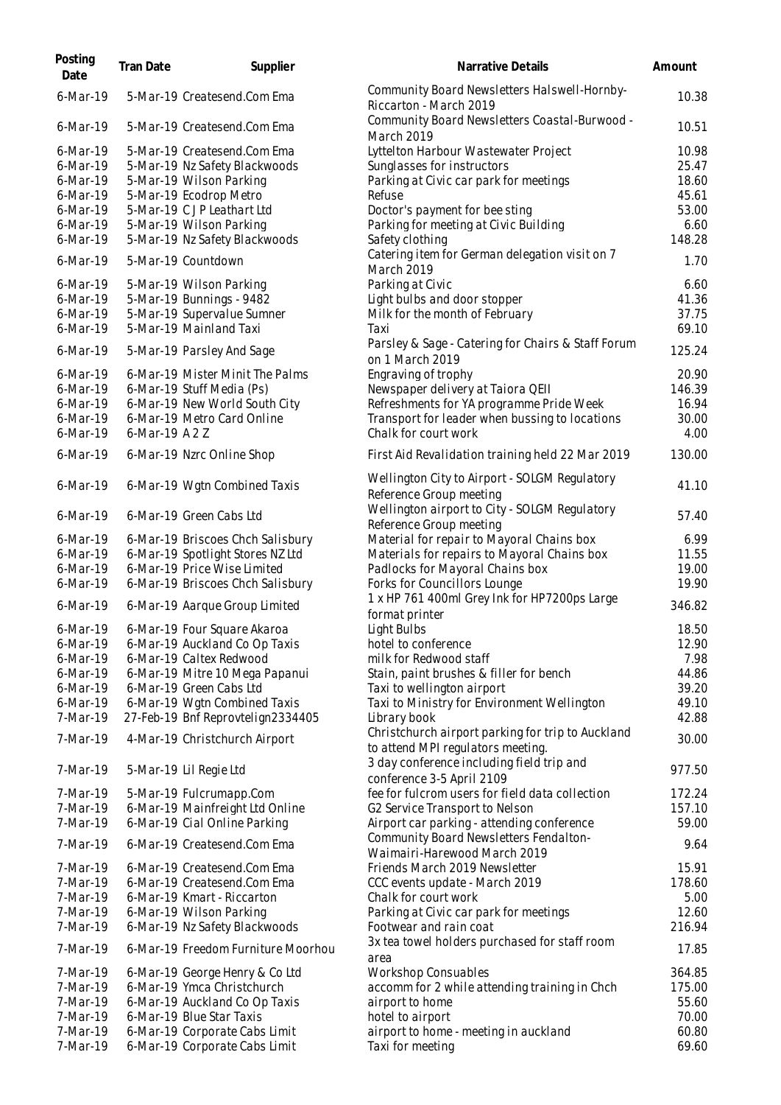| Posting<br>Date | Tran Date    | Supplier                                                  | Narrative Details                                                                      | Amount |
|-----------------|--------------|-----------------------------------------------------------|----------------------------------------------------------------------------------------|--------|
| $6$ -Mar-19     |              | 5-Mar-19 Createsend.Com Ema                               | Community Board Newsletters Halswell-Hornby-<br>Riccarton - March 2019                 | 10.38  |
| 6-Mar-19        |              | 5-Mar-19 Createsend.Com Ema                               | Community Board Newsletters Coastal-Burwood -<br>March 2019                            | 10.51  |
| 6-Mar-19        |              | 5-Mar-19 Createsend.Com Ema                               | Lyttelton Harbour Wastewater Project                                                   | 10.98  |
| $6$ -Mar-19     |              | 5-Mar-19 Nz Safety Blackwoods                             | Sunglasses for instructors                                                             | 25.47  |
| 6-Mar-19        |              | 5-Mar-19 Wilson Parking                                   | Parking at Civic car park for meetings                                                 | 18.60  |
| 6-Mar-19        |              | 5-Mar-19 Ecodrop Metro                                    | Refuse                                                                                 | 45.61  |
| 6-Mar-19        |              | 5-Mar-19 CJP Leathart Ltd                                 | Doctor's payment for bee sting                                                         | 53.00  |
| 6-Mar-19        |              | 5-Mar-19 Wilson Parking                                   | Parking for meeting at Civic Building                                                  | 6.60   |
| $6$ -Mar-19     |              | 5-Mar-19 Nz Safety Blackwoods                             | Safety clothing                                                                        | 148.28 |
| 6-Mar-19        |              | 5-Mar-19 Countdown                                        | Catering item for German delegation visit on 7<br>March 2019                           | 1.70   |
| 6-Mar-19        |              | 5-Mar-19 Wilson Parking                                   | Parking at Civic                                                                       | 6.60   |
| 6-Mar-19        |              | 5-Mar-19 Bunnings - 9482                                  | Light bulbs and door stopper                                                           | 41.36  |
| 6-Mar-19        |              | 5-Mar-19 Supervalue Sumner                                | Milk for the month of February                                                         | 37.75  |
| 6-Mar-19        |              | 5-Mar-19 Mainland Taxi                                    | Taxi                                                                                   | 69.10  |
|                 |              |                                                           | Parsley & Sage - Catering for Chairs & Staff Forum                                     |        |
| 6-Mar-19        |              | 5-Mar-19 Parsley And Sage                                 | on 1 March 2019                                                                        | 125.24 |
| $6$ -Mar-19     |              | 6-Mar-19 Mister Minit The Palms                           | Engraving of trophy                                                                    | 20.90  |
| $6$ -Mar-19     |              | 6-Mar-19 Stuff Media (Ps)                                 | Newspaper delivery at Taiora QEII                                                      | 146.39 |
| 6-Mar-19        |              | 6-Mar-19 New World South City                             | Refreshments for YA programme Pride Week                                               | 16.94  |
| 6-Mar-19        |              | 6-Mar-19 Metro Card Online                                | Transport for leader when bussing to locations                                         | 30.00  |
| $6$ -Mar-19     | 6-Mar-19 A2Z |                                                           | Chalk for court work                                                                   | 4.00   |
|                 |              |                                                           |                                                                                        |        |
| $6$ -Mar-19     |              | 6-Mar-19 Nzrc Online Shop                                 | First Aid Revalidation training held 22 Mar 2019                                       | 130.00 |
| 6-Mar-19        |              | 6-Mar-19 Wgtn Combined Taxis                              | Wellington City to Airport - SOLGM Regulatory<br>Reference Group meeting               | 41.10  |
| $6$ -Mar-19     |              | 6-Mar-19 Green Cabs Ltd                                   | Wellington airport to City - SOLGM Regulatory<br>Reference Group meeting               | 57.40  |
| $6$ -Mar-19     |              | 6-Mar-19 Briscoes Chch Salisbury                          | Material for repair to Mayoral Chains box                                              | 6.99   |
| 6-Mar-19        |              | 6-Mar-19 Spotlight Stores NZ Ltd                          | Materials for repairs to Mayoral Chains box                                            | 11.55  |
| 6-Mar-19        |              | 6-Mar-19 Price Wise Limited                               | Padlocks for Mayoral Chains box                                                        | 19.00  |
| 6-Mar-19        |              | 6-Mar-19 Briscoes Chch Salisbury                          | Forks for Councillors Lounge                                                           | 19.90  |
| 6-Mar-19        |              | 6-Mar-19 Aarque Group Limited                             | 1 x HP 761 400ml Grey Ink for HP7200ps Large<br>format printer                         | 346.82 |
| 6-Mar-19        |              | 6-Mar-19 Four Square Akaroa                               | Light Bulbs                                                                            | 18.50  |
| 6-Mar-19        |              | 6-Mar-19 Auckland Co Op Taxis                             | hotel to conference                                                                    | 12.90  |
|                 |              |                                                           | milk for Redwood staff                                                                 | 7.98   |
| 6-Mar-19        |              | 6-Mar-19 Caltex Redwood                                   |                                                                                        |        |
| 6-Mar-19        |              | 6-Mar-19 Mitre 10 Mega Papanui                            | Stain, paint brushes & filler for bench                                                | 44.86  |
| 6-Mar-19        |              | 6-Mar-19 Green Cabs Ltd                                   | Taxi to wellington airport                                                             | 39.20  |
| 6-Mar-19        |              | 6-Mar-19 Wgtn Combined Taxis                              | Taxi to Ministry for Environment Wellington                                            | 49.10  |
| 7-Mar-19        |              | 27-Feb-19 Bnf Reprovtelign2334405                         | Library book                                                                           | 42.88  |
| 7-Mar-19        |              | 4-Mar-19 Christchurch Airport                             | Christchurch airport parking for trip to Auckland<br>to attend MPI regulators meeting. | 30.00  |
| 7-Mar-19        |              | 5-Mar-19 Lil Regie Ltd                                    | 3 day conference including field trip and                                              | 977.50 |
| 7-Mar-19        |              |                                                           | conference 3-5 April 2109<br>fee for fulcrom users for field data collection           | 172.24 |
|                 |              | 5-Mar-19 Fulcrumapp.Com                                   |                                                                                        | 157.10 |
| 7-Mar-19        |              | 6-Mar-19 Mainfreight Ltd Online                           | G2 Service Transport to Nelson                                                         |        |
| 7-Mar-19        |              | 6-Mar-19 Cial Online Parking                              | Airport car parking - attending conference                                             | 59.00  |
| 7-Mar-19        |              | 6-Mar-19 Createsend.Com Ema                               | Community Board Newsletters Fendalton-<br>Waimairi-Harewood March 2019                 | 9.64   |
| 7-Mar-19        |              | 6-Mar-19 Createsend.Com Ema                               | Friends March 2019 Newsletter                                                          | 15.91  |
| 7-Mar-19        |              | 6-Mar-19 Createsend.Com Ema                               | CCC events update - March 2019                                                         | 178.60 |
| 7-Mar-19        |              | 6-Mar-19 Kmart - Riccarton                                | Chalk for court work                                                                   | 5.00   |
| 7-Mar-19        |              | 6-Mar-19 Wilson Parking                                   | Parking at Civic car park for meetings                                                 | 12.60  |
| 7-Mar-19        |              | 6-Mar-19 Nz Safety Blackwoods                             | Footwear and rain coat                                                                 | 216.94 |
| 7-Mar-19        |              | 6-Mar-19 Freedom Furniture Moorhou                        | 3x tea towel holders purchased for staff room<br>area                                  | 17.85  |
| 7-Mar-19        |              | 6-Mar-19 George Henry & Co Ltd                            | Workshop Consuables                                                                    | 364.85 |
| 7-Mar-19        |              | 6-Mar-19 Ymca Christchurch                                | accomm for 2 while attending training in Chch                                          | 175.00 |
| 7-Mar-19        |              |                                                           |                                                                                        | 55.60  |
| 7-Mar-19        |              | 6-Mar-19 Auckland Co Op Taxis<br>6-Mar-19 Blue Star Taxis | airport to home                                                                        |        |
|                 |              |                                                           | hotel to airport                                                                       | 70.00  |
| 7-Mar-19        |              | 6-Mar-19 Corporate Cabs Limit                             | airport to home - meeting in auckland                                                  | 60.80  |
| 7-Mar-19        |              | 6-Mar-19 Corporate Cabs Limit                             | Taxi for meeting                                                                       | 69.60  |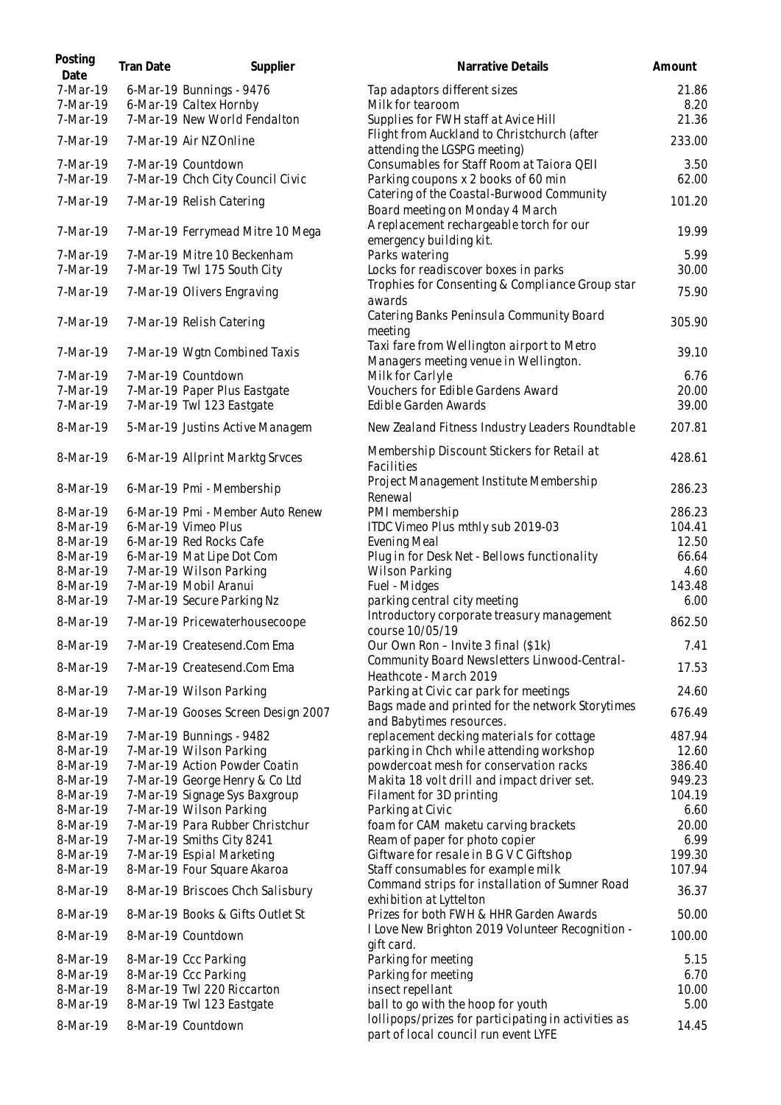| Posting<br>Date      | Tran Date | Supplier                                     | Narrative Details                                                                   | Amount       |
|----------------------|-----------|----------------------------------------------|-------------------------------------------------------------------------------------|--------------|
| 7-Mar-19             |           | 6-Mar-19 Bunnings - 9476                     | Tap adaptors different sizes                                                        | 21.86        |
| 7-Mar-19             |           | 6-Mar-19 Caltex Hornby                       | Milk for tearoom                                                                    | 8.20         |
| 7-Mar-19             |           | 7-Mar-19 New World Fendalton                 | Supplies for FWH staff at Avice Hill<br>Flight from Auckland to Christchurch (after | 21.36        |
| 7-Mar-19             |           | 7-Mar-19 Air NZ Online                       | attending the LGSPG meeting)                                                        | 233.00       |
| 7-Mar-19             |           | 7-Mar-19 Countdown                           | Consumables for Staff Room at Taiora QEII                                           | 3.50         |
| 7-Mar-19             |           | 7-Mar-19 Chch City Council Civic             | Parking coupons x 2 books of 60 min                                                 | 62.00        |
| 7-Mar-19             |           | 7-Mar-19 Relish Catering                     | Catering of the Coastal-Burwood Community                                           | 101.20       |
|                      |           |                                              | Board meeting on Monday 4 March<br>A replacement rechargeable torch for our         |              |
| 7-Mar-19             |           | 7-Mar-19 Ferrymead Mitre 10 Mega             | emergency building kit.                                                             | 19.99        |
| 7-Mar-19             |           | 7-Mar-19 Mitre 10 Beckenham                  | Parks watering                                                                      | 5.99         |
| 7-Mar-19             |           | 7-Mar-19 Twl 175 South City                  | Locks for readiscover boxes in parks                                                | 30.00        |
| 7-Mar-19             |           | 7-Mar-19 Olivers Engraving                   | Trophies for Consenting & Compliance Group star                                     | 75.90        |
|                      |           |                                              | awards                                                                              |              |
| 7-Mar-19             |           | 7-Mar-19 Relish Catering                     | Catering Banks Peninsula Community Board                                            | 305.90       |
|                      |           |                                              | meeting<br>Taxi fare from Wellington airport to Metro                               |              |
| 7-Mar-19             |           | 7-Mar-19 Wgtn Combined Taxis                 | Managers meeting venue in Wellington.                                               | 39.10        |
| 7-Mar-19             |           | 7-Mar-19 Countdown                           | Milk for Carlyle                                                                    | 6.76         |
| 7-Mar-19             |           | 7-Mar-19 Paper Plus Eastgate                 | Vouchers for Edible Gardens Award                                                   | 20.00        |
| 7-Mar-19             |           | 7-Mar-19 Twl 123 Eastgate                    | Edible Garden Awards                                                                | 39.00        |
| 8-Mar-19             |           | 5-Mar-19 Justins Active Managem              | New Zealand Fitness Industry Leaders Roundtable                                     | 207.81       |
| 8-Mar-19             |           | 6-Mar-19 Allprint Marktg Srvces              | Membership Discount Stickers for Retail at                                          | 428.61       |
|                      |           |                                              | Facilities                                                                          |              |
| 8-Mar-19             |           | 6-Mar-19 Pmi - Membership                    | Project Management Institute Membership                                             | 286.23       |
| 8-Mar-19             |           | 6-Mar-19 Pmi - Member Auto Renew             | Renewal<br>PMI membership                                                           | 286.23       |
| 8-Mar-19             |           | 6-Mar-19 Vimeo Plus                          | ITDC Vimeo Plus mthly sub 2019-03                                                   | 104.41       |
| 8-Mar-19             |           | 6-Mar-19 Red Rocks Cafe                      | <b>Evening Meal</b>                                                                 | 12.50        |
| 8-Mar-19             |           | 6-Mar-19 Mat Lipe Dot Com                    | Plug in for Desk Net - Bellows functionality                                        | 66.64        |
| 8-Mar-19             |           | 7-Mar-19 Wilson Parking                      | Wilson Parking                                                                      | 4.60         |
| 8-Mar-19             |           | 7-Mar-19 Mobil Aranui                        | Fuel - Midges                                                                       | 143.48       |
| 8-Mar-19             |           | 7-Mar-19 Secure Parking Nz                   | parking central city meeting                                                        | 6.00         |
| 8-Mar-19             |           | 7-Mar-19 Pricewaterhousecoope                | Introductory corporate treasury management<br>course 10/05/19                       | 862.50       |
| 8-Mar-19             |           | 7-Mar-19 Createsend.Com Ema                  | Our Own Ron - Invite 3 final (\$1k)                                                 | 7.41         |
| 8-Mar-19             |           | 7-Mar-19 Createsend.Com Ema                  | Community Board Newsletters Linwood-Central-                                        | 17.53        |
|                      |           |                                              | Heathcote - March 2019                                                              |              |
| 8-Mar-19             |           | 7-Mar-19 Wilson Parking                      | Parking at Civic car park for meetings                                              | 24.60        |
| 8-Mar-19             |           | 7-Mar-19 Gooses Screen Design 2007           | Bags made and printed for the network Storytimes                                    | 676.49       |
| 8-Mar-19             |           | 7-Mar-19 Bunnings - 9482                     | and Babytimes resources.<br>replacement decking materials for cottage               | 487.94       |
| 8-Mar-19             |           | 7-Mar-19 Wilson Parking                      | parking in Chch while attending workshop                                            | 12.60        |
| 8-Mar-19             |           | 7-Mar-19 Action Powder Coatin                | powdercoat mesh for conservation racks                                              | 386.40       |
| 8-Mar-19             |           | 7-Mar-19 George Henry & Co Ltd               | Makita 18 volt drill and impact driver set.                                         | 949.23       |
| 8-Mar-19             |           | 7-Mar-19 Signage Sys Baxgroup                | Filament for 3D printing                                                            | 104.19       |
| 8-Mar-19             |           | 7-Mar-19 Wilson Parking                      | Parking at Civic                                                                    | 6.60         |
| 8-Mar-19             |           | 7-Mar-19 Para Rubber Christchur              | foam for CAM maketu carving brackets                                                | 20.00        |
| 8-Mar-19             |           | 7-Mar-19 Smiths City 8241                    | Ream of paper for photo copier                                                      | 6.99         |
| 8-Mar-19             |           | 7-Mar-19 Espial Marketing                    | Giftware for resale in B G V C Giftshop                                             | 199.30       |
| 8-Mar-19             |           | 8-Mar-19 Four Square Akaroa                  | Staff consumables for example milk                                                  | 107.94       |
| 8-Mar-19             |           | 8-Mar-19 Briscoes Chch Salisbury             | Command strips for installation of Sumner Road                                      | 36.37        |
| 8-Mar-19             |           | 8-Mar-19 Books & Gifts Outlet St             | exhibition at Lyttelton<br>Prizes for both FWH & HHR Garden Awards                  | 50.00        |
| 8-Mar-19             |           | 8-Mar-19 Countdown                           | I Love New Brighton 2019 Volunteer Recognition -                                    | 100.00       |
|                      |           |                                              | gift card.                                                                          |              |
| 8-Mar-19<br>8-Mar-19 |           | 8-Mar-19 Ccc Parking<br>8-Mar-19 Ccc Parking | Parking for meeting                                                                 | 5.15<br>6.70 |
| 8-Mar-19             |           | 8-Mar-19 Twl 220 Riccarton                   | Parking for meeting<br>insect repellant                                             | 10.00        |
| 8-Mar-19             |           | 8-Mar-19 Twl 123 Eastgate                    | ball to go with the hoop for youth                                                  | 5.00         |
|                      |           |                                              | Iollipops/prizes for participating in activities as                                 |              |
| 8-Mar-19             |           | 8-Mar-19 Countdown                           | part of local council run event LYFE                                                | 14.45        |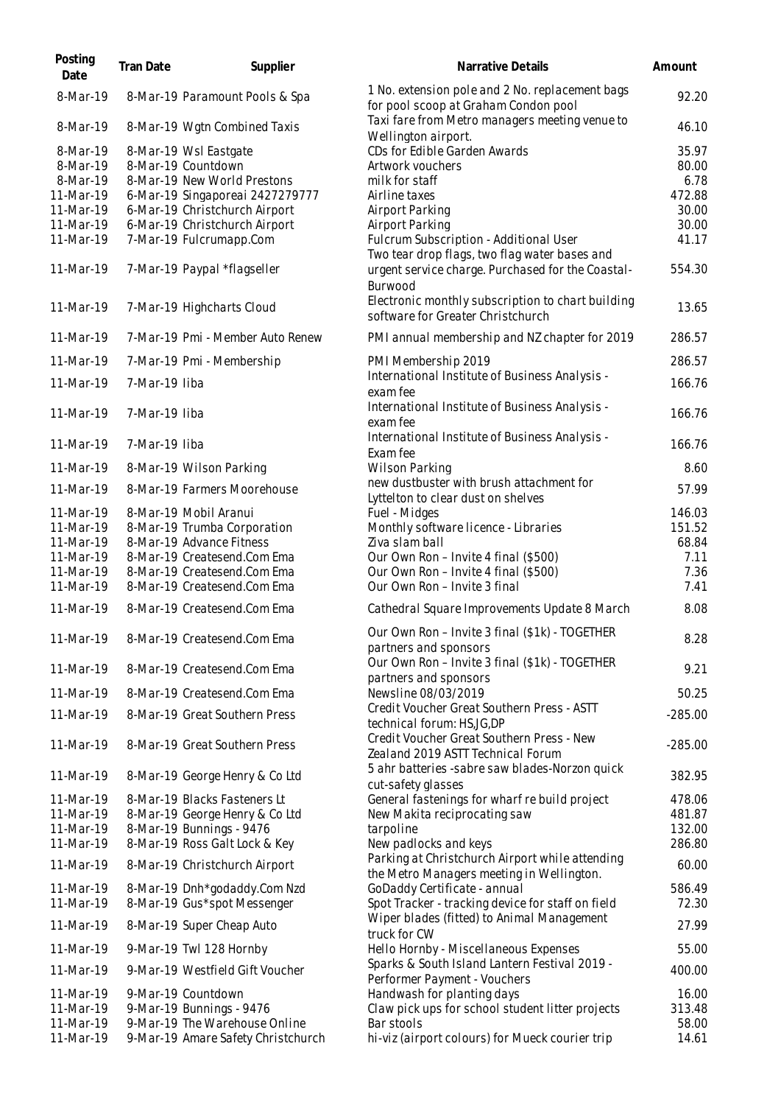| Posting<br>Date        | Tran Date     | Supplier                                                   | Narrative Details                                                                            | Amount       |
|------------------------|---------------|------------------------------------------------------------|----------------------------------------------------------------------------------------------|--------------|
| 8-Mar-19               |               | 8-Mar-19 Paramount Pools & Spa                             | 1 No. extension pole and 2 No. replacement bags<br>for pool scoop at Graham Condon pool      | 92.20        |
| 8-Mar-19               |               | 8-Mar-19 Wgtn Combined Taxis                               | Taxi fare from Metro managers meeting venue to<br>Wellington airport.                        | 46.10        |
| 8-Mar-19               |               | 8-Mar-19 Wsl Eastgate                                      | CDs for Edible Garden Awards                                                                 | 35.97        |
| 8-Mar-19               |               | 8-Mar-19 Countdown                                         | Artwork vouchers                                                                             | 80.00        |
| 8-Mar-19               |               | 8-Mar-19 New World Prestons                                | milk for staff                                                                               | 6.78         |
| 11-Mar-19              |               | 6-Mar-19 Singaporeai 2427279777                            | Airline taxes                                                                                | 472.88       |
| 11-Mar-19              |               | 6-Mar-19 Christchurch Airport                              | Airport Parking                                                                              | 30.00        |
| 11-Mar-19              |               | 6-Mar-19 Christchurch Airport                              | Airport Parking                                                                              | 30.00        |
| 11-Mar-19              |               | 7-Mar-19 Fulcrumapp.Com                                    | Fulcrum Subscription - Additional User<br>Two tear drop flags, two flag water bases and      | 41.17        |
| 11-Mar-19              |               | 7-Mar-19 Paypal *flagseller                                | urgent service charge. Purchased for the Coastal-<br>Burwood                                 | 554.30       |
| 11-Mar-19              |               | 7-Mar-19 Highcharts Cloud                                  | Electronic monthly subscription to chart building<br>software for Greater Christchurch       | 13.65        |
| 11-Mar-19              |               | 7-Mar-19 Pmi - Member Auto Renew                           | PMI annual membership and NZ chapter for 2019                                                | 286.57       |
| 11-Mar-19              |               | 7-Mar-19 Pmi - Membership                                  | PMI Membership 2019                                                                          | 286.57       |
| 11-Mar-19              | 7-Mar-19 liba |                                                            | International Institute of Business Analysis -<br>exam fee                                   | 166.76       |
| 11-Mar-19              | 7-Mar-19 liba |                                                            | International Institute of Business Analysis -<br>exam fee                                   | 166.76       |
| 11-Mar-19              | 7-Mar-19 liba |                                                            | International Institute of Business Analysis -<br>Exam fee                                   | 166.76       |
| 11-Mar-19              |               | 8-Mar-19 Wilson Parking                                    | <b>Wilson Parking</b>                                                                        | 8.60         |
| 11-Mar-19              |               | 8-Mar-19 Farmers Moorehouse                                | new dustbuster with brush attachment for<br>Lyttelton to clear dust on shelves               | 57.99        |
| 11-Mar-19              |               | 8-Mar-19 Mobil Aranui                                      | Fuel - Midges                                                                                | 146.03       |
| 11-Mar-19              |               | 8-Mar-19 Trumba Corporation                                | Monthly software licence - Libraries                                                         | 151.52       |
| 11-Mar-19              |               | 8-Mar-19 Advance Fitness                                   | Ziva slam ball                                                                               | 68.84        |
| 11-Mar-19              |               | 8-Mar-19 Createsend.Com Ema                                | Our Own Ron - Invite 4 final (\$500)                                                         | 7.11         |
| 11-Mar-19<br>11-Mar-19 |               | 8-Mar-19 Createsend.Com Ema<br>8-Mar-19 Createsend.Com Ema | Our Own Ron - Invite 4 final (\$500)<br>Our Own Ron - Invite 3 final                         | 7.36<br>7.41 |
| 11-Mar-19              |               | 8-Mar-19 Createsend.Com Ema                                | Cathedral Square Improvements Update 8 March                                                 | 8.08         |
|                        |               | 11-Mar-19 8-Mar-19 Createsend.Com Ema                      | Our Own Ron - Invite 3 final (\$1k) - TOGETHER                                               | 8.28         |
|                        |               |                                                            | partners and sponsors<br>Our Own Ron - Invite 3 final (\$1k) - TOGETHER                      |              |
| 11-Mar-19              |               | 8-Mar-19 Createsend.Com Ema                                | partners and sponsors                                                                        | 9.21         |
| 11-Mar-19              |               | 8-Mar-19 Createsend.Com Ema                                | Newsline 08/03/2019                                                                          | 50.25        |
| 11-Mar-19              |               | 8-Mar-19 Great Southern Press                              | Credit Voucher Great Southern Press - ASTT<br>technical forum: HS,JG,DP                      | $-285.00$    |
|                        |               |                                                            | Credit Voucher Great Southern Press - New                                                    |              |
| 11-Mar-19              |               | 8-Mar-19 Great Southern Press                              | Zealand 2019 ASTT Technical Forum                                                            | $-285.00$    |
| 11-Mar-19              |               | 8-Mar-19 George Henry & Co Ltd                             | 5 ahr batteries -sabre saw blades-Norzon quick<br>cut-safety glasses                         | 382.95       |
| 11-Mar-19              |               | 8-Mar-19 Blacks Fasteners Lt                               | General fastenings for wharf re build project                                                | 478.06       |
| 11-Mar-19              |               | 8-Mar-19 George Henry & Co Ltd                             | New Makita reciprocating saw                                                                 | 481.87       |
| 11-Mar-19              |               | 8-Mar-19 Bunnings - 9476                                   | tarpoline                                                                                    | 132.00       |
| 11-Mar-19              |               | 8-Mar-19 Ross Galt Lock & Key                              | New padlocks and keys                                                                        | 286.80       |
| 11-Mar-19              |               | 8-Mar-19 Christchurch Airport                              | Parking at Christchurch Airport while attending<br>the Metro Managers meeting in Wellington. | 60.00        |
| 11-Mar-19              |               | 8-Mar-19 Dnh*godaddy.Com Nzd                               | GoDaddy Certificate - annual                                                                 | 586.49       |
| 11-Mar-19              |               | 8-Mar-19 Gus*spot Messenger                                | Spot Tracker - tracking device for staff on field                                            | 72.30        |
| 11-Mar-19              |               | 8-Mar-19 Super Cheap Auto                                  | Wiper blades (fitted) to Animal Management                                                   | 27.99        |
| 11-Mar-19              |               | 9-Mar-19 Twl 128 Hornby                                    | truck for CW<br>Hello Hornby - Miscellaneous Expenses                                        | 55.00        |
| 11-Mar-19              |               | 9-Mar-19 Westfield Gift Voucher                            | Sparks & South Island Lantern Festival 2019 -<br>Performer Payment - Vouchers                | 400.00       |
| 11-Mar-19              |               | 9-Mar-19 Countdown                                         | Handwash for planting days                                                                   | 16.00        |
| 11-Mar-19              |               | 9-Mar-19 Bunnings - 9476                                   | Claw pick ups for school student litter projects                                             | 313.48       |
| 11-Mar-19              |               | 9-Mar-19 The Warehouse Online                              | Bar stools                                                                                   | 58.00        |
| 11-Mar-19              |               | 9-Mar-19 Amare Safety Christchurch                         | hi-viz (airport colours) for Mueck courier trip                                              | 14.61        |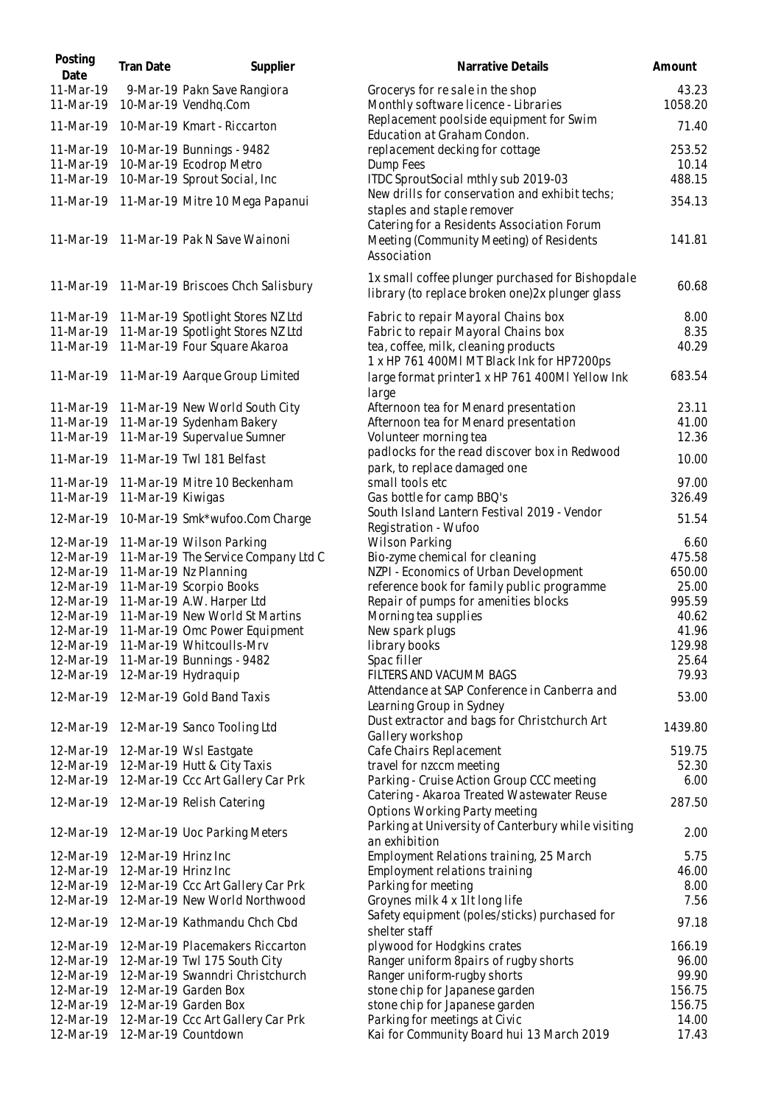| Posting<br>Date        | Tran Date           | Supplier                                                 | Narrative Details                                                                                    | Amount           |
|------------------------|---------------------|----------------------------------------------------------|------------------------------------------------------------------------------------------------------|------------------|
| 11-Mar-19<br>11-Mar-19 |                     | 9-Mar-19 Pakn Save Rangiora<br>10-Mar-19 Vendhq.Com      | Grocerys for re sale in the shop<br>Monthly software licence - Libraries                             | 43.23<br>1058.20 |
| 11-Mar-19              |                     | 10-Mar-19 Kmart - Riccarton                              | Replacement poolside equipment for Swim<br>Education at Graham Condon.                               | 71.40            |
| 11-Mar-19              |                     | 10-Mar-19 Bunnings - 9482                                | replacement decking for cottage                                                                      | 253.52           |
| 11-Mar-19              |                     | 10-Mar-19 Ecodrop Metro                                  | Dump Fees                                                                                            | 10.14            |
| 11-Mar-19              |                     | 10-Mar-19 Sprout Social, Inc                             | ITDC SproutSocial mthly sub 2019-03<br>New drills for conservation and exhibit techs;                | 488.15           |
|                        |                     | 11-Mar-19 11-Mar-19 Mitre 10 Mega Papanui                | staples and staple remover<br>Catering for a Residents Association Forum                             | 354.13           |
| 11-Mar-19              |                     | 11-Mar-19 Pak N Save Wainoni                             | Meeting (Community Meeting) of Residents<br>Association                                              | 141.81           |
|                        |                     | 11-Mar-19 11-Mar-19 Briscoes Chch Salisbury              | 1x small coffee plunger purchased for Bishopdale<br>library (to replace broken one) 2x plunger glass | 60.68            |
|                        |                     | 11-Mar-19 11-Mar-19 Spotlight Stores NZ Ltd              | Fabric to repair Mayoral Chains box                                                                  | 8.00             |
|                        |                     | 11-Mar-19 11-Mar-19 Spotlight Stores NZ Ltd              | Fabric to repair Mayoral Chains box                                                                  | 8.35             |
| 11-Mar-19              |                     | 11-Mar-19 Four Square Akaroa                             | tea, coffee, milk, cleaning products<br>1 x HP 761 400MI MT Black Ink for HP7200ps                   | 40.29            |
|                        |                     | 11-Mar-19 11-Mar-19 Aarque Group Limited                 | large format printer1 x HP 761 400Ml Yellow Ink<br>large                                             | 683.54           |
| 11-Mar-19              |                     | 11-Mar-19 New World South City                           | Afternoon tea for Menard presentation                                                                | 23.11            |
| 11-Mar-19              |                     | 11-Mar-19 Sydenham Bakery                                | Afternoon tea for Menard presentation                                                                | 41.00            |
| 11-Mar-19              |                     | 11-Mar-19 Supervalue Sumner                              | Volunteer morning tea<br>padlocks for the read discover box in Redwood                               | 12.36            |
| 11-Mar-19              |                     | 11-Mar-19 Twl 181 Belfast                                | park, to replace damaged one                                                                         | 10.00            |
| 11-Mar-19              |                     | 11-Mar-19 Mitre 10 Beckenham                             | small tools etc                                                                                      | 97.00            |
| 11-Mar-19              | 11-Mar-19 Kiwigas   |                                                          | Gas bottle for camp BBQ's                                                                            | 326.49           |
| 12-Mar-19              |                     | 10-Mar-19 Smk*wufoo.Com Charge                           | South Island Lantern Festival 2019 - Vendor<br>Registration - Wufoo                                  | 51.54            |
| 12-Mar-19              |                     | 11-Mar-19 Wilson Parking                                 | <b>Wilson Parking</b>                                                                                | 6.60             |
| 12-Mar-19              |                     | 11-Mar-19 The Service Company Ltd C                      | Bio-zyme chemical for cleaning                                                                       | 475.58           |
| 12-Mar-19              |                     | 11-Mar-19 Nz Planning                                    | NZPI - Economics of Urban Development                                                                | 650.00<br>25.00  |
| 12-Mar-19<br>12-Mar-19 |                     | 11-Mar-19 Scorpio Books<br>11-Mar-19 A.W. Harper Ltd     | reference book for family public programme<br>Repair of pumps for amenities blocks                   | 995.59           |
| 12-Mar-19              |                     | 11-Mar-19 New World St Martins                           | Morning tea supplies                                                                                 | 40.62            |
| 12-Mar-19              |                     | 11-Mar-19 Omc Power Equipment                            | New spark plugs                                                                                      | 41.96            |
|                        |                     | 12-Mar-19 11-Mar-19 Whitcoulls-Mrv                       | library books                                                                                        | 129.98           |
| 12-Mar-19              |                     | 11-Mar-19 Bunnings - 9482                                | Spac filler                                                                                          | 25.64            |
| 12-Mar-19              | 12-Mar-19 Hydraguip |                                                          | FILTERS AND VACUMM BAGS                                                                              | 79.93            |
| 12-Mar-19              |                     | 12-Mar-19 Gold Band Taxis                                | Attendance at SAP Conference in Canberra and<br>Learning Group in Sydney                             | 53.00            |
| 12-Mar-19              |                     | 12-Mar-19 Sanco Tooling Ltd                              | Dust extractor and bags for Christchurch Art<br>Gallery workshop                                     | 1439.80          |
| 12-Mar-19              |                     | 12-Mar-19 Wsl Eastgate                                   | Cafe Chairs Replacement                                                                              | 519.75           |
| 12-Mar-19              |                     | 12-Mar-19 Hutt & City Taxis                              | travel for nzccm meeting                                                                             | 52.30            |
| 12-Mar-19              |                     | 12-Mar-19 Ccc Art Gallery Car Prk                        | Parking - Cruise Action Group CCC meeting                                                            | 6.00             |
| 12-Mar-19              |                     | 12-Mar-19 Relish Catering                                | Catering - Akaroa Treated Wastewater Reuse<br>Options Working Party meeting                          | 287.50           |
| 12-Mar-19              |                     | 12-Mar-19 Uoc Parking Meters                             | Parking at University of Canterbury while visiting<br>an exhibition                                  | 2.00             |
| 12-Mar-19              | 12-Mar-19 Hrinz Inc |                                                          | Employment Relations training, 25 March                                                              | 5.75             |
| 12-Mar-19<br>12-Mar-19 | 12-Mar-19 Hrinz Inc | 12-Mar-19 Ccc Art Gallery Car Prk                        | Employment relations training<br>Parking for meeting                                                 | 46.00<br>8.00    |
| 12-Mar-19              |                     | 12-Mar-19 New World Northwood                            | Groynes milk 4 x 1lt long life                                                                       | 7.56             |
| 12-Mar-19              |                     | 12-Mar-19 Kathmandu Chch Cbd                             | Safety equipment (poles/sticks) purchased for<br>shelter staff                                       | 97.18            |
| 12-Mar-19              |                     | 12-Mar-19 Placemakers Riccarton                          | plywood for Hodgkins crates                                                                          | 166.19           |
| 12-Mar-19              |                     | 12-Mar-19 Twl 175 South City                             | Ranger uniform 8pairs of rugby shorts                                                                | 96.00            |
| 12-Mar-19              |                     | 12-Mar-19 Swanndri Christchurch                          | Ranger uniform-rugby shorts                                                                          | 99.90            |
| 12-Mar-19              |                     | 12-Mar-19 Garden Box                                     | stone chip for Japanese garden                                                                       | 156.75           |
| 12-Mar-19              |                     | 12-Mar-19 Garden Box                                     | stone chip for Japanese garden                                                                       | 156.75           |
| 12-Mar-19<br>12-Mar-19 |                     | 12-Mar-19 Ccc Art Gallery Car Prk<br>12-Mar-19 Countdown | Parking for meetings at Civic                                                                        | 14.00            |
|                        |                     |                                                          | Kai for Community Board hui 13 March 2019                                                            | 17.43            |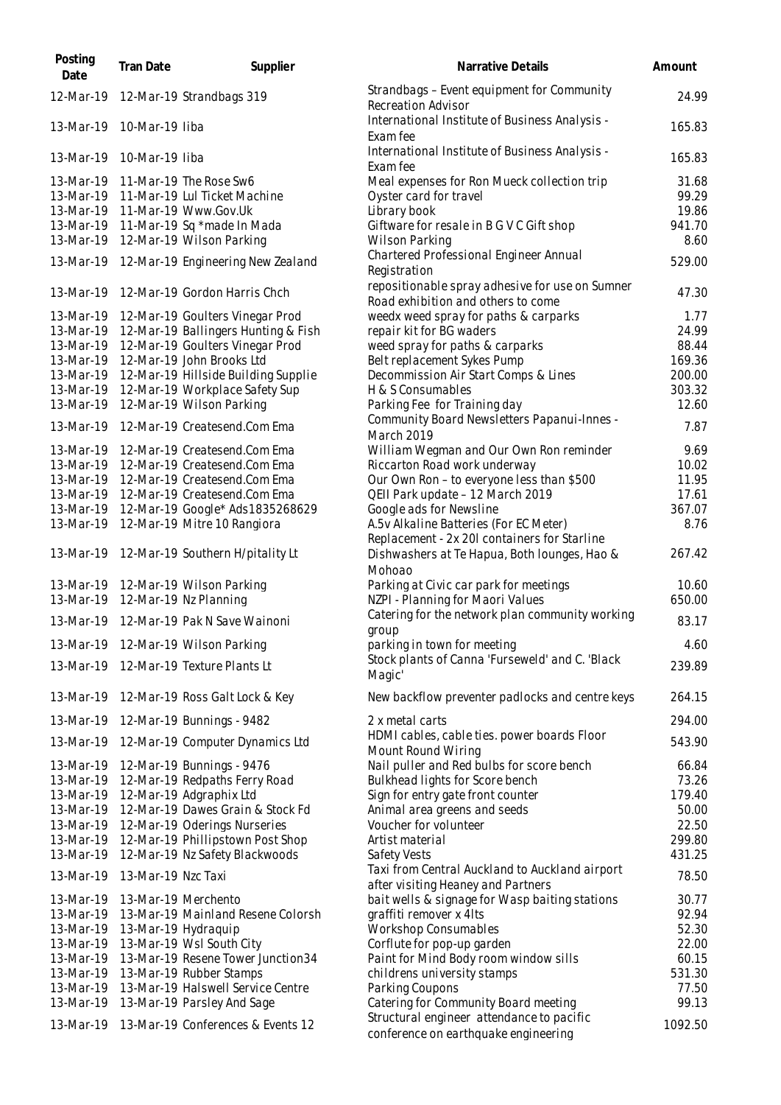| Posting<br>Date | Tran Date          | Supplier                                                                     | Narrative Details                                                                     | Amount        |
|-----------------|--------------------|------------------------------------------------------------------------------|---------------------------------------------------------------------------------------|---------------|
| 12-Mar-19       |                    | 12-Mar-19 Strandbags 319                                                     | Strandbags - Event equipment for Community<br>Recreation Advisor                      | 24.99         |
| 13-Mar-19       | 10-Mar-19 liba     |                                                                              | International Institute of Business Analysis -<br>Exam fee                            | 165.83        |
| 13-Mar-19       | 10-Mar-19 liba     |                                                                              | International Institute of Business Analysis -<br>Exam fee                            | 165.83        |
| 13-Mar-19       |                    | 11-Mar-19 The Rose Sw6                                                       | Meal expenses for Ron Mueck collection trip                                           | 31.68         |
| 13-Mar-19       |                    | 11-Mar-19 Lul Ticket Machine                                                 | Oyster card for travel                                                                | 99.29         |
| 13-Mar-19       |                    | 11-Mar-19 Www.Gov.Uk                                                         | Library book                                                                          | 19.86         |
| 13-Mar-19       |                    | 11-Mar-19 Sq *made In Mada                                                   | Giftware for resale in B G V C Gift shop                                              | 941.70        |
| 13-Mar-19       |                    | 12-Mar-19 Wilson Parking                                                     | <b>Wilson Parking</b>                                                                 | 8.60          |
| 13-Mar-19       |                    | 12-Mar-19 Engineering New Zealand                                            | Chartered Professional Engineer Annual<br>Registration                                | 529.00        |
| 13-Mar-19       |                    | 12-Mar-19 Gordon Harris Chch                                                 | repositionable spray adhesive for use on Sumner<br>Road exhibition and others to come | 47.30         |
| 13-Mar-19       |                    | 12-Mar-19 Goulters Vinegar Prod                                              | weedx weed spray for paths & carparks                                                 | 1.77          |
| 13-Mar-19       |                    | 12-Mar-19 Ballingers Hunting & Fish                                          | repair kit for BG waders                                                              | 24.99         |
| 13-Mar-19       |                    | 12-Mar-19 Goulters Vinegar Prod                                              | weed spray for paths & carparks                                                       | 88.44         |
| 13-Mar-19       |                    | 12-Mar-19 John Brooks Ltd                                                    | Belt replacement Sykes Pump                                                           | 169.36        |
| 13-Mar-19       |                    | 12-Mar-19 Hillside Building Supplie                                          | Decommission Air Start Comps & Lines                                                  | 200.00        |
| 13-Mar-19       |                    | 12-Mar-19 Workplace Safety Sup                                               | H & S Consumables                                                                     | 303.32        |
| 13-Mar-19       |                    | 12-Mar-19 Wilson Parking                                                     | Parking Fee for Training day                                                          | 12.60         |
|                 |                    |                                                                              | Community Board Newsletters Papanui-Innes -                                           |               |
| 13-Mar-19       |                    | 12-Mar-19 Createsend.Com Ema                                                 | March 2019                                                                            | 7.87          |
| 13-Mar-19       |                    | 12-Mar-19 Createsend.Com Ema                                                 | William Wegman and Our Own Ron reminder                                               | 9.69          |
| 13-Mar-19       |                    | 12-Mar-19 Createsend.Com Ema                                                 | Riccarton Road work underway                                                          | 10.02         |
| 13-Mar-19       |                    | 12-Mar-19 Createsend.Com Ema                                                 | Our Own Ron - to everyone less than \$500                                             | 11.95         |
| 13-Mar-19       |                    | 12-Mar-19 Createsend.Com Ema                                                 | QEII Park update - 12 March 2019                                                      | 17.61         |
| 13-Mar-19       |                    | 12-Mar-19 Google* Ads1835268629                                              | Google ads for Newsline                                                               | 367.07        |
| 13-Mar-19       |                    | 12-Mar-19 Mitre 10 Rangiora                                                  | A.5v Alkaline Batteries (For EC Meter)                                                | 8.76          |
|                 |                    |                                                                              | Replacement - 2x 20I containers for Starline                                          |               |
| 13-Mar-19       |                    | 12-Mar-19 Southern H/pitality Lt                                             | Dishwashers at Te Hapua, Both Iounges, Hao &<br>Mohoao                                | 267.42        |
| 13-Mar-19       |                    | 12-Mar-19 Wilson Parking                                                     | Parking at Civic car park for meetings                                                | 10.60         |
| 13-Mar-19       |                    | 12-Mar-19 Nz Planning                                                        | NZPI - Planning for Maori Values                                                      | 650.00        |
|                 |                    |                                                                              | Catering for the network plan community working                                       |               |
|                 |                    | 13-Mar-19 12-Mar-19 Pak N Save Wainoni<br>13-Mar-19 12-Mar-19 Wilson Parking | group<br>parking in town for meeting                                                  | 83.17<br>4.60 |
|                 |                    |                                                                              | Stock plants of Canna 'Furseweld' and C. 'Black                                       |               |
| 13-Mar-19       |                    | 12-Mar-19 Texture Plants Lt                                                  | Magic'                                                                                | 239.89        |
|                 |                    | 13-Mar-19 12-Mar-19 Ross Galt Lock & Key                                     | New backflow preventer padlocks and centre keys                                       | 264.15        |
| 13-Mar-19       |                    | 12-Mar-19 Bunnings - 9482                                                    | 2 x metal carts                                                                       | 294.00        |
| 13-Mar-19       |                    | 12-Mar-19 Computer Dynamics Ltd                                              | HDMI cables, cable ties. power boards Floor<br>Mount Round Wiring                     | 543.90        |
| 13-Mar-19       |                    | 12-Mar-19 Bunnings - 9476                                                    | Nail puller and Red bulbs for score bench                                             | 66.84         |
| 13-Mar-19       |                    | 12-Mar-19 Redpaths Ferry Road                                                | Bulkhead lights for Score bench                                                       | 73.26         |
| 13-Mar-19       |                    | 12-Mar-19 Adgraphix Ltd                                                      | Sign for entry gate front counter                                                     | 179.40        |
| 13-Mar-19       |                    | 12-Mar-19 Dawes Grain & Stock Fd                                             | Animal area greens and seeds                                                          | 50.00         |
| 13-Mar-19       |                    | 12-Mar-19 Oderings Nurseries                                                 | Voucher for volunteer                                                                 | 22.50         |
| 13-Mar-19       |                    | 12-Mar-19 Phillipstown Post Shop                                             | Artist material                                                                       | 299.80        |
| 13-Mar-19       |                    | 12-Mar-19 Nz Safety Blackwoods                                               | Safety Vests                                                                          | 431.25        |
| 13-Mar-19       | 13-Mar-19 Nzc Taxi |                                                                              | Taxi from Central Auckland to Auckland airport<br>after visiting Heaney and Partners  | 78.50         |
| 13-Mar-19       |                    | 13-Mar-19 Merchento                                                          | bait wells & signage for Wasp baiting stations                                        | 30.77         |
| 13-Mar-19       |                    | 13-Mar-19 Mainland Resene Colorsh                                            | graffiti remover x 4lts                                                               | 92.94         |
| 13-Mar-19       |                    | 13-Mar-19 Hydraquip                                                          | Workshop Consumables                                                                  | 52.30         |
| 13-Mar-19       |                    | 13-Mar-19 Wsl South City                                                     | Corflute for pop-up garden                                                            | 22.00         |
| 13-Mar-19       |                    | 13-Mar-19 Resene Tower Junction34                                            | Paint for Mind Body room window sills                                                 | 60.15         |
| 13-Mar-19       |                    | 13-Mar-19 Rubber Stamps                                                      | childrens university stamps                                                           | 531.30        |
| 13-Mar-19       |                    | 13-Mar-19 Halswell Service Centre                                            | Parking Coupons                                                                       | 77.50         |
| 13-Mar-19       |                    | 13-Mar-19 Parsley And Sage                                                   | Catering for Community Board meeting                                                  | 99.13         |
| 13-Mar-19       |                    | 13-Mar-19 Conferences & Events 12                                            | Structural engineer attendance to pacific<br>conference on earthquake engineering     | 1092.50       |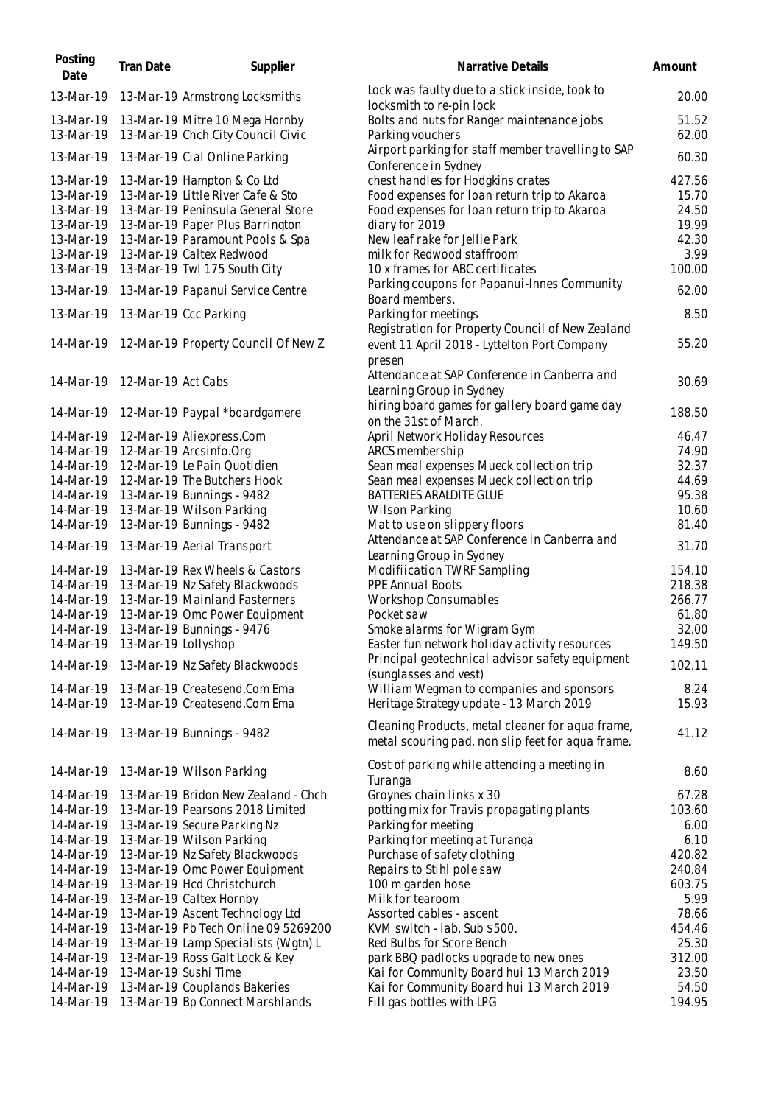| Posting<br>Date                                                                         | Tran Date          | Supplier                                                                                                                                                                                                                               | Narrative Details                                                                                                                                                                                                                                      | Amount                                                       |
|-----------------------------------------------------------------------------------------|--------------------|----------------------------------------------------------------------------------------------------------------------------------------------------------------------------------------------------------------------------------------|--------------------------------------------------------------------------------------------------------------------------------------------------------------------------------------------------------------------------------------------------------|--------------------------------------------------------------|
| 13-Mar-19                                                                               |                    | 13-Mar-19 Armstrong Locksmiths                                                                                                                                                                                                         | Lock was faulty due to a stick inside, took to<br>locksmith to re-pin lock                                                                                                                                                                             | 20.00                                                        |
| 13-Mar-19<br>13-Mar-19                                                                  |                    | 13-Mar-19 Mitre 10 Mega Hornby<br>13-Mar-19 Chch City Council Civic                                                                                                                                                                    | Bolts and nuts for Ranger maintenance jobs<br>Parking vouchers                                                                                                                                                                                         | 51.52<br>62.00                                               |
| 13-Mar-19                                                                               |                    | 13-Mar-19 Cial Online Parking                                                                                                                                                                                                          | Airport parking for staff member travelling to SAP<br>Conference in Sydney                                                                                                                                                                             | 60.30                                                        |
| 13-Mar-19<br>13-Mar-19<br>13-Mar-19<br>13-Mar-19<br>13-Mar-19<br>13-Mar-19<br>13-Mar-19 |                    | 13-Mar-19 Hampton & Co Ltd<br>13-Mar-19 Little River Cafe & Sto<br>13-Mar-19 Peninsula General Store<br>13-Mar-19 Paper Plus Barrington<br>13-Mar-19 Paramount Pools & Spa<br>13-Mar-19 Caltex Redwood<br>13-Mar-19 Twl 175 South City | chest handles for Hodgkins crates<br>Food expenses for loan return trip to Akaroa<br>Food expenses for Ioan return trip to Akaroa<br>diary for 2019<br>New leaf rake for Jellie Park<br>milk for Redwood staffroom<br>10 x frames for ABC certificates | 427.56<br>15.70<br>24.50<br>19.99<br>42.30<br>3.99<br>100.00 |
| 13-Mar-19                                                                               |                    | 13-Mar-19 Papanui Service Centre                                                                                                                                                                                                       | Parking coupons for Papanui-Innes Community                                                                                                                                                                                                            | 62.00                                                        |
| 13-Mar-19                                                                               |                    | 13-Mar-19 Ccc Parking                                                                                                                                                                                                                  | Board members.<br>Parking for meetings                                                                                                                                                                                                                 | 8.50                                                         |
|                                                                                         |                    | 14-Mar-19 12-Mar-19 Property Council Of New Z                                                                                                                                                                                          | Registration for Property Council of New Zealand<br>event 11 April 2018 - Lyttelton Port Company                                                                                                                                                       | 55.20                                                        |
| 14-Mar-19                                                                               | 12-Mar-19 Act Cabs |                                                                                                                                                                                                                                        | presen<br>Attendance at SAP Conference in Canberra and<br>Learning Group in Sydney<br>hiring board games for gallery board game day                                                                                                                    | 30.69                                                        |
| 14-Mar-19                                                                               |                    | 12-Mar-19 Paypal *boardgamere                                                                                                                                                                                                          | on the 31st of March.                                                                                                                                                                                                                                  | 188.50                                                       |
| 14-Mar-19<br>14-Mar-19                                                                  |                    | 12-Mar-19 Aliexpress.Com<br>12-Mar-19 Arcsinfo.Org                                                                                                                                                                                     | April Network Holiday Resources<br>ARCS membership                                                                                                                                                                                                     | 46.47<br>74.90                                               |
| 14-Mar-19<br>14-Mar-19                                                                  |                    | 12-Mar-19 Le Pain Quotidien<br>12-Mar-19 The Butchers Hook                                                                                                                                                                             | Sean meal expenses Mueck collection trip<br>Sean meal expenses Mueck collection trip                                                                                                                                                                   | 32.37<br>44.69                                               |
| 14-Mar-19                                                                               |                    | 13-Mar-19 Bunnings - 9482                                                                                                                                                                                                              | BATTERIES ARALDITE GLUE                                                                                                                                                                                                                                | 95.38                                                        |
| 14-Mar-19                                                                               |                    | 13-Mar-19 Wilson Parking                                                                                                                                                                                                               | <b>Wilson Parking</b>                                                                                                                                                                                                                                  | 10.60                                                        |
| 14-Mar-19                                                                               |                    | 13-Mar-19 Bunnings - 9482                                                                                                                                                                                                              | Mat to use on slippery floors                                                                                                                                                                                                                          | 81.40                                                        |
| 14-Mar-19                                                                               |                    | 13-Mar-19 Aerial Transport                                                                                                                                                                                                             | Attendance at SAP Conference in Canberra and<br>Learning Group in Sydney                                                                                                                                                                               | 31.70                                                        |
| 14-Mar-19                                                                               |                    | 13-Mar-19 Rex Wheels & Castors                                                                                                                                                                                                         | Modifiication TWRF Sampling                                                                                                                                                                                                                            | 154.10                                                       |
| 14-Mar-19                                                                               |                    | 13-Mar-19 Nz Safety Blackwoods                                                                                                                                                                                                         | PPE Annual Boots                                                                                                                                                                                                                                       | 218.38                                                       |
| 14-Mar-19                                                                               |                    | 13-Mar-19 Mainland Fasterners                                                                                                                                                                                                          | Workshop Consumables                                                                                                                                                                                                                                   | 266.77                                                       |
| 14-Mar-19                                                                               |                    | 13-Mar-19 Omc Power Equipment                                                                                                                                                                                                          | Pocket saw                                                                                                                                                                                                                                             | 61.80                                                        |
| 14-Mar-19                                                                               |                    | 13-Mar-19 Bunnings - 9476                                                                                                                                                                                                              | Smoke alarms for Wigram Gym                                                                                                                                                                                                                            | 32.00                                                        |
| 14-Mar-19 13-Mar-19 Lollyshop                                                           |                    |                                                                                                                                                                                                                                        | Easter fun network holiday activity resources                                                                                                                                                                                                          | 149.50                                                       |
| 14-Mar-19                                                                               |                    | 13-Mar-19 Nz Safety Blackwoods                                                                                                                                                                                                         | Principal geotechnical advisor safety equipment<br>(sunglasses and vest)                                                                                                                                                                               | 102.11                                                       |
| 14-Mar-19                                                                               |                    | 13-Mar-19 Createsend.Com Ema                                                                                                                                                                                                           | William Wegman to companies and sponsors                                                                                                                                                                                                               | 8.24                                                         |
| 14-Mar-19                                                                               |                    | 13-Mar-19 Createsend.Com Ema                                                                                                                                                                                                           | Heritage Strategy update - 13 March 2019                                                                                                                                                                                                               | 15.93                                                        |
| 14-Mar-19                                                                               |                    | 13-Mar-19 Bunnings - 9482                                                                                                                                                                                                              | Cleaning Products, metal cleaner for aqua frame,<br>metal scouring pad, non slip feet for aqua frame.                                                                                                                                                  | 41.12                                                        |
| 14-Mar-19                                                                               |                    | 13-Mar-19 Wilson Parking                                                                                                                                                                                                               | Cost of parking while attending a meeting in<br>Turanga                                                                                                                                                                                                | 8.60                                                         |
| 14-Mar-19                                                                               |                    | 13-Mar-19 Bridon New Zealand - Chch                                                                                                                                                                                                    | Groynes chain links x 30                                                                                                                                                                                                                               | 67.28                                                        |
| 14-Mar-19                                                                               |                    | 13-Mar-19 Pearsons 2018 Limited                                                                                                                                                                                                        | potting mix for Travis propagating plants                                                                                                                                                                                                              | 103.60                                                       |
| 14-Mar-19                                                                               |                    | 13-Mar-19 Secure Parking Nz                                                                                                                                                                                                            | Parking for meeting                                                                                                                                                                                                                                    | 6.00                                                         |
| 14-Mar-19                                                                               |                    | 13-Mar-19 Wilson Parking                                                                                                                                                                                                               | Parking for meeting at Turanga                                                                                                                                                                                                                         | 6.10                                                         |
| 14-Mar-19                                                                               |                    | 13-Mar-19 Nz Safety Blackwoods                                                                                                                                                                                                         | Purchase of safety clothing                                                                                                                                                                                                                            | 420.82                                                       |
| 14-Mar-19                                                                               |                    | 13-Mar-19 Omc Power Equipment                                                                                                                                                                                                          | Repairs to Stihl pole saw                                                                                                                                                                                                                              | 240.84                                                       |
| 14-Mar-19                                                                               |                    | 13-Mar-19 Hcd Christchurch                                                                                                                                                                                                             | 100 m garden hose                                                                                                                                                                                                                                      | 603.75                                                       |
| 14-Mar-19                                                                               |                    | 13-Mar-19 Caltex Hornby                                                                                                                                                                                                                | Milk for tearoom                                                                                                                                                                                                                                       | 5.99                                                         |
| 14-Mar-19                                                                               |                    | 13-Mar-19 Ascent Technology Ltd                                                                                                                                                                                                        | Assorted cables - ascent                                                                                                                                                                                                                               | 78.66                                                        |
| 14-Mar-19                                                                               |                    | 13-Mar-19 Pb Tech Online 09 5269200                                                                                                                                                                                                    | KVM switch - lab. Sub \$500.                                                                                                                                                                                                                           | 454.46                                                       |
| 14-Mar-19                                                                               |                    | 13-Mar-19 Lamp Specialists (Wgtn) L                                                                                                                                                                                                    | Red Bulbs for Score Bench                                                                                                                                                                                                                              | 25.30                                                        |
| 14-Mar-19                                                                               |                    | 13-Mar-19 Ross Galt Lock & Key                                                                                                                                                                                                         | park BBQ padlocks upgrade to new ones                                                                                                                                                                                                                  | 312.00                                                       |
| 14-Mar-19                                                                               |                    | 13-Mar-19 Sushi Time                                                                                                                                                                                                                   | Kai for Community Board hui 13 March 2019                                                                                                                                                                                                              | 23.50                                                        |
| 14-Mar-19                                                                               |                    | 13-Mar-19 Couplands Bakeries                                                                                                                                                                                                           | Kai for Community Board hui 13 March 2019                                                                                                                                                                                                              | 54.50                                                        |
| 14-Mar-19                                                                               |                    | 13-Mar-19 Bp Connect Marshlands                                                                                                                                                                                                        | Fill gas bottles with LPG                                                                                                                                                                                                                              | 194.95                                                       |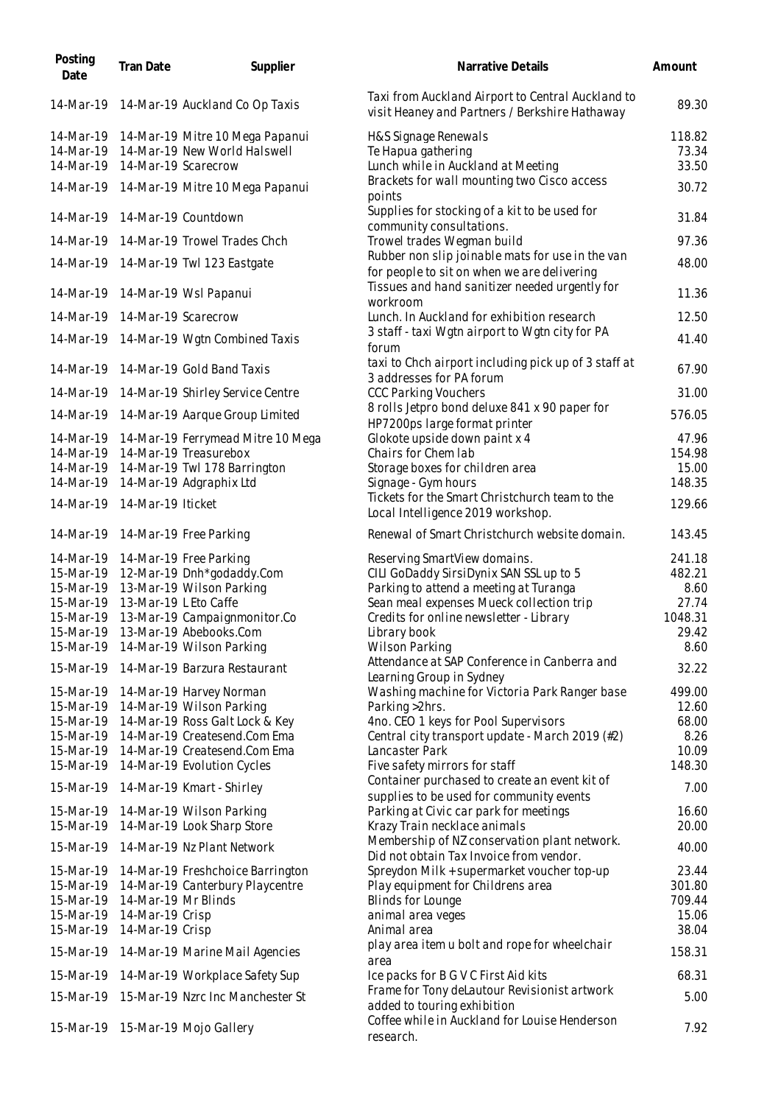| Posting<br>Date | Tran Date           | Supplier                                                           | Narrative Details                                                                                   | Amount        |
|-----------------|---------------------|--------------------------------------------------------------------|-----------------------------------------------------------------------------------------------------|---------------|
|                 |                     | 14-Mar-19 14-Mar-19 Auckland Co Op Taxis                           | Taxi from Auckland Airport to Central Auckland to<br>visit Heaney and Partners / Berkshire Hathaway | 89.30         |
| 14-Mar-19       |                     | 14-Mar-19 Mitre 10 Mega Papanui                                    | H&S Signage Renewals                                                                                | 118.82        |
| 14-Mar-19       |                     | 14-Mar-19 New World Halswell                                       | Te Hapua gathering                                                                                  | 73.34         |
| 14-Mar-19       |                     | 14-Mar-19 Scarecrow                                                | Lunch while in Auckland at Meeting                                                                  | 33.50         |
|                 |                     | 14-Mar-19 14-Mar-19 Mitre 10 Mega Papanui                          | Brackets for wall mounting two Cisco access<br>points                                               | 30.72         |
| 14-Mar-19       |                     | 14-Mar-19 Countdown                                                | Supplies for stocking of a kit to be used for<br>community consultations.                           | 31.84         |
| 14-Mar-19       |                     | 14-Mar-19 Trowel Trades Chch                                       | Trowel trades Wegman build                                                                          | 97.36         |
| 14-Mar-19       |                     | 14-Mar-19 Twl 123 Eastgate                                         | Rubber non slip joinable mats for use in the van<br>for people to sit on when we are delivering     | 48.00         |
| 14-Mar-19       |                     | 14-Mar-19 Wsl Papanui                                              | Tissues and hand sanitizer needed urgently for<br>workroom                                          | 11.36         |
| 14-Mar-19       |                     | 14-Mar-19 Scarecrow                                                | Lunch. In Auckland for exhibition research                                                          | 12.50         |
|                 |                     | 14-Mar-19 14-Mar-19 Wgtn Combined Taxis                            | 3 staff - taxi Wgtn airport to Wgtn city for PA<br>forum                                            | 41.40         |
| 14-Mar-19       |                     | 14-Mar-19 Gold Band Taxis                                          | taxi to Chch airport including pick up of 3 staff at<br>3 addresses for PA forum                    | 67.90         |
| 14-Mar-19       |                     | 14-Mar-19 Shirley Service Centre                                   | <b>CCC Parking Vouchers</b>                                                                         | 31.00         |
| 14-Mar-19       |                     | 14-Mar-19 Aarque Group Limited                                     | 8 rolls Jetpro bond deluxe 841 x 90 paper for<br>HP7200ps large format printer                      | 576.05        |
| 14-Mar-19       |                     | 14-Mar-19 Ferrymead Mitre 10 Mega                                  | Glokote upside down paint x 4                                                                       | 47.96         |
| 14-Mar-19       |                     | 14-Mar-19 Treasurebox                                              | Chairs for Chem lab                                                                                 | 154.98        |
| 14-Mar-19       |                     | 14-Mar-19 Twl 178 Barrington                                       | Storage boxes for children area                                                                     | 15.00         |
| 14-Mar-19       |                     | 14-Mar-19 Adgraphix Ltd                                            | Signage - Gym hours                                                                                 | 148.35        |
| 14-Mar-19       | 14-Mar-19 Iticket   |                                                                    | Tickets for the Smart Christchurch team to the<br>Local Intelligence 2019 workshop.                 | 129.66        |
| 14-Mar-19       |                     | 14-Mar-19 Free Parking                                             | Renewal of Smart Christchurch website domain.                                                       | 143.45        |
| 14-Mar-19       |                     | 14-Mar-19 Free Parking                                             | Reserving SmartView domains.                                                                        | 241.18        |
| 15-Mar-19       |                     | 12-Mar-19 Dnh*godaddy.Com                                          | CILI GoDaddy SirsiDynix SAN SSL up to 5                                                             | 482.21        |
| 15-Mar-19       |                     | 13-Mar-19 Wilson Parking                                           | Parking to attend a meeting at Turanga                                                              | 8.60          |
| 15-Mar-19       |                     | 13-Mar-19 L Eto Caffe                                              | Sean meal expenses Mueck collection trip                                                            | 27.74         |
| 15-Mar-19       |                     | 13-Mar-19 Campaignmonitor.Co                                       | Credits for online newsletter - Library                                                             | 1048.31       |
| 15-Mar-19       |                     | 13-Mar-19 Abebooks.Com                                             | Library book                                                                                        | 29.42         |
| 15-Mar-19       |                     | 15-Mar-19 14-Mar-19 Wilson Parking<br>14-Mar-19 Barzura Restaurant | Wilson Parking<br>Attendance at SAP Conference in Canberra and                                      | 8.60<br>32.22 |
| 15-Mar-19       |                     | 14-Mar-19 Harvey Norman                                            | Learning Group in Sydney<br>Washing machine for Victoria Park Ranger base                           | 499.00        |
| 15-Mar-19       |                     | 14-Mar-19 Wilson Parking                                           | Parking >2hrs.                                                                                      | 12.60         |
| 15-Mar-19       |                     | 14-Mar-19 Ross Galt Lock & Key                                     | 4no. CEO 1 keys for Pool Supervisors                                                                | 68.00         |
| 15-Mar-19       |                     | 14-Mar-19 Createsend.Com Ema                                       | Central city transport update - March 2019 (#2)                                                     | 8.26          |
| 15-Mar-19       |                     | 14-Mar-19 Createsend.Com Ema                                       | Lancaster Park                                                                                      | 10.09         |
| 15-Mar-19       |                     | 14-Mar-19 Evolution Cycles                                         | Five safety mirrors for staff                                                                       | 148.30        |
| 15-Mar-19       |                     | 14-Mar-19 Kmart - Shirley                                          | Container purchased to create an event kit of<br>supplies to be used for community events           | 7.00          |
| 15-Mar-19       |                     | 14-Mar-19 Wilson Parking                                           | Parking at Civic car park for meetings                                                              | 16.60         |
| 15-Mar-19       |                     | 14-Mar-19 Look Sharp Store                                         | Krazy Train necklace animals                                                                        | 20.00         |
| 15-Mar-19       |                     | 14-Mar-19 Nz Plant Network                                         | Membership of NZ conservation plant network.<br>Did not obtain Tax Invoice from vendor.             | 40.00         |
| 15-Mar-19       |                     | 14-Mar-19 Freshchoice Barrington                                   | Spreydon Milk + supermarket voucher top-up                                                          | 23.44         |
| 15-Mar-19       |                     | 14-Mar-19 Canterbury Playcentre                                    | Play equipment for Childrens area                                                                   | 301.80        |
| 15-Mar-19       | 14-Mar-19 Mr Blinds |                                                                    | Blinds for Lounge                                                                                   | 709.44        |
| 15-Mar-19       | 14-Mar-19 Crisp     |                                                                    | animal area veges                                                                                   | 15.06         |
| 15-Mar-19       | 14-Mar-19 Crisp     |                                                                    | Animal area<br>play area item u bolt and rope for wheelchair                                        | 38.04         |
| 15-Mar-19       |                     | 14-Mar-19 Marine Mail Agencies                                     | area                                                                                                | 158.31        |
| 15-Mar-19       |                     | 14-Mar-19 Workplace Safety Sup                                     | Ice packs for B G V C First Aid kits                                                                | 68.31         |
| 15-Mar-19       |                     | 15-Mar-19 Nzrc Inc Manchester St                                   | Frame for Tony deLautour Revisionist artwork<br>added to touring exhibition                         | 5.00          |
|                 |                     | 15-Mar-19 15-Mar-19 Mojo Gallery                                   | Coffee while in Auckland for Louise Henderson<br>research.                                          | 7.92          |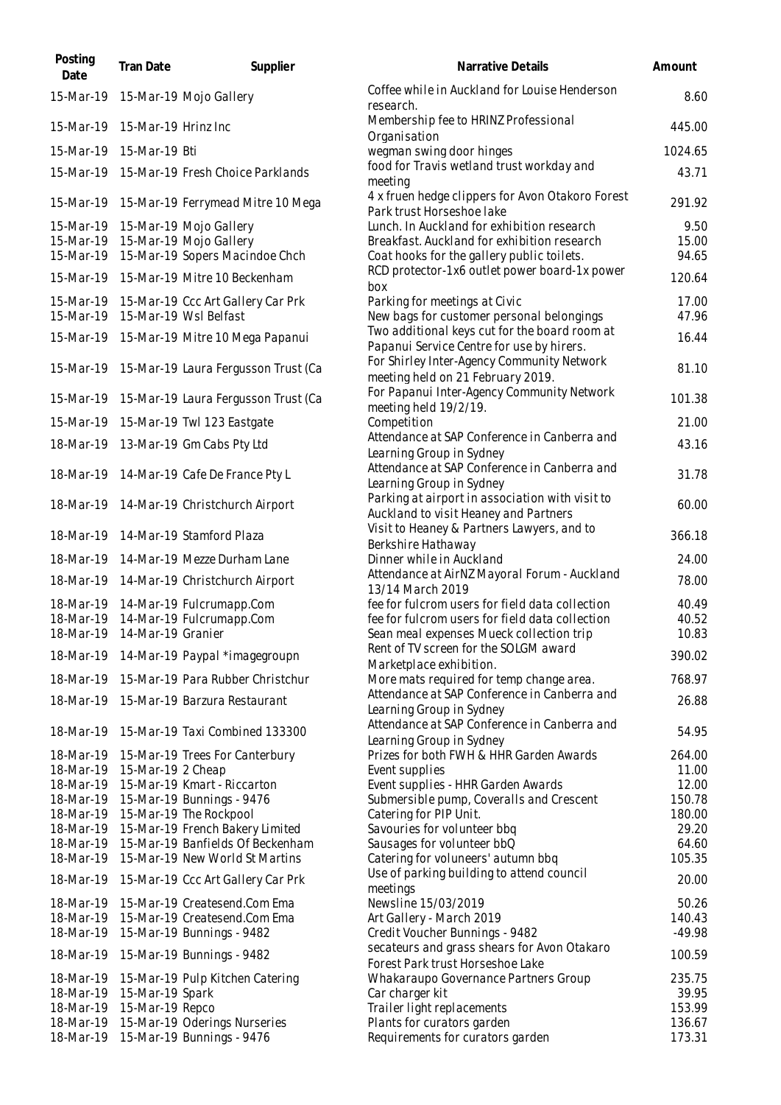| Posting<br>Date        | Tran Date                     | Supplier                                                            | Narrative Details                                                                          | Amount          |
|------------------------|-------------------------------|---------------------------------------------------------------------|--------------------------------------------------------------------------------------------|-----------------|
| 15-Mar-19              |                               | 15-Mar-19 Mojo Gallery                                              | Coffee while in Auckland for Louise Henderson<br>research.                                 | 8.60            |
|                        | 15-Mar-19 15-Mar-19 Hrinz Inc |                                                                     | Membership fee to HRINZ Professional<br>Organisation                                       | 445.00          |
| 15-Mar-19              | 15-Mar-19 Bti                 |                                                                     | wegman swing door hinges                                                                   | 1024.65         |
|                        |                               | 15-Mar-19 15-Mar-19 Fresh Choice Parklands                          | food for Travis wetland trust workday and<br>meeting                                       | 43.71           |
|                        |                               | 15-Mar-19 15-Mar-19 Ferrymead Mitre 10 Mega                         | 4 x fruen hedge clippers for Avon Otakoro Forest<br>Park trust Horseshoe lake              | 291.92          |
| 15-Mar-19              |                               | 15-Mar-19 Mojo Gallery                                              | Lunch. In Auckland for exhibition research                                                 | 9.50            |
| 15-Mar-19<br>15-Mar-19 |                               | 15-Mar-19 Mojo Gallery<br>15-Mar-19 Sopers Macindoe Chch            | Breakfast. Auckland for exhibition research<br>Coat hooks for the gallery public toilets.  | 15.00<br>94.65  |
| 15-Mar-19              |                               | 15-Mar-19 Mitre 10 Beckenham                                        | RCD protector-1x6 outlet power board-1x power<br>box                                       | 120.64          |
| 15-Mar-19              |                               | 15-Mar-19 Ccc Art Gallery Car Prk                                   | Parking for meetings at Civic                                                              | 17.00           |
| 15-Mar-19              |                               | 15-Mar-19 Wsl Belfast                                               | New bags for customer personal belongings                                                  | 47.96           |
|                        |                               | 15-Mar-19 15-Mar-19 Mitre 10 Mega Papanui                           | Two additional keys cut for the board room at<br>Papanui Service Centre for use by hirers. | 16.44           |
|                        |                               | 15-Mar-19 15-Mar-19 Laura Fergusson Trust (Ca                       | For Shirley Inter-Agency Community Network<br>meeting held on 21 February 2019.            | 81.10           |
| 15-Mar-19              |                               | 15-Mar-19 Laura Fergusson Trust (Ca                                 | For Papanui Inter-Agency Community Network<br>meeting held 19/2/19.                        | 101.38          |
| 15-Mar-19              |                               | 15-Mar-19 Twl 123 Eastgate                                          | Competition                                                                                | 21.00           |
| 18-Mar-19              |                               | 13-Mar-19 Gm Cabs Pty Ltd                                           | Attendance at SAP Conference in Canberra and<br>Learning Group in Sydney                   | 43.16           |
|                        |                               | 18-Mar-19 14-Mar-19 Cafe De France Pty L                            | Attendance at SAP Conference in Canberra and<br>Learning Group in Sydney                   | 31.78           |
|                        |                               | 18-Mar-19 14-Mar-19 Christchurch Airport                            | Parking at airport in association with visit to<br>Auckland to visit Heaney and Partners   | 60.00           |
|                        |                               | 18-Mar-19 14-Mar-19 Stamford Plaza                                  | Visit to Heaney & Partners Lawyers, and to<br>Berkshire Hathaway                           | 366.18          |
| 18-Mar-19              |                               | 14-Mar-19 Mezze Durham Lane                                         | Dinner while in Auckland                                                                   | 24.00           |
|                        |                               | 18-Mar-19 14-Mar-19 Christchurch Airport                            | Attendance at AirNZ Mayoral Forum - Auckland<br>13/14 March 2019                           | 78.00           |
| 18-Mar-19              |                               | 14-Mar-19 Fulcrumapp.Com                                            | fee for fulcrom users for field data collection                                            | 40.49           |
| 18-Mar-19              |                               | 14-Mar-19 Fulcrumapp.Com                                            | fee for fulcrom users for field data collection                                            | 40.52           |
| 18-Mar-19              | 14-Mar-19 Granier             |                                                                     | Sean meal expenses Mueck collection trip                                                   | 10.83           |
|                        |                               | 18-Mar-19 14-Mar-19 Paypal *imagegroupn                             | Rent of TV screen for the SOLGM award<br>Marketplace exhibition.                           | 390.02          |
|                        |                               | 18-Mar-19 15-Mar-19 Para Rubber Christchur                          | More mats required for temp change area.                                                   | 768.97          |
|                        |                               | 18-Mar-19 15-Mar-19 Barzura Restaurant                              | Attendance at SAP Conference in Canberra and<br>Learning Group in Sydney                   | 26.88           |
|                        |                               | 18-Mar-19 15-Mar-19 Taxi Combined 133300                            | Attendance at SAP Conference in Canberra and<br>Learning Group in Sydney                   | 54.95           |
| 18-Mar-19              |                               | 15-Mar-19 Trees For Canterbury                                      | Prizes for both FWH & HHR Garden Awards                                                    | 264.00          |
| 18-Mar-19              | 15-Mar-19 2 Cheap             |                                                                     | Event supplies                                                                             | 11.00           |
| 18-Mar-19              |                               | 15-Mar-19 Kmart - Riccarton                                         | Event supplies - HHR Garden Awards                                                         | 12.00           |
| 18-Mar-19              |                               | 15-Mar-19 Bunnings - 9476                                           | Submersible pump, Coveralls and Crescent                                                   | 150.78          |
| 18-Mar-19              |                               | 15-Mar-19 The Rockpool                                              | Catering for PIP Unit.                                                                     | 180.00          |
| 18-Mar-19<br>18-Mar-19 |                               | 15-Mar-19 French Bakery Limited<br>15-Mar-19 Banfields Of Beckenham | Savouries for volunteer bbq                                                                | 29.20           |
| 18-Mar-19              |                               | 15-Mar-19 New World St Martins                                      | Sausages for volunteer bbQ<br>Catering for voluneers' autumn bbq                           | 64.60<br>105.35 |
| 18-Mar-19              |                               | 15-Mar-19 Ccc Art Gallery Car Prk                                   | Use of parking building to attend council                                                  | 20.00           |
| 18-Mar-19              |                               | 15-Mar-19 Createsend.Com Ema                                        | meetings<br>Newsline 15/03/2019                                                            | 50.26           |
| 18-Mar-19              |                               | 15-Mar-19 Createsend.Com Ema                                        | Art Gallery - March 2019                                                                   | 140.43          |
| 18-Mar-19              |                               | 15-Mar-19 Bunnings - 9482                                           | Credit Voucher Bunnings - 9482                                                             | $-49.98$        |
| 18-Mar-19              |                               | 15-Mar-19 Bunnings - 9482                                           | secateurs and grass shears for Avon Otakaro<br>Forest Park trust Horseshoe Lake            | 100.59          |
| 18-Mar-19              |                               | 15-Mar-19 Pulp Kitchen Catering                                     | Whakaraupo Governance Partners Group                                                       | 235.75          |
| 18-Mar-19              | 15-Mar-19 Spark               |                                                                     | Car charger kit                                                                            | 39.95           |
| 18-Mar-19              | 15-Mar-19 Repco               |                                                                     | Trailer light replacements                                                                 | 153.99          |
| 18-Mar-19              |                               | 15-Mar-19 Oderings Nurseries                                        | Plants for curators garden                                                                 | 136.67          |
| 18-Mar-19              |                               | 15-Mar-19 Bunnings - 9476                                           | Requirements for curators garden                                                           | 173.31          |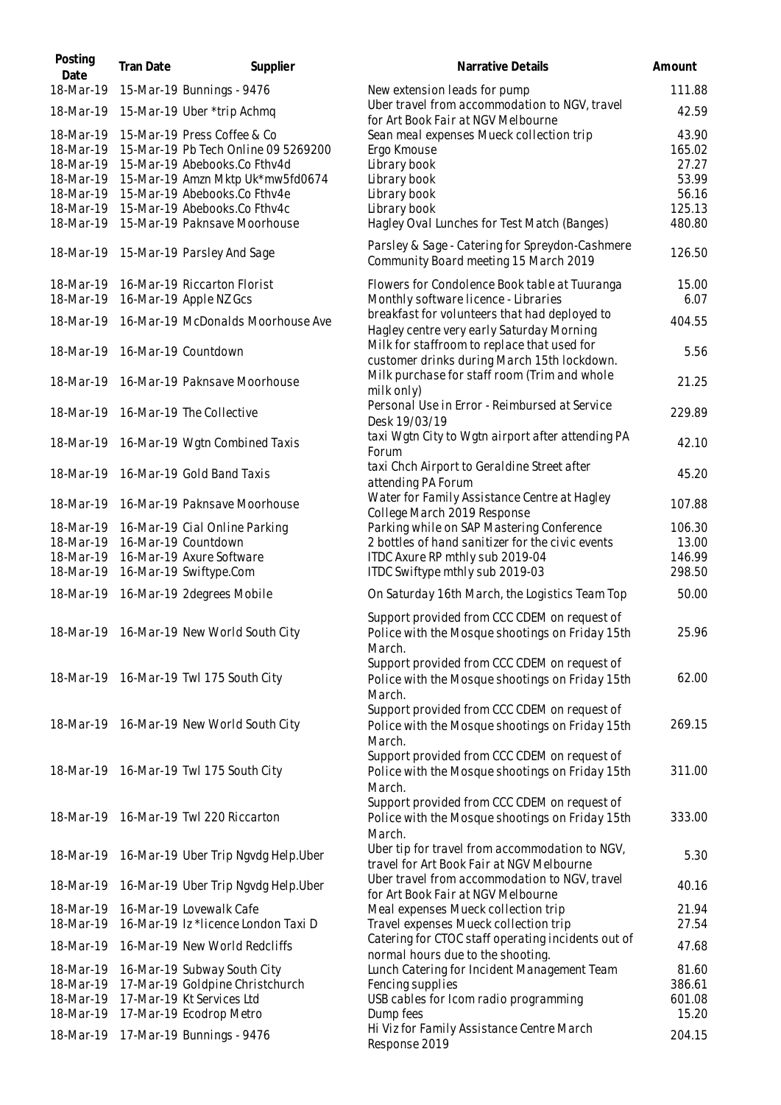| Posting<br>Date                                                                         | Tran Date | Supplier                                                                                                                                                                                                                               | Narrative Details                                                                                                                                                      | Amount                                                         |
|-----------------------------------------------------------------------------------------|-----------|----------------------------------------------------------------------------------------------------------------------------------------------------------------------------------------------------------------------------------------|------------------------------------------------------------------------------------------------------------------------------------------------------------------------|----------------------------------------------------------------|
| 18-Mar-19                                                                               |           | 15-Mar-19 Bunnings - 9476                                                                                                                                                                                                              | New extension leads for pump                                                                                                                                           | 111.88                                                         |
| 18-Mar-19                                                                               |           | 15-Mar-19 Uber *trip Achmq                                                                                                                                                                                                             | Uber travel from accommodation to NGV, travel<br>for Art Book Fair at NGV Melbourne                                                                                    | 42.59                                                          |
| 18-Mar-19<br>18-Mar-19<br>18-Mar-19<br>18-Mar-19<br>18-Mar-19<br>18-Mar-19<br>18-Mar-19 |           | 15-Mar-19 Press Coffee & Co<br>15-Mar-19 Pb Tech Online 09 5269200<br>15-Mar-19 Abebooks.Co Fthv4d<br>15-Mar-19 Amzn Mktp Uk*mw5fd0674<br>15-Mar-19 Abebooks.Co Fthv4e<br>15-Mar-19 Abebooks.Co Fthv4c<br>15-Mar-19 Paknsave Moorhouse | Sean meal expenses Mueck collection trip<br>Ergo Kmouse<br>Library book<br>Library book<br>Library book<br>Library book<br>Hagley Oval Lunches for Test Match (Banges) | 43.90<br>165.02<br>27.27<br>53.99<br>56.16<br>125.13<br>480.80 |
| 18-Mar-19                                                                               |           | 15-Mar-19 Parsley And Sage                                                                                                                                                                                                             | Parsley & Sage - Catering for Spreydon-Cashmere<br>Community Board meeting 15 March 2019                                                                               | 126.50                                                         |
| 18-Mar-19<br>18-Mar-19                                                                  |           | 16-Mar-19 Riccarton Florist<br>16-Mar-19 Apple NZ Gcs                                                                                                                                                                                  | Flowers for Condolence Book table at Tuuranga<br>Monthly software licence - Libraries                                                                                  | 15.00<br>6.07                                                  |
| 18-Mar-19                                                                               |           | 16-Mar-19 McDonalds Moorhouse Ave                                                                                                                                                                                                      | breakfast for volunteers that had deployed to<br>Hagley centre very early Saturday Morning                                                                             | 404.55                                                         |
| 18-Mar-19                                                                               |           | 16-Mar-19 Countdown                                                                                                                                                                                                                    | Milk for staffroom to replace that used for<br>customer drinks during March 15th lockdown.                                                                             | 5.56                                                           |
| 18-Mar-19                                                                               |           | 16-Mar-19 Paknsave Moorhouse                                                                                                                                                                                                           | Milk purchase for staff room (Trim and whole<br>milk only)                                                                                                             | 21.25                                                          |
| 18-Mar-19                                                                               |           | 16-Mar-19 The Collective                                                                                                                                                                                                               | Personal Use in Error - Reimbursed at Service<br>Desk 19/03/19                                                                                                         | 229.89                                                         |
| 18-Mar-19                                                                               |           | 16-Mar-19 Wgtn Combined Taxis                                                                                                                                                                                                          | taxi Wgtn City to Wgtn airport after attending PA<br>Forum                                                                                                             | 42.10                                                          |
| 18-Mar-19                                                                               |           | 16-Mar-19 Gold Band Taxis                                                                                                                                                                                                              | taxi Chch Airport to Geraldine Street after<br>attending PA Forum                                                                                                      | 45.20                                                          |
| 18-Mar-19                                                                               |           | 16-Mar-19 Paknsave Moorhouse                                                                                                                                                                                                           | Water for Family Assistance Centre at Hagley<br>College March 2019 Response                                                                                            | 107.88                                                         |
| 18-Mar-19<br>18-Mar-19<br>18-Mar-19<br>18-Mar-19                                        |           | 16-Mar-19 Cial Online Parking<br>16-Mar-19 Countdown<br>16-Mar-19 Axure Software<br>16-Mar-19 Swiftype.Com                                                                                                                             | Parking while on SAP Mastering Conference<br>2 bottles of hand sanitizer for the civic events<br>ITDC Axure RP mthly sub 2019-04<br>ITDC Swiftype mthly sub 2019-03    | 106.30<br>13.00<br>146.99<br>298.50                            |
| 18-Mar-19                                                                               |           | 16-Mar-19 2degrees Mobile                                                                                                                                                                                                              | On Saturday 16th March, the Logistics Team Top                                                                                                                         | 50.00                                                          |
|                                                                                         |           | 18-Mar-19 16-Mar-19 New World South City                                                                                                                                                                                               | Support provided from CCC CDEM on request of<br>Police with the Mosque shootings on Friday 15th<br>March.                                                              | 25.96                                                          |
|                                                                                         |           | 18-Mar-19 16-Mar-19 Twl 175 South City                                                                                                                                                                                                 | Support provided from CCC CDEM on request of<br>Police with the Mosque shootings on Friday 15th<br>March.                                                              | 62.00                                                          |
|                                                                                         |           | 18-Mar-19 16-Mar-19 New World South City                                                                                                                                                                                               | Support provided from CCC CDEM on request of<br>Police with the Mosque shootings on Friday 15th<br>March.                                                              | 269.15                                                         |
|                                                                                         |           | 18-Mar-19 16-Mar-19 Twl 175 South City                                                                                                                                                                                                 | Support provided from CCC CDEM on request of<br>Police with the Mosque shootings on Friday 15th<br>March.<br>Support provided from CCC CDEM on request of              | 311.00                                                         |
| 18-Mar-19                                                                               |           | 16-Mar-19 Twl 220 Riccarton                                                                                                                                                                                                            | Police with the Mosque shootings on Friday 15th<br>March.                                                                                                              | 333.00                                                         |
|                                                                                         |           | 18-Mar-19 16-Mar-19 Uber Trip Ngvdg Help.Uber                                                                                                                                                                                          | Uber tip for travel from accommodation to NGV,<br>travel for Art Book Fair at NGV Melbourne                                                                            | 5.30                                                           |
| 18-Mar-19                                                                               |           | 16-Mar-19 Uber Trip Ngvdg Help. Uber                                                                                                                                                                                                   | Uber travel from accommodation to NGV, travel<br>for Art Book Fair at NGV Melbourne                                                                                    | 40.16                                                          |
| 18-Mar-19<br>18-Mar-19                                                                  |           | 16-Mar-19 Lovewalk Cafe<br>16-Mar-19 Iz *licence London Taxi D                                                                                                                                                                         | Meal expenses Mueck collection trip<br>Travel expenses Mueck collection trip                                                                                           | 21.94<br>27.54                                                 |
| 18-Mar-19                                                                               |           | 16-Mar-19 New World Redcliffs                                                                                                                                                                                                          | Catering for CTOC staff operating incidents out of<br>normal hours due to the shooting.                                                                                | 47.68                                                          |
| 18-Mar-19<br>18-Mar-19<br>18-Mar-19                                                     |           | 16-Mar-19 Subway South City<br>17-Mar-19 Goldpine Christchurch<br>17-Mar-19 Kt Services Ltd                                                                                                                                            | Lunch Catering for Incident Management Team<br>Fencing supplies<br>USB cables for Icom radio programming                                                               | 81.60<br>386.61<br>601.08                                      |
| 18-Mar-19                                                                               |           | 17-Mar-19 Ecodrop Metro                                                                                                                                                                                                                | Dump fees                                                                                                                                                              | 15.20                                                          |
| 18-Mar-19                                                                               |           | 17-Mar-19 Bunnings - 9476                                                                                                                                                                                                              | Hi Viz for Family Assistance Centre March<br>Response 2019                                                                                                             | 204.15                                                         |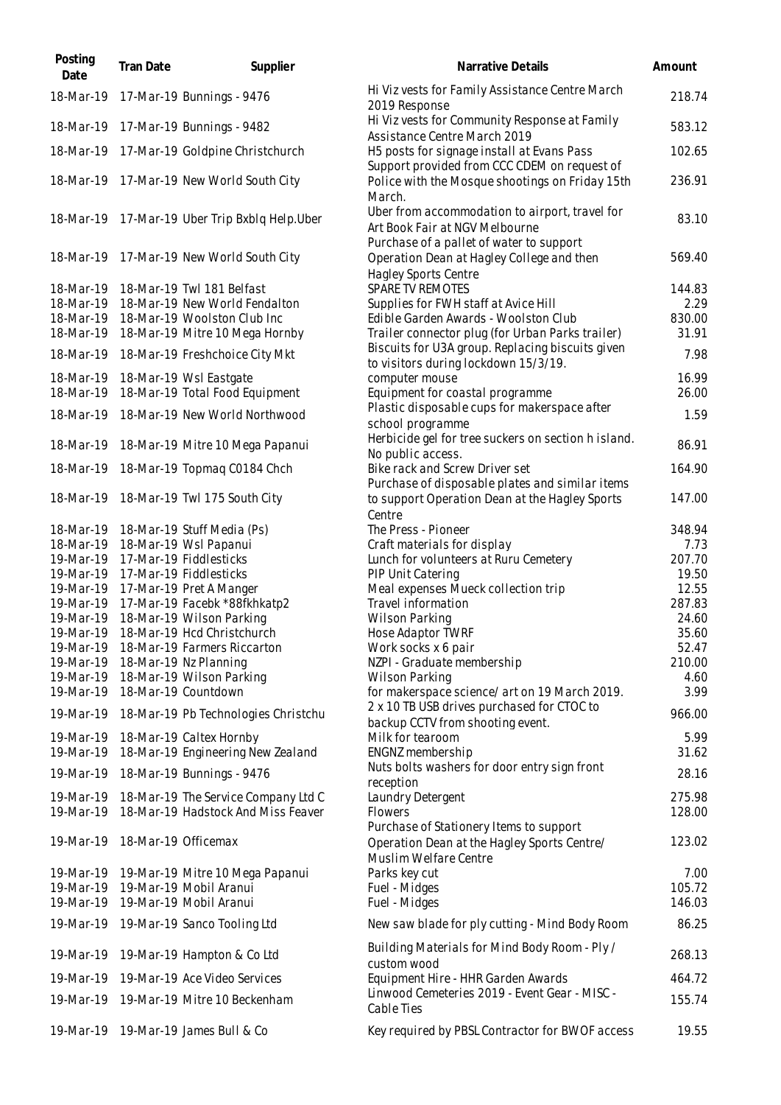| Posting<br>Date | Tran Date           | Supplier                                      | Narrative Details                                                                                                    | Amount |
|-----------------|---------------------|-----------------------------------------------|----------------------------------------------------------------------------------------------------------------------|--------|
| 18-Mar-19       |                     | 17-Mar-19 Bunnings - 9476                     | Hi Viz vests for Family Assistance Centre March<br>2019 Response                                                     | 218.74 |
| 18-Mar-19       |                     | 17-Mar-19 Bunnings - 9482                     | Hi Viz vests for Community Response at Family<br>Assistance Centre March 2019                                        | 583.12 |
| 18-Mar-19       |                     | 17-Mar-19 Goldpine Christchurch               | H5 posts for signage install at Evans Pass<br>Support provided from CCC CDEM on request of                           | 102.65 |
|                 |                     | 18-Mar-19 17-Mar-19 New World South City      | Police with the Mosque shootings on Friday 15th<br>March.                                                            | 236.91 |
|                 |                     | 18-Mar-19 17-Mar-19 Uber Trip Bxblq Help.Uber | Uber from accommodation to airport, travel for<br>Art Book Fair at NGV Melbourne                                     | 83.10  |
|                 |                     | 18-Mar-19 17-Mar-19 New World South City      | Purchase of a pallet of water to support<br>Operation Dean at Hagley College and then<br><b>Hagley Sports Centre</b> | 569.40 |
| 18-Mar-19       |                     | 18-Mar-19 Twl 181 Belfast                     | SPARE TV REMOTES                                                                                                     | 144.83 |
| 18-Mar-19       |                     | 18-Mar-19 New World Fendalton                 | Supplies for FWH staff at Avice Hill                                                                                 | 2.29   |
| 18-Mar-19       |                     | 18-Mar-19 Woolston Club Inc                   | Edible Garden Awards - Woolston Club                                                                                 | 830.00 |
| 18-Mar-19       |                     | 18-Mar-19 Mitre 10 Mega Hornby                | Trailer connector plug (for Urban Parks trailer)                                                                     | 31.91  |
| 18-Mar-19       |                     | 18-Mar-19 Freshchoice City Mkt                | Biscuits for U3A group. Replacing biscuits given<br>to visitors during lockdown 15/3/19.                             | 7.98   |
| 18-Mar-19       |                     | 18-Mar-19 Wsl Eastgate                        | computer mouse                                                                                                       | 16.99  |
| 18-Mar-19       |                     | 18-Mar-19 Total Food Equipment                | Equipment for coastal programme                                                                                      | 26.00  |
| 18-Mar-19       |                     | 18-Mar-19 New World Northwood                 | Plastic disposable cups for makerspace after<br>school programme                                                     | 1.59   |
| 18-Mar-19       |                     | 18-Mar-19 Mitre 10 Mega Papanui               | Herbicide gel for tree suckers on section hisland.                                                                   | 86.91  |
| 18-Mar-19       |                     | 18-Mar-19 Topmaq C0184 Chch                   | No public access.<br>Bike rack and Screw Driver set                                                                  | 164.90 |
|                 |                     |                                               | Purchase of disposable plates and similar items                                                                      |        |
|                 |                     | 18-Mar-19 18-Mar-19 Twl 175 South City        | to support Operation Dean at the Hagley Sports<br>Centre                                                             | 147.00 |
| 18-Mar-19       |                     | 18-Mar-19 Stuff Media (Ps)                    | The Press - Pioneer                                                                                                  | 348.94 |
| 18-Mar-19       |                     | 18-Mar-19 Wsl Papanui                         | Craft materials for display                                                                                          | 7.73   |
| 19-Mar-19       |                     | 17-Mar-19 Fiddlesticks                        | Lunch for volunteers at Ruru Cemetery                                                                                | 207.70 |
| 19-Mar-19       |                     | 17-Mar-19 Fiddlesticks                        | PIP Unit Catering                                                                                                    | 19.50  |
| 19-Mar-19       |                     | 17-Mar-19 Pret A Manger                       | Meal expenses Mueck collection trip                                                                                  | 12.55  |
| 19-Mar-19       |                     | 17-Mar-19 Facebk *88fkhkatp2                  | Travel information                                                                                                   | 287.83 |
| 19-Mar-19       |                     | 18-Mar-19 Wilson Parking                      | <b>Wilson Parking</b>                                                                                                | 24.60  |
|                 |                     | 19-Mar-19 18-Mar-19 Hcd Christchurch          | Hose Adaptor TWRF                                                                                                    | 35.60  |
| 19-Mar-19       |                     | 18-Mar-19 Farmers Riccarton                   | Work socks x 6 pair                                                                                                  | 52.47  |
| 19-Mar-19       |                     | 18-Mar-19 Nz Planning                         | NZPI - Graduate membership                                                                                           | 210.00 |
| 19-Mar-19       |                     | 18-Mar-19 Wilson Parking                      | Wilson Parking                                                                                                       | 4.60   |
| 19-Mar-19       |                     | 18-Mar-19 Countdown                           | for makerspace science/ art on 19 March 2019.                                                                        | 3.99   |
| 19-Mar-19       |                     | 18-Mar-19 Pb Technologies Christchu           | 2 x 10 TB USB drives purchased for CTOC to<br>backup CCTV from shooting event.                                       | 966.00 |
| 19-Mar-19       |                     | 18-Mar-19 Caltex Hornby                       | Milk for tearoom                                                                                                     | 5.99   |
| 19-Mar-19       |                     | 18-Mar-19 Engineering New Zealand             | ENGNZ membership                                                                                                     | 31.62  |
| 19-Mar-19       |                     | 18-Mar-19 Bunnings - 9476                     | Nuts bolts washers for door entry sign front<br>reception                                                            | 28.16  |
| 19-Mar-19       |                     | 18-Mar-19 The Service Company Ltd C           | Laundry Detergent                                                                                                    | 275.98 |
| 19-Mar-19       |                     | 18-Mar-19 Hadstock And Miss Feaver            | <b>Flowers</b><br>Purchase of Stationery Items to support                                                            | 128.00 |
| 19-Mar-19       | 18-Mar-19 Officemax |                                               | Operation Dean at the Hagley Sports Centre/<br>Muslim Welfare Centre                                                 | 123.02 |
| 19-Mar-19       |                     | 19-Mar-19 Mitre 10 Mega Papanui               | Parks key cut                                                                                                        | 7.00   |
| 19-Mar-19       |                     | 19-Mar-19 Mobil Aranui                        | Fuel - Midges                                                                                                        | 105.72 |
| 19-Mar-19       |                     | 19-Mar-19 Mobil Aranui                        | Fuel - Midges                                                                                                        | 146.03 |
| 19-Mar-19       |                     | 19-Mar-19 Sanco Tooling Ltd                   | New saw blade for ply cutting - Mind Body Room                                                                       | 86.25  |
| 19-Mar-19       |                     | 19-Mar-19 Hampton & Co Ltd                    | Building Materials for Mind Body Room - Ply /<br>custom wood                                                         | 268.13 |
| 19-Mar-19       |                     | 19-Mar-19 Ace Video Services                  | Equipment Hire - HHR Garden Awards                                                                                   | 464.72 |
| 19-Mar-19       |                     | 19-Mar-19 Mitre 10 Beckenham                  | Linwood Cemeteries 2019 - Event Gear - MISC -<br>Cable Ties                                                          | 155.74 |
| 19-Mar-19       |                     | 19-Mar-19 James Bull & Co                     | Key required by PBSL Contractor for BWOF access                                                                      | 19.55  |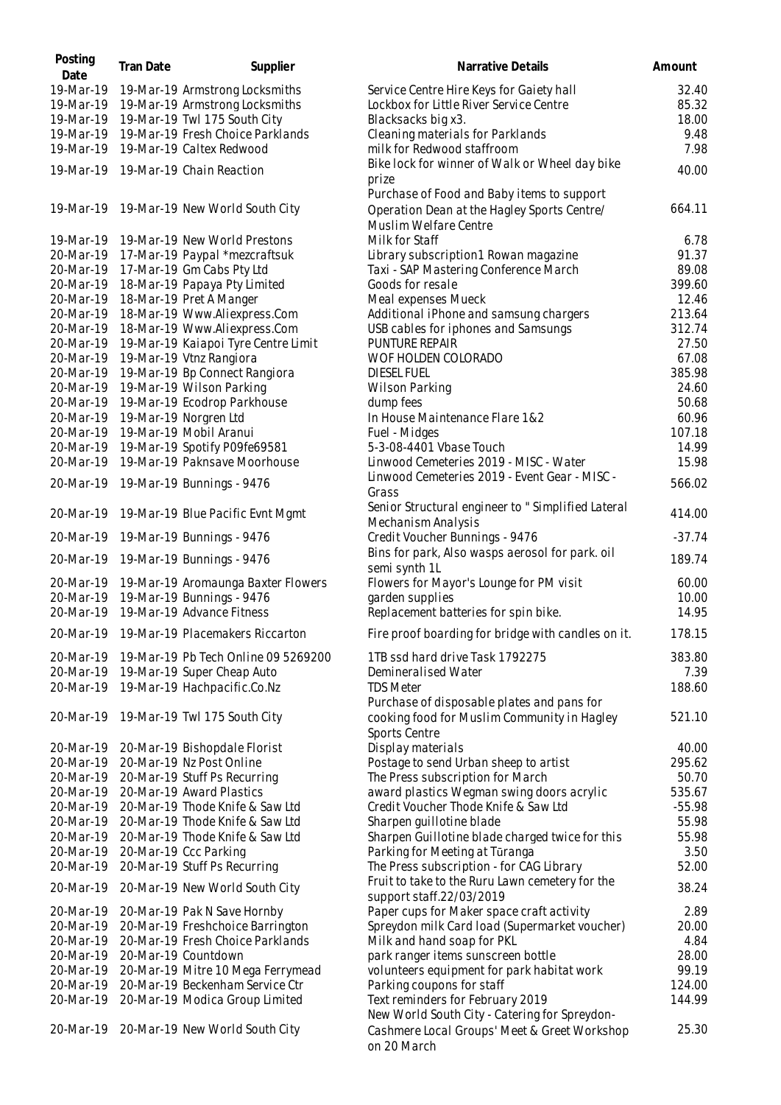| Posting<br>Date        | Tran Date | Supplier                                                     | Narrative Details                                                       | Amount   |
|------------------------|-----------|--------------------------------------------------------------|-------------------------------------------------------------------------|----------|
| 19-Mar-19              |           | 19-Mar-19 Armstrong Locksmiths                               | Service Centre Hire Keys for Gaiety hall                                | 32.40    |
| 19-Mar-19              |           | 19-Mar-19 Armstrong Locksmiths                               | Lockbox for Little River Service Centre                                 | 85.32    |
| 19-Mar-19              |           | 19-Mar-19 Twl 175 South City                                 | Blacksacks big x3.                                                      | 18.00    |
| 19-Mar-19              |           | 19-Mar-19 Fresh Choice Parklands                             | Cleaning materials for Parklands                                        | 9.48     |
| 19-Mar-19              |           | 19-Mar-19 Caltex Redwood                                     | milk for Redwood staffroom                                              | 7.98     |
|                        |           |                                                              | Bike lock for winner of Walk or Wheel day bike                          |          |
|                        |           | 19-Mar-19 19-Mar-19 Chain Reaction                           | prize                                                                   | 40.00    |
|                        |           |                                                              | Purchase of Food and Baby items to support                              |          |
|                        |           | 19-Mar-19 19-Mar-19 New World South City                     | Operation Dean at the Hagley Sports Centre/                             | 664.11   |
|                        |           |                                                              | Muslim Welfare Centre                                                   |          |
| 19-Mar-19              |           | 19-Mar-19 New World Prestons                                 | Milk for Staff                                                          | 6.78     |
| 20-Mar-19              |           | 17-Mar-19 Paypal *mezcraftsuk                                | Library subscription1 Rowan magazine                                    | 91.37    |
| 20-Mar-19              |           | 17-Mar-19 Gm Cabs Pty Ltd                                    | Taxi - SAP Mastering Conference March                                   | 89.08    |
| 20-Mar-19              |           | 18-Mar-19 Papaya Pty Limited                                 | Goods for resale                                                        | 399.60   |
| 20-Mar-19              |           | 18-Mar-19 Pret A Manger                                      | Meal expenses Mueck                                                     | 12.46    |
| 20-Mar-19              |           | 18-Mar-19 Www.Aliexpress.Com                                 | Additional iPhone and samsung chargers                                  | 213.64   |
| 20-Mar-19              |           | 18-Mar-19 Www.Aliexpress.Com                                 | USB cables for iphones and Samsungs                                     | 312.74   |
| 20-Mar-19              |           | 19-Mar-19 Kaiapoi Tyre Centre Limit                          | PUNTURE REPAIR                                                          | 27.50    |
| 20-Mar-19              |           | 19-Mar-19 Vtnz Rangiora                                      | WOF HOLDEN COLORADO                                                     | 67.08    |
| 20-Mar-19              |           | 19-Mar-19 Bp Connect Rangiora                                | <b>DIESEL FUEL</b>                                                      | 385.98   |
| 20-Mar-19              |           | 19-Mar-19 Wilson Parking                                     | <b>Wilson Parking</b>                                                   | 24.60    |
| 20-Mar-19              |           | 19-Mar-19 Ecodrop Parkhouse                                  | dump fees                                                               | 50.68    |
| 20-Mar-19              |           | 19-Mar-19 Norgren Ltd                                        | In House Maintenance Flare 1&2                                          | 60.96    |
|                        |           | 19-Mar-19 Mobil Aranui                                       | Fuel - Midges                                                           | 107.18   |
| 20-Mar-19              |           |                                                              | 5-3-08-4401 Vbase Touch                                                 | 14.99    |
| 20-Mar-19<br>20-Mar-19 |           | 19-Mar-19 Spotify P09fe69581<br>19-Mar-19 Paknsave Moorhouse | Linwood Cemeteries 2019 - MISC - Water                                  | 15.98    |
|                        |           |                                                              | Linwood Cemeteries 2019 - Event Gear - MISC -                           |          |
|                        |           | 20-Mar-19 19-Mar-19 Bunnings - 9476                          | Grass                                                                   | 566.02   |
|                        |           | 20-Mar-19 19-Mar-19 Blue Pacific Evnt Mgmt                   | Senior Structural engineer to "Simplified Lateral<br>Mechanism Analysis | 414.00   |
| 20-Mar-19              |           | 19-Mar-19 Bunnings - 9476                                    | Credit Voucher Bunnings - 9476                                          | $-37.74$ |
|                        |           |                                                              | Bins for park, Also wasps aerosol for park. oil                         | 189.74   |
| 20-Mar-19              |           | 19-Mar-19 Bunnings - 9476                                    | semi synth 1L                                                           |          |
| 20-Mar-19              |           | 19-Mar-19 Aromaunga Baxter Flowers                           | Flowers for Mayor's Lounge for PM visit                                 | 60.00    |
| 20-Mar-19              |           | 19-Mar-19 Bunnings - 9476                                    | garden supplies                                                         | 10.00    |
| 20-Mar-19              |           | 19-Mar-19 Advance Fitness                                    | Replacement batteries for spin bike.                                    | 14.95    |
|                        |           | 20-Mar-19 19-Mar-19 Placemakers Riccarton                    | Fire proof boarding for bridge with candles on it.                      | 178.15   |
| 20-Mar-19              |           | 19-Mar-19 Pb Tech Online 09 5269200                          | 1TB ssd hard drive Task 1792275                                         | 383.80   |
| 20-Mar-19              |           | 19-Mar-19 Super Cheap Auto                                   | Demineralised Water                                                     | 7.39     |
| 20-Mar-19              |           | 19-Mar-19 Hachpacific.Co.Nz                                  | <b>TDS Meter</b>                                                        | 188.60   |
|                        |           |                                                              | Purchase of disposable plates and pans for                              |          |
|                        |           | 20-Mar-19 19-Mar-19 Twl 175 South City                       | cooking food for Muslim Community in Hagley                             | 521.10   |
|                        |           |                                                              | Sports Centre                                                           |          |
| 20-Mar-19              |           | 20-Mar-19 Bishopdale Florist                                 | Display materials                                                       | 40.00    |
| 20-Mar-19              |           | 20-Mar-19 Nz Post Online                                     | Postage to send Urban sheep to artist                                   | 295.62   |
| 20-Mar-19              |           | 20-Mar-19 Stuff Ps Recurring                                 | The Press subscription for March                                        | 50.70    |
| 20-Mar-19              |           | 20-Mar-19 Award Plastics                                     | award plastics Wegman swing doors acrylic                               | 535.67   |
| 20-Mar-19              |           | 20-Mar-19 Thode Knife & Saw Ltd                              | Credit Voucher Thode Knife & Saw Ltd                                    | $-55.98$ |
| 20-Mar-19              |           | 20-Mar-19 Thode Knife & Saw Ltd                              | Sharpen guillotine blade                                                | 55.98    |
| 20-Mar-19              |           | 20-Mar-19 Thode Knife & Saw Ltd                              | Sharpen Guillotine blade charged twice for this                         | 55.98    |
| 20-Mar-19              |           | 20-Mar-19 Ccc Parking                                        | Parking for Meeting at Tūranga                                          | 3.50     |
| 20-Mar-19              |           | 20-Mar-19 Stuff Ps Recurring                                 | The Press subscription - for CAG Library                                | 52.00    |
|                        |           |                                                              | Fruit to take to the Ruru Lawn cemetery for the                         |          |
| 20-Mar-19              |           | 20-Mar-19 New World South City                               | support staff.22/03/2019                                                | 38.24    |
| 20-Mar-19              |           | 20-Mar-19 Pak N Save Hornby                                  | Paper cups for Maker space craft activity                               | 2.89     |
| 20-Mar-19              |           | 20-Mar-19 Freshchoice Barrington                             | Spreydon milk Card load (Supermarket voucher)                           | 20.00    |
| 20-Mar-19              |           | 20-Mar-19 Fresh Choice Parklands                             | Milk and hand soap for PKL                                              | 4.84     |
| 20-Mar-19              |           | 20-Mar-19 Countdown                                          | park ranger items sunscreen bottle                                      | 28.00    |
| 20-Mar-19              |           | 20-Mar-19 Mitre 10 Mega Ferrymead                            | volunteers equipment for park habitat work                              | 99.19    |
| 20-Mar-19              |           | 20-Mar-19 Beckenham Service Ctr                              | Parking coupons for staff                                               | 124.00   |
| 20-Mar-19              |           | 20-Mar-19 Modica Group Limited                               | Text reminders for February 2019                                        | 144.99   |
|                        |           |                                                              | New World South City - Catering for Spreydon-                           |          |
|                        |           | 20-Mar-19 20-Mar-19 New World South City                     | Cashmere Local Groups' Meet & Greet Workshop<br>on 20 March             | 25.30    |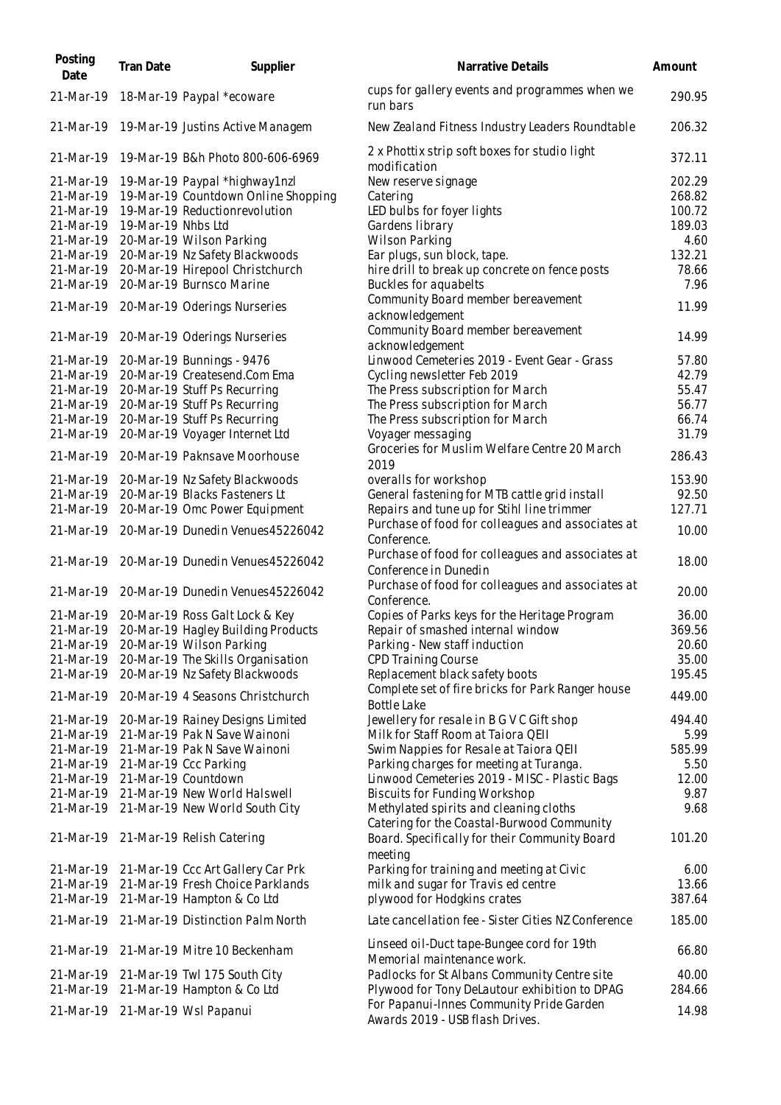| Posting<br>Date | Tran Date          | Supplier                                     | Narrative Details                                                                           | Amount |
|-----------------|--------------------|----------------------------------------------|---------------------------------------------------------------------------------------------|--------|
| 21-Mar-19       |                    | 18-Mar-19 Paypal *ecoware                    | cups for gallery events and programmes when we<br>run bars                                  | 290.95 |
|                 |                    | 21-Mar-19 19-Mar-19 Justins Active Managem   | New Zealand Fitness Industry Leaders Roundtable                                             | 206.32 |
| 21-Mar-19       |                    | 19-Mar-19 B&h Photo 800-606-6969             | 2 x Phottix strip soft boxes for studio light<br>modification                               | 372.11 |
| 21-Mar-19       |                    | 19-Mar-19 Paypal *highway1nzl                | New reserve signage                                                                         | 202.29 |
| 21-Mar-19       |                    | 19-Mar-19 Countdown Online Shopping          | Catering                                                                                    | 268.82 |
| 21-Mar-19       |                    | 19-Mar-19 Reductionrevolution                | LED bulbs for foyer lights                                                                  | 100.72 |
| 21-Mar-19       | 19-Mar-19 Nhbs Ltd |                                              | Gardens library                                                                             | 189.03 |
| 21-Mar-19       |                    | 20-Mar-19 Wilson Parking                     | <b>Wilson Parking</b>                                                                       | 4.60   |
| 21-Mar-19       |                    | 20-Mar-19 Nz Safety Blackwoods               | Ear plugs, sun block, tape.                                                                 | 132.21 |
| 21-Mar-19       |                    | 20-Mar-19 Hirepool Christchurch              | hire drill to break up concrete on fence posts                                              | 78.66  |
| 21-Mar-19       |                    | 20-Mar-19 Burnsco Marine                     | Buckles for aquabelts                                                                       | 7.96   |
|                 |                    | 21-Mar-19 20-Mar-19 Oderings Nurseries       | Community Board member bereavement<br>acknowledgement                                       | 11.99  |
| 21-Mar-19       |                    | 20-Mar-19 Oderings Nurseries                 | Community Board member bereavement<br>acknowledgement                                       | 14.99  |
| 21-Mar-19       |                    | 20-Mar-19 Bunnings - 9476                    | Linwood Cemeteries 2019 - Event Gear - Grass                                                | 57.80  |
| 21-Mar-19       |                    | 20-Mar-19 Createsend.Com Ema                 | Cycling newsletter Feb 2019                                                                 | 42.79  |
| 21-Mar-19       |                    | 20-Mar-19 Stuff Ps Recurring                 | The Press subscription for March                                                            | 55.47  |
| 21-Mar-19       |                    | 20-Mar-19 Stuff Ps Recurring                 | The Press subscription for March                                                            | 56.77  |
| 21-Mar-19       |                    | 20-Mar-19 Stuff Ps Recurring                 | The Press subscription for March                                                            | 66.74  |
| 21-Mar-19       |                    | 20-Mar-19 Voyager Internet Ltd               | Voyager messaging                                                                           | 31.79  |
| 21-Mar-19       |                    | 20-Mar-19 Paknsave Moorhouse                 | Groceries for Muslim Welfare Centre 20 March<br>2019                                        | 286.43 |
| 21-Mar-19       |                    | 20-Mar-19 Nz Safety Blackwoods               | overalls for workshop                                                                       | 153.90 |
| 21-Mar-19       |                    | 20-Mar-19 Blacks Fasteners Lt                | General fastening for MTB cattle grid install                                               | 92.50  |
| 21-Mar-19       |                    | 20-Mar-19 Omc Power Equipment                | Repairs and tune up for Stihl line trimmer                                                  | 127.71 |
| 21-Mar-19       |                    | 20-Mar-19 Dunedin Venues 45226042            | Purchase of food for colleagues and associates at<br>Conference.                            | 10.00  |
|                 |                    | 21-Mar-19 20-Mar-19 Dunedin Venues 45226042  | Purchase of food for colleagues and associates at<br>Conference in Dunedin                  | 18.00  |
|                 |                    | 21-Mar-19 20-Mar-19 Dunedin Venues 45226042  | Purchase of food for colleagues and associates at<br>Conference.                            | 20.00  |
| 21-Mar-19       |                    | 20-Mar-19 Ross Galt Lock & Key               | Copies of Parks keys for the Heritage Program                                               | 36.00  |
|                 |                    | 21-Mar-19 20-Mar-19 Hagley Building Products | Repair of smashed internal window                                                           | 369.56 |
|                 |                    | 21-Mar-19 20-Mar-19 Wilson Parking           | Parking - New staff induction                                                               | 20.60  |
| 21-Mar-19       |                    | 20-Mar-19 The Skills Organisation            | <b>CPD Training Course</b>                                                                  | 35.00  |
| 21-Mar-19       |                    | 20-Mar-19 Nz Safety Blackwoods               | Replacement black safety boots                                                              | 195.45 |
| 21-Mar-19       |                    | 20-Mar-19 4 Seasons Christchurch             | Complete set of fire bricks for Park Ranger house<br><b>Bottle Lake</b>                     | 449.00 |
| 21-Mar-19       |                    | 20-Mar-19 Rainey Designs Limited             | Jewellery for resale in B G V C Gift shop                                                   | 494.40 |
| 21-Mar-19       |                    | 21-Mar-19 Pak N Save Wainoni                 | Milk for Staff Room at Taiora QEII                                                          | 5.99   |
| 21-Mar-19       |                    | 21-Mar-19 Pak N Save Wainoni                 | Swim Nappies for Resale at Taiora QEII                                                      | 585.99 |
| 21-Mar-19       |                    | 21-Mar-19 Ccc Parking                        | Parking charges for meeting at Turanga.                                                     | 5.50   |
| 21-Mar-19       |                    | 21-Mar-19 Countdown                          | Linwood Cemeteries 2019 - MISC - Plastic Bags                                               | 12.00  |
| 21-Mar-19       |                    | 21-Mar-19 New World Halswell                 | Biscuits for Funding Workshop                                                               | 9.87   |
| 21-Mar-19       |                    | 21-Mar-19 New World South City               | Methylated spirits and cleaning cloths                                                      | 9.68   |
|                 |                    | 21-Mar-19 21-Mar-19 Relish Catering          | Catering for the Coastal-Burwood Community<br>Board. Specifically for their Community Board | 101.20 |
|                 |                    |                                              | meeting                                                                                     |        |
| 21-Mar-19       |                    | 21-Mar-19 Ccc Art Gallery Car Prk            | Parking for training and meeting at Civic                                                   | 6.00   |
| 21-Mar-19       |                    | 21-Mar-19 Fresh Choice Parklands             | milk and sugar for Travis ed centre                                                         | 13.66  |
| 21-Mar-19       |                    | 21-Mar-19 Hampton & Co Ltd                   | plywood for Hodgkins crates                                                                 | 387.64 |
| 21-Mar-19       |                    | 21-Mar-19 Distinction Palm North             | Late cancellation fee - Sister Cities NZ Conference                                         | 185.00 |
| 21-Mar-19       |                    | 21-Mar-19 Mitre 10 Beckenham                 | Linseed oil-Duct tape-Bungee cord for 19th<br>Memorial maintenance work.                    | 66.80  |
|                 |                    | 21-Mar-19 21-Mar-19 Twl 175 South City       | Padlocks for St Albans Community Centre site                                                | 40.00  |
| 21-Mar-19       |                    | 21-Mar-19 Hampton & Co Ltd                   | Plywood for Tony DeLautour exhibition to DPAG                                               | 284.66 |
|                 |                    | 21-Mar-19 21-Mar-19 Wsl Papanui              | For Papanui-Innes Community Pride Garden<br>Awards 2019 - USB flash Drives.                 | 14.98  |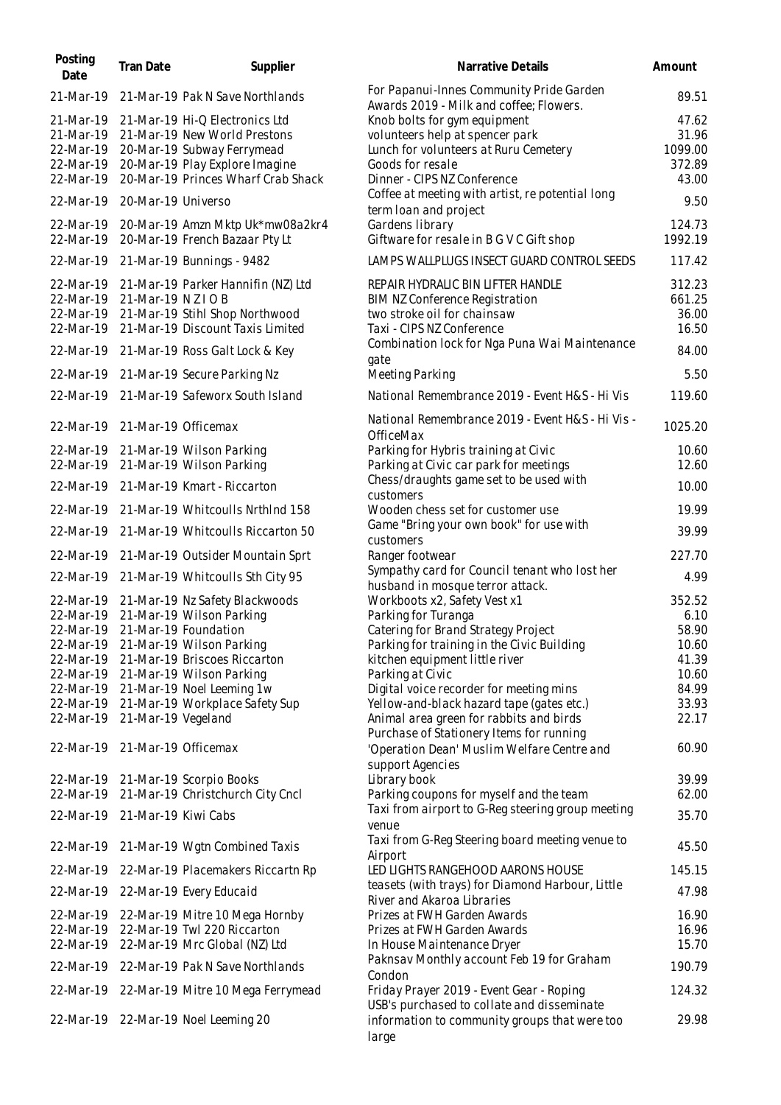| Posting<br>Date | Tran Date                     | Supplier                                    | <b>Narrative Details</b>                                                            | Amount  |
|-----------------|-------------------------------|---------------------------------------------|-------------------------------------------------------------------------------------|---------|
| 21-Mar-19       |                               | 21-Mar-19 Pak N Save Northlands             | For Papanui-Innes Community Pride Garden<br>Awards 2019 - Milk and coffee; Flowers. | 89.51   |
| 21-Mar-19       |                               | 21-Mar-19 Hi-Q Electronics Ltd              | Knob bolts for gym equipment                                                        | 47.62   |
| 21-Mar-19       |                               | 21-Mar-19 New World Prestons                | volunteers help at spencer park                                                     | 31.96   |
| 22-Mar-19       |                               | 20-Mar-19 Subway Ferrymead                  | Lunch for volunteers at Ruru Cemetery                                               | 1099.00 |
| 22-Mar-19       |                               | 20-Mar-19 Play Explore Imagine              | Goods for resale                                                                    | 372.89  |
| 22-Mar-19       |                               | 20-Mar-19 Princes Wharf Crab Shack          | Dinner - CIPS NZ Conference                                                         | 43.00   |
|                 |                               |                                             | Coffee at meeting with artist, re potential long                                    |         |
| 22-Mar-19       | 20-Mar-19 Universo            |                                             | term loan and project                                                               | 9.50    |
|                 |                               | 22-Mar-19 20-Mar-19 Amzn Mktp Uk*mw08a2kr4  | Gardens library                                                                     | 124.73  |
| 22-Mar-19       |                               | 20-Mar-19 French Bazaar Pty Lt              | Giftware for resale in B G V C Gift shop                                            | 1992.19 |
|                 |                               |                                             |                                                                                     |         |
|                 |                               | 22-Mar-19 21-Mar-19 Bunnings - 9482         | LAMPS WALLPLUGS INSECT GUARD CONTROL SEEDS                                          | 117.42  |
| 22-Mar-19       |                               | 21-Mar-19 Parker Hannifin (NZ) Ltd          | REPAIR HYDRALIC BIN LIFTER HANDLE                                                   | 312.23  |
| 22-Mar-19       | 21-Mar-19 NZIOB               |                                             | BIM NZ Conference Registration                                                      | 661.25  |
| 22-Mar-19       |                               | 21-Mar-19 Stihl Shop Northwood              | two stroke oil for chainsaw                                                         | 36.00   |
| 22-Mar-19       |                               | 21-Mar-19 Discount Taxis Limited            | Taxi - CIPS NZ Conference                                                           | 16.50   |
|                 |                               | 22-Mar-19 21-Mar-19 Ross Galt Lock & Key    | Combination lock for Nga Puna Wai Maintenance                                       | 84.00   |
|                 |                               |                                             | gate                                                                                |         |
|                 |                               | 22-Mar-19 21-Mar-19 Secure Parking Nz       | Meeting Parking                                                                     | 5.50    |
|                 |                               | 22-Mar-19 21-Mar-19 Safeworx South Island   | National Remembrance 2019 - Event H&S - Hi Vis                                      | 119.60  |
|                 |                               |                                             | National Remembrance 2019 - Event H&S - Hi Vis -                                    |         |
|                 | 22-Mar-19 21-Mar-19 Officemax |                                             | OfficeMax                                                                           | 1025.20 |
| 22-Mar-19       |                               | 21-Mar-19 Wilson Parking                    | Parking for Hybris training at Civic                                                | 10.60   |
| 22-Mar-19       |                               | 21-Mar-19 Wilson Parking                    | Parking at Civic car park for meetings                                              | 12.60   |
|                 |                               | 22-Mar-19 21-Mar-19 Kmart - Riccarton       | Chess/draughts game set to be used with                                             | 10.00   |
|                 |                               |                                             | customers                                                                           | 19.99   |
|                 |                               | 22-Mar-19 21-Mar-19 Whitcoulls NrthInd 158  | Wooden chess set for customer use<br>Game "Bring your own book" for use with        |         |
|                 |                               | 22-Mar-19 21-Mar-19 Whitcoulls Riccarton 50 | customers                                                                           | 39.99   |
|                 |                               | 22-Mar-19 21-Mar-19 Outsider Mountain Sprt  | Ranger footwear                                                                     | 227.70  |
|                 |                               | 22-Mar-19 21-Mar-19 Whitcoulls Sth City 95  | Sympathy card for Council tenant who lost her<br>husband in mosque terror attack.   | 4.99    |
| 22-Mar-19       |                               | 21-Mar-19 Nz Safety Blackwoods              | Workboots x2, Safety Vest x1                                                        | 352.52  |
| 22-Mar-19       |                               | 21-Mar-19 Wilson Parking                    | Parking for Turanga                                                                 | 6.10    |
|                 |                               |                                             |                                                                                     |         |
|                 |                               | 22-Mar-19 21-Mar-19 Foundation              | Catering for Brand Strategy Project                                                 | 58.90   |
| 22-Mar-19       |                               | 21-Mar-19 Wilson Parking                    | Parking for training in the Civic Building                                          | 10.60   |
| 22-Mar-19       |                               | 21-Mar-19 Briscoes Riccarton                | kitchen equipment little river                                                      | 41.39   |
| 22-Mar-19       |                               | 21-Mar-19 Wilson Parking                    | Parking at Civic                                                                    | 10.60   |
| 22-Mar-19       |                               | 21-Mar-19 Noel Leeming 1w                   | Digital voice recorder for meeting mins                                             | 84.99   |
| 22-Mar-19       |                               | 21-Mar-19 Workplace Safety Sup              | Yellow-and-black hazard tape (gates etc.)                                           | 33.93   |
| 22-Mar-19       | 21-Mar-19 Vegeland            |                                             | Animal area green for rabbits and birds                                             | 22.17   |
|                 |                               |                                             | Purchase of Stationery Items for running                                            |         |
|                 | 22-Mar-19 21-Mar-19 Officemax |                                             | 'Operation Dean' Muslim Welfare Centre and                                          | 60.90   |
|                 |                               |                                             | support Agencies                                                                    |         |
|                 |                               | 22-Mar-19 21-Mar-19 Scorpio Books           | Library book                                                                        | 39.99   |
| 22-Mar-19       |                               | 21-Mar-19 Christchurch City Cncl            | Parking coupons for myself and the team                                             | 62.00   |
|                 | 22-Mar-19 21-Mar-19 Kiwi Cabs |                                             | Taxi from airport to G-Reg steering group meeting                                   | 35.70   |
|                 |                               |                                             | venue                                                                               |         |
|                 |                               | 22-Mar-19 21-Mar-19 Wgtn Combined Taxis     | Taxi from G-Reg Steering board meeting venue to<br>Airport                          | 45.50   |
| 22-Mar-19       |                               | 22-Mar-19 Placemakers Riccartn Rp           | LED LIGHTS RANGEHOOD AARONS HOUSE                                                   | 145.15  |
|                 |                               |                                             | teasets (with trays) for Diamond Harbour, Little                                    | 47.98   |
| 22-Mar-19       |                               | 22-Mar-19 Every Educaid                     | River and Akaroa Libraries                                                          |         |
| 22-Mar-19       |                               | 22-Mar-19 Mitre 10 Mega Hornby              | Prizes at FWH Garden Awards                                                         | 16.90   |
| 22-Mar-19       |                               | 22-Mar-19 Twl 220 Riccarton                 | Prizes at FWH Garden Awards                                                         | 16.96   |
| 22-Mar-19       |                               | 22-Mar-19 Mrc Global (NZ) Ltd               | In House Maintenance Dryer                                                          | 15.70   |
| 22-Mar-19       |                               | 22-Mar-19 Pak N Save Northlands             | Paknsav Monthly account Feb 19 for Graham                                           | 190.79  |
|                 |                               | 22-Mar-19 22-Mar-19 Mitre 10 Mega Ferrymead | Condon<br>Friday Prayer 2019 - Event Gear - Roping                                  | 124.32  |
|                 |                               |                                             | USB's purchased to collate and disseminate                                          |         |
|                 |                               | 22-Mar-19 22-Mar-19 Noel Leeming 20         | information to community groups that were too                                       | 29.98   |
|                 |                               |                                             | large                                                                               |         |
|                 |                               |                                             |                                                                                     |         |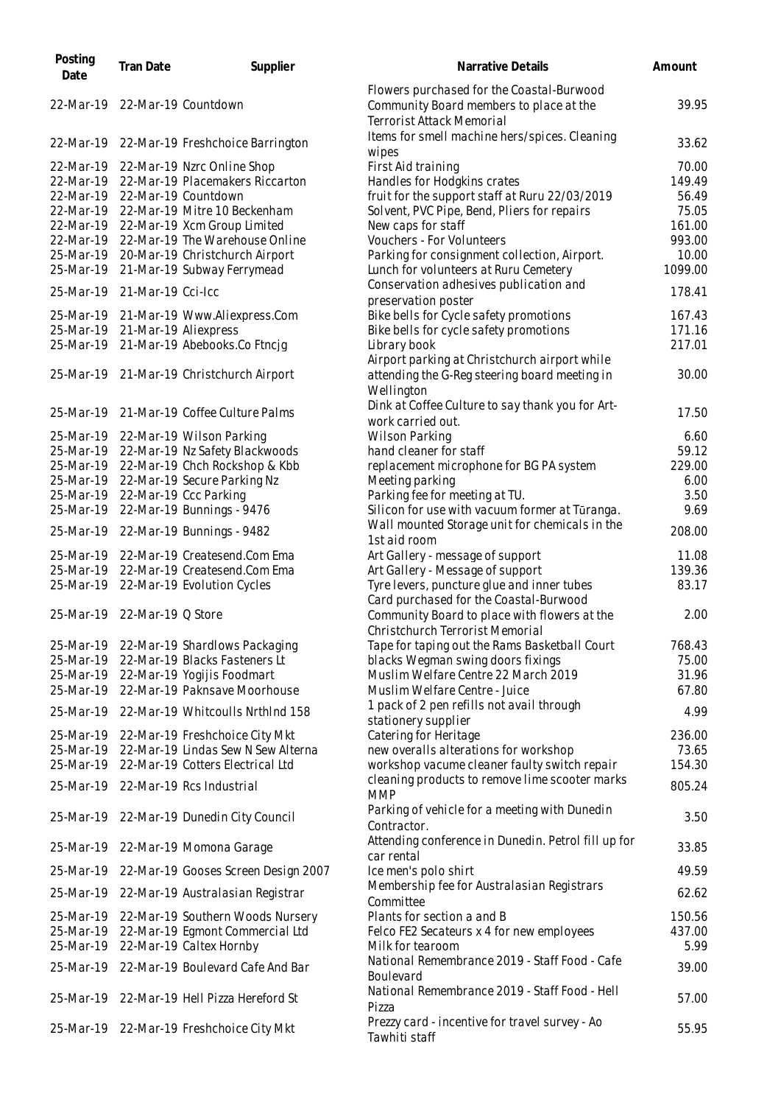| Posting<br>Date                                  | Tran Date                   | Supplier                                                                                                                     | Narrative Details                                                                                                                                          | Amount                            |
|--------------------------------------------------|-----------------------------|------------------------------------------------------------------------------------------------------------------------------|------------------------------------------------------------------------------------------------------------------------------------------------------------|-----------------------------------|
| 22-Mar-19                                        |                             | 22-Mar-19 Countdown                                                                                                          | Flowers purchased for the Coastal-Burwood<br>Community Board members to place at the<br><b>Terrorist Attack Memorial</b>                                   | 39.95                             |
|                                                  |                             | 22-Mar-19 22-Mar-19 Freshchoice Barrington                                                                                   | Items for smell machine hers/spices. Cleaning<br>wipes                                                                                                     | 33.62                             |
| 22-Mar-19<br>22-Mar-19<br>22-Mar-19              |                             | 22-Mar-19 Nzrc Online Shop<br>22-Mar-19 Placemakers Riccarton<br>22-Mar-19 Countdown                                         | First Aid training<br>Handles for Hodgkins crates<br>fruit for the support staff at Ruru 22/03/2019                                                        | 70.00<br>149.49<br>56.49          |
| 22-Mar-19<br>22-Mar-19<br>22-Mar-19              |                             | 22-Mar-19 Mitre 10 Beckenham<br>22-Mar-19 Xcm Group Limited<br>22-Mar-19 The Warehouse Online                                | Solvent, PVC Pipe, Bend, Pliers for repairs<br>New caps for staff<br>Vouchers - For Volunteers                                                             | 75.05<br>161.00<br>993.00         |
| 25-Mar-19<br>25-Mar-19                           |                             | 20-Mar-19 Christchurch Airport<br>21-Mar-19 Subway Ferrymead                                                                 | Parking for consignment collection, Airport.<br>Lunch for volunteers at Ruru Cemetery                                                                      | 10.00<br>1099.00                  |
| 25-Mar-19                                        | 21-Mar-19 Cci-Icc           |                                                                                                                              | Conservation adhesives publication and<br>preservation poster                                                                                              | 178.41                            |
| 25-Mar-19<br>25-Mar-19<br>25-Mar-19              |                             | 21-Mar-19 Www.Aliexpress.Com<br>21-Mar-19 Aliexpress<br>21-Mar-19 Abebooks.Co Ftncjg                                         | Bike bells for Cycle safety promotions<br>Bike bells for cycle safety promotions<br>Library book                                                           | 167.43<br>171.16<br>217.01        |
|                                                  |                             | 25-Mar-19 21-Mar-19 Christchurch Airport                                                                                     | Airport parking at Christchurch airport while<br>attending the G-Reg steering board meeting in<br>Wellington                                               | 30.00                             |
|                                                  |                             | 25-Mar-19 21-Mar-19 Coffee Culture Palms                                                                                     | Dink at Coffee Culture to say thank you for Art-<br>work carried out.                                                                                      | 17.50                             |
| 25-Mar-19                                        |                             | 25-Mar-19 22-Mar-19 Wilson Parking<br>22-Mar-19 Nz Safety Blackwoods                                                         | Wilson Parking<br>hand cleaner for staff                                                                                                                   | 6.60<br>59.12                     |
| 25-Mar-19<br>25-Mar-19<br>25-Mar-19              |                             | 22-Mar-19 Chch Rockshop & Kbb<br>22-Mar-19 Secure Parking Nz<br>22-Mar-19 Ccc Parking                                        | replacement microphone for BG PA system<br>Meeting parking<br>Parking fee for meeting at TU.                                                               | 229.00<br>6.00<br>3.50            |
| 25-Mar-19                                        |                             | 22-Mar-19 Bunnings - 9476<br>25-Mar-19 22-Mar-19 Bunnings - 9482                                                             | Silicon for use with vacuum former at Tūranga.<br>Wall mounted Storage unit for chemicals in the                                                           | 9.69<br>208.00                    |
| 25-Mar-19                                        |                             | 22-Mar-19 Createsend.Com Ema                                                                                                 | 1st aid room<br>Art Gallery - message of support                                                                                                           | 11.08                             |
| 25-Mar-19<br>25-Mar-19                           |                             | 22-Mar-19 Createsend.Com Ema<br>22-Mar-19 Evolution Cycles                                                                   | Art Gallery - Message of support<br>Tyre levers, puncture glue and inner tubes<br>Card purchased for the Coastal-Burwood                                   | 139.36<br>83.17                   |
|                                                  | 25-Mar-19 22-Mar-19 Q Store |                                                                                                                              | Community Board to place with flowers at the<br>Christchurch Terrorist Memorial                                                                            | 2.00                              |
| 25-Mar-19<br>25-Mar-19<br>25-Mar-19<br>25-Mar-19 |                             | 22-Mar-19 Shardlows Packaging<br>22-Mar-19 Blacks Fasteners Lt<br>22-Mar-19 Yogijis Foodmart<br>22-Mar-19 Paknsave Moorhouse | Tape for taping out the Rams Basketball Court<br>blacks Wegman swing doors fixings<br>Muslim Welfare Centre 22 March 2019<br>Muslim Welfare Centre - Juice | 768.43<br>75.00<br>31.96<br>67.80 |
|                                                  |                             | 25-Mar-19 22-Mar-19 Whitcoulls NrthInd 158                                                                                   | 1 pack of 2 pen refills not avail through<br>stationery supplier                                                                                           | 4.99                              |
| 25-Mar-19<br>25-Mar-19<br>25-Mar-19              |                             | 22-Mar-19 Freshchoice City Mkt<br>22-Mar-19 Lindas Sew N Sew Alterna<br>22-Mar-19 Cotters Electrical Ltd                     | Catering for Heritage<br>new overalls alterations for workshop<br>workshop vacume cleaner faulty switch repair                                             | 236.00<br>73.65<br>154.30         |
|                                                  |                             | 25-Mar-19 22-Mar-19 Rcs Industrial                                                                                           | cleaning products to remove lime scooter marks<br><b>MMP</b>                                                                                               | 805.24                            |
|                                                  |                             | 25-Mar-19 22-Mar-19 Dunedin City Council                                                                                     | Parking of vehicle for a meeting with Dunedin<br>Contractor.                                                                                               | 3.50                              |
|                                                  |                             | 25-Mar-19 22-Mar-19 Momona Garage                                                                                            | Attending conference in Dunedin. Petrol fill up for<br>car rental                                                                                          | 33.85                             |
|                                                  |                             | 25-Mar-19 22-Mar-19 Gooses Screen Design 2007                                                                                | Ice men's polo shirt<br>Membership fee for Australasian Registrars                                                                                         | 49.59                             |
|                                                  |                             | 25-Mar-19 22-Mar-19 Australasian Registrar                                                                                   | Committee                                                                                                                                                  | 62.62                             |
| 25-Mar-19<br>25-Mar-19                           |                             | 22-Mar-19 Southern Woods Nursery<br>22-Mar-19 Egmont Commercial Ltd<br>25-Mar-19 22-Mar-19 Caltex Hornby                     | Plants for section a and B<br>Felco FE2 Secateurs x 4 for new employees<br>Milk for tearoom                                                                | 150.56<br>437.00<br>5.99          |
|                                                  |                             | 25-Mar-19 22-Mar-19 Boulevard Cafe And Bar                                                                                   | National Remembrance 2019 - Staff Food - Cafe<br>Boulevard                                                                                                 | 39.00                             |
|                                                  |                             | 25-Mar-19 22-Mar-19 Hell Pizza Hereford St                                                                                   | National Remembrance 2019 - Staff Food - Hell<br>Pizza                                                                                                     | 57.00                             |
|                                                  |                             | 25-Mar-19 22-Mar-19 Freshchoice City Mkt                                                                                     | Prezzy card - incentive for travel survey - Ao<br>Tawhiti staff                                                                                            | 55.95                             |